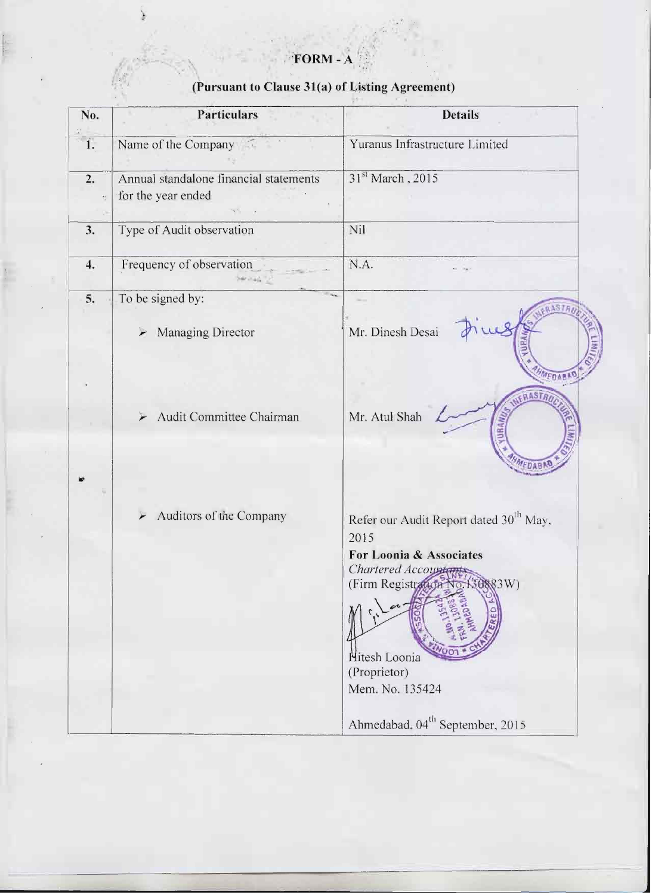# FORM-A

# (Pursuant to Clause 31(a) of Listing Agreement)

| No.      | <b>Particulars</b>                                           | <b>Details</b>                                                                                                                                                                                        |
|----------|--------------------------------------------------------------|-------------------------------------------------------------------------------------------------------------------------------------------------------------------------------------------------------|
| ï.       | Name of the Company                                          | Yuranus Infrastructure Limited                                                                                                                                                                        |
| 2.<br>t) | Annual standalone financial statements<br>for the year ended | 31st March, 2015                                                                                                                                                                                      |
| 3.       | Type of Audit observation                                    | Nil                                                                                                                                                                                                   |
| 4.       | Frequency of observation<br>Service 1                        | N.A.                                                                                                                                                                                                  |
| 5.       | To be signed by:<br>Managing Director<br>$\overline{r}$      | ASIR<br>Mr. Dinesh Desai<br>$4F\eta$ A<br><b>AASTR</b>                                                                                                                                                |
|          | Audit Committee Chairman                                     | Mr. Atul Shah                                                                                                                                                                                         |
|          | Auditors of the Company                                      | Refer our Audit Report dated 30 <sup>th</sup> May,<br>2015<br>For Loonia & Associates<br>Chartered Accountants<br>(Firm Registration No. 130883W)<br>Nitesh Loonia<br>(Proprietor)<br>Mem. No. 135424 |
|          |                                                              | Ahmedabad, 04 <sup>th</sup> September, 2015                                                                                                                                                           |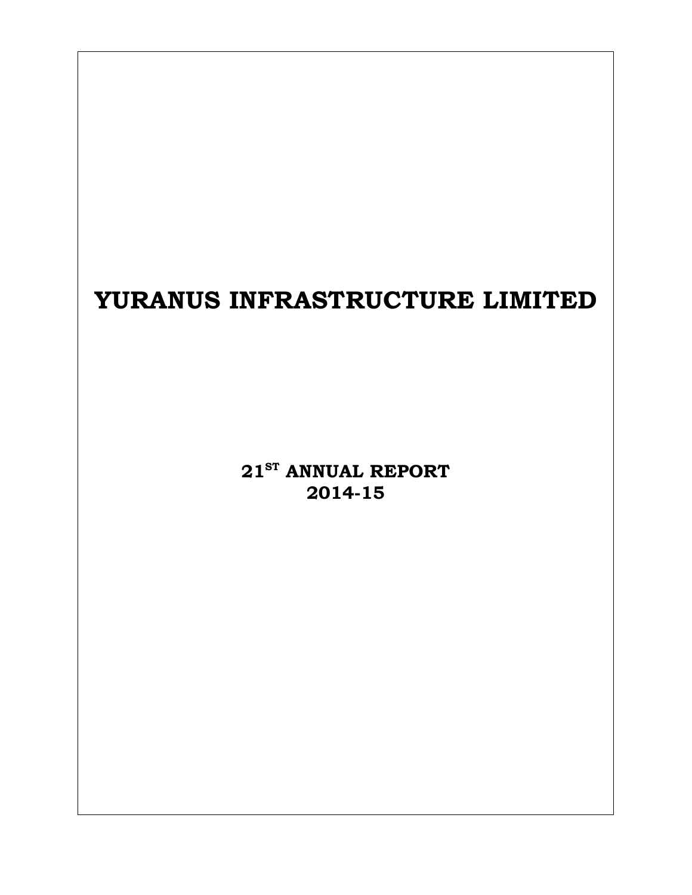# **YURANUS INFRASTRUCTURE LIMITED**

**21ST ANNUAL REPORT 2014-15**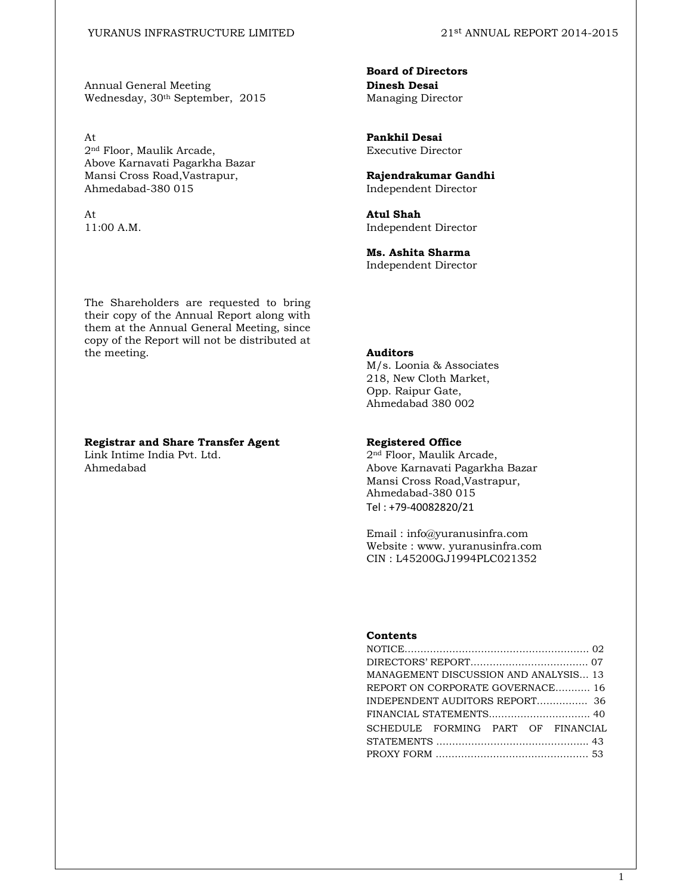Annual General Meeting **Dinesh Desai**  Wednesday, 30<sup>th</sup> September, 2015 Managing Director

At **Pankhil Desai**  2nd Floor, Maulik Arcade, Executive Director Above Karnavati Pagarkha Bazar Mansi Cross Road,Vastrapur, **Rajendrakumar Gandhi**  Ahmedabad-380 015 Independent Director

The Shareholders are requested to bring their copy of the Annual Report along with them at the Annual General Meeting, since copy of the Report will not be distributed at the meeting. **Auditors** 

**Registrar and Share Transfer Agent Registered Office** Link Intime India Pvt. Ltd. 2<sup>nd</sup> Floor, Maulik A Link Intime India Pvt. Ltd. 2<sup>nd</sup> Floor, Maulik Arcade,<br>Ahmedabad 2nd Floor, Maulik Arcade,

**Board of Directors** 

At **Atul Shah**  11:00 A.M. Independent Director

> **Ms. Ashita Sharma**  Independent Director

 M/s. Loonia & Associates 218, New Cloth Market, Opp. Raipur Gate, Ahmedabad 380 002

Above Karnavati Pagarkha Bazar Mansi Cross Road,Vastrapur, Ahmedabad-380 015 Tel : +79‐40082820/21

 Email : info@yuranusinfra.com Website : www. yuranusinfra.com CIN : L45200GJ1994PLC021352

#### **Contents**

| MANAGEMENT DISCUSSION AND ANALYSIS 13 |  |
|---------------------------------------|--|
| REPORT ON CORPORATE GOVERNACE 16      |  |
|                                       |  |
|                                       |  |
| SCHEDULE FORMING PART OF FINANCIAL    |  |
|                                       |  |
|                                       |  |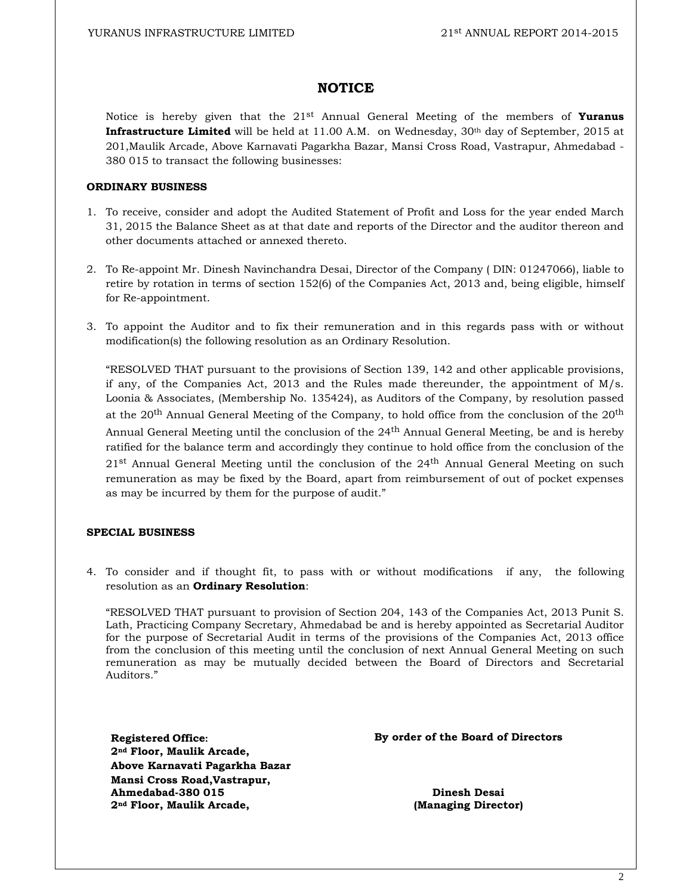#### **NOTICE**

Notice is hereby given that the 21st Annual General Meeting of the members of **Yuranus Infrastructure Limited** will be held at 11.00 A.M. on Wednesday, 30<sup>th</sup> day of September, 2015 at 201,Maulik Arcade, Above Karnavati Pagarkha Bazar, Mansi Cross Road, Vastrapur, Ahmedabad - 380 015 to transact the following businesses:

#### **ORDINARY BUSINESS**

- 1. To receive, consider and adopt the Audited Statement of Profit and Loss for the year ended March 31, 2015 the Balance Sheet as at that date and reports of the Director and the auditor thereon and other documents attached or annexed thereto.
- 2. To Re-appoint Mr. Dinesh Navinchandra Desai, Director of the Company ( DIN: 01247066), liable to retire by rotation in terms of section 152(6) of the Companies Act, 2013 and, being eligible, himself for Re-appointment.
- 3. To appoint the Auditor and to fix their remuneration and in this regards pass with or without modification(s) the following resolution as an Ordinary Resolution.

"RESOLVED THAT pursuant to the provisions of Section 139, 142 and other applicable provisions, if any, of the Companies Act, 2013 and the Rules made thereunder, the appointment of  $M/s$ . Loonia & Associates, (Membership No. 135424), as Auditors of the Company, by resolution passed at the 20<sup>th</sup> Annual General Meeting of the Company, to hold office from the conclusion of the 20<sup>th</sup> Annual General Meeting until the conclusion of the 24<sup>th</sup> Annual General Meeting, be and is hereby ratified for the balance term and accordingly they continue to hold office from the conclusion of the 21<sup>st</sup> Annual General Meeting until the conclusion of the 24<sup>th</sup> Annual General Meeting on such remuneration as may be fixed by the Board, apart from reimbursement of out of pocket expenses as may be incurred by them for the purpose of audit."

#### **SPECIAL BUSINESS**

4. To consider and if thought fit, to pass with or without modifications if any, the following resolution as an **Ordinary Resolution**:

"RESOLVED THAT pursuant to provision of Section 204, 143 of the Companies Act, 2013 Punit S. Lath, Practicing Company Secretary, Ahmedabad be and is hereby appointed as Secretarial Auditor for the purpose of Secretarial Audit in terms of the provisions of the Companies Act, 2013 office from the conclusion of this meeting until the conclusion of next Annual General Meeting on such remuneration as may be mutually decided between the Board of Directors and Secretarial Auditors."

**2nd Floor, Maulik Arcade, Above Karnavati Pagarkha Bazar Mansi Cross Road,Vastrapur, Ahmedabad-380 015 Dinesh Desai 2nd Floor, Maulik Arcade, (Managing Director)** 

**Registered Office: By order of the Board of Directors**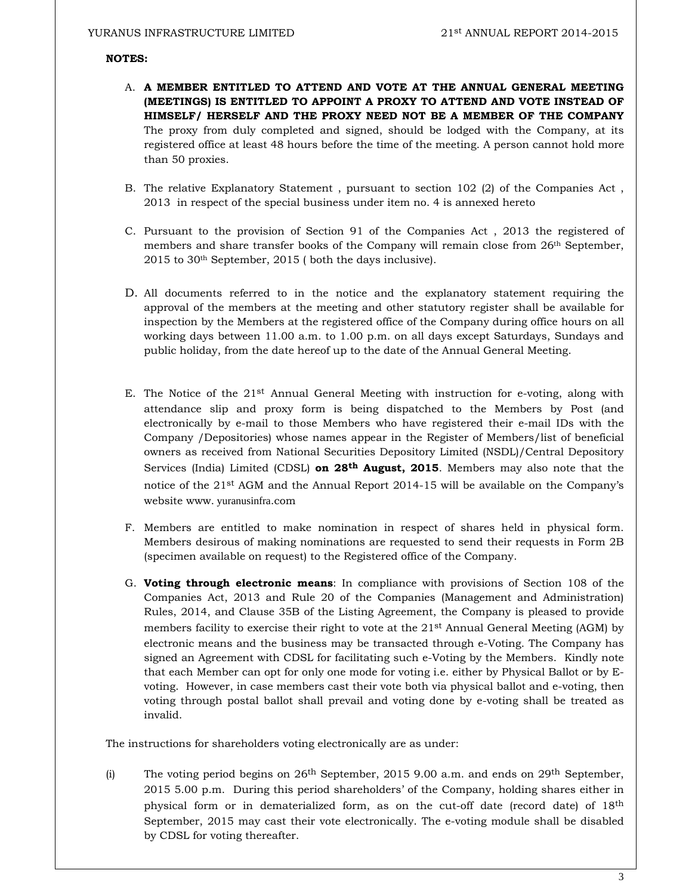#### **NOTES:**

- A. **A MEMBER ENTITLED TO ATTEND AND VOTE AT THE ANNUAL GENERAL MEETING (MEETINGS) IS ENTITLED TO APPOINT A PROXY TO ATTEND AND VOTE INSTEAD OF HIMSELF/ HERSELF AND THE PROXY NEED NOT BE A MEMBER OF THE COMPANY**  The proxy from duly completed and signed, should be lodged with the Company, at its registered office at least 48 hours before the time of the meeting. A person cannot hold more than 50 proxies.
- B. The relative Explanatory Statement , pursuant to section 102 (2) of the Companies Act , 2013 in respect of the special business under item no. 4 is annexed hereto
- C. Pursuant to the provision of Section 91 of the Companies Act , 2013 the registered of members and share transfer books of the Company will remain close from 26<sup>th</sup> September, 2015 to 30th September, 2015 ( both the days inclusive).
- D. All documents referred to in the notice and the explanatory statement requiring the approval of the members at the meeting and other statutory register shall be available for inspection by the Members at the registered office of the Company during office hours on all working days between 11.00 a.m. to 1.00 p.m. on all days except Saturdays, Sundays and public holiday, from the date hereof up to the date of the Annual General Meeting.
- E. The Notice of the  $21^{st}$  Annual General Meeting with instruction for e-voting, along with attendance slip and proxy form is being dispatched to the Members by Post (and electronically by e-mail to those Members who have registered their e-mail IDs with the Company /Depositories) whose names appear in the Register of Members/list of beneficial owners as received from National Securities Depository Limited (NSDL)/Central Depository Services (India) Limited (CDSL) **on 28th August, 2015**. Members may also note that the notice of the 21st AGM and the Annual Report 2014-15 will be available on the Company's website www. yuranusinfra.com
- F. Members are entitled to make nomination in respect of shares held in physical form. Members desirous of making nominations are requested to send their requests in Form 2B (specimen available on request) to the Registered office of the Company.
- G. **Voting through electronic means**: In compliance with provisions of Section 108 of the Companies Act, 2013 and Rule 20 of the Companies (Management and Administration) Rules, 2014, and Clause 35B of the Listing Agreement, the Company is pleased to provide members facility to exercise their right to vote at the  $21<sup>st</sup>$  Annual General Meeting (AGM) by electronic means and the business may be transacted through e-Voting. The Company has signed an Agreement with CDSL for facilitating such e-Voting by the Members. Kindly note that each Member can opt for only one mode for voting i.e. either by Physical Ballot or by Evoting. However, in case members cast their vote both via physical ballot and e-voting, then voting through postal ballot shall prevail and voting done by e-voting shall be treated as invalid.

The instructions for shareholders voting electronically are as under:

(i) The voting period begins on  $26<sup>th</sup>$  September, 2015 9.00 a.m. and ends on  $29<sup>th</sup>$  September, 2015 5.00 p.m. During this period shareholders' of the Company, holding shares either in physical form or in dematerialized form, as on the cut-off date (record date) of 18th September, 2015 may cast their vote electronically. The e-voting module shall be disabled by CDSL for voting thereafter.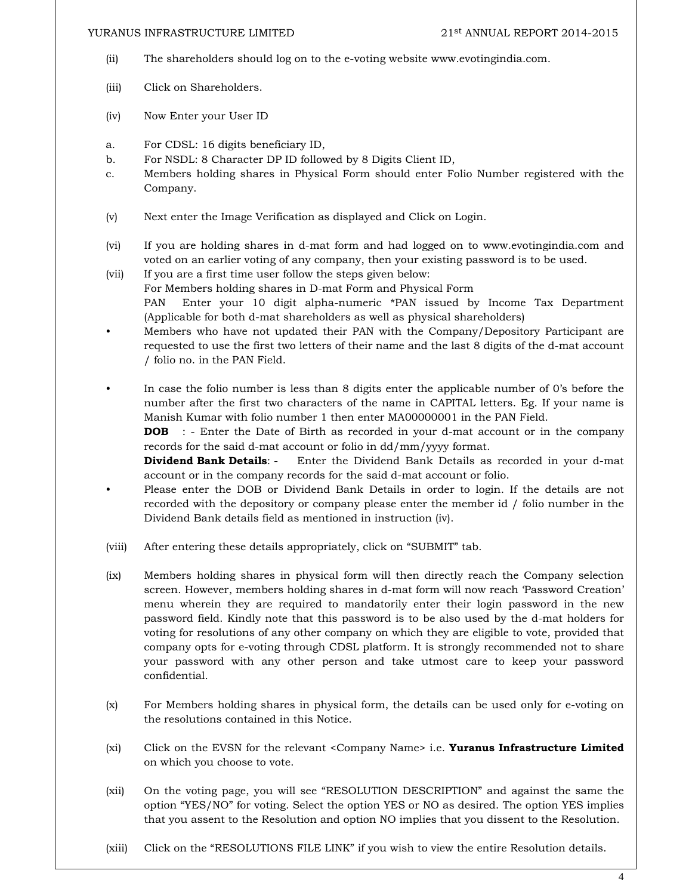#### YURANUS INFRASTRUCTURE LIMITED 21st ANNUAL REPORT 2014-2015

- (ii) The shareholders should log on to the e-voting website www.evotingindia.com.
- (iii) Click on Shareholders.
- (iv) Now Enter your User ID
- a. For CDSL: 16 digits beneficiary ID,
- b. For NSDL: 8 Character DP ID followed by 8 Digits Client ID,
- c. Members holding shares in Physical Form should enter Folio Number registered with the Company.
- (v) Next enter the Image Verification as displayed and Click on Login.
- (vi) If you are holding shares in d-mat form and had logged on to www.evotingindia.com and voted on an earlier voting of any company, then your existing password is to be used.
- (vii) If you are a first time user follow the steps given below: For Members holding shares in D-mat Form and Physical Form PAN Enter your 10 digit alpha-numeric \*PAN issued by Income Tax Department (Applicable for both d-mat shareholders as well as physical shareholders)
- Members who have not updated their PAN with the Company/Depository Participant are requested to use the first two letters of their name and the last 8 digits of the d-mat account / folio no. in the PAN Field.
- In case the folio number is less than 8 digits enter the applicable number of 0's before the number after the first two characters of the name in CAPITAL letters. Eg. If your name is Manish Kumar with folio number 1 then enter MA00000001 in the PAN Field.

**DOB** : - Enter the Date of Birth as recorded in your d-mat account or in the company records for the said d-mat account or folio in dd/mm/yyyy format.

**Dividend Bank Details:** - Enter the Dividend Bank Details as recorded in your d-mat account or in the company records for the said d-mat account or folio.

- Please enter the DOB or Dividend Bank Details in order to login. If the details are not recorded with the depository or company please enter the member id / folio number in the Dividend Bank details field as mentioned in instruction (iv).
- (viii) After entering these details appropriately, click on "SUBMIT" tab.
- (ix) Members holding shares in physical form will then directly reach the Company selection screen. However, members holding shares in d-mat form will now reach 'Password Creation' menu wherein they are required to mandatorily enter their login password in the new password field. Kindly note that this password is to be also used by the d-mat holders for voting for resolutions of any other company on which they are eligible to vote, provided that company opts for e-voting through CDSL platform. It is strongly recommended not to share your password with any other person and take utmost care to keep your password confidential.
- (x) For Members holding shares in physical form, the details can be used only for e-voting on the resolutions contained in this Notice.
- (xi) Click on the EVSN for the relevant <Company Name> i.e. **Yuranus Infrastructure Limited** on which you choose to vote.
- (xii) On the voting page, you will see "RESOLUTION DESCRIPTION" and against the same the option "YES/NO" for voting. Select the option YES or NO as desired. The option YES implies that you assent to the Resolution and option NO implies that you dissent to the Resolution.
- (xiii) Click on the "RESOLUTIONS FILE LINK" if you wish to view the entire Resolution details.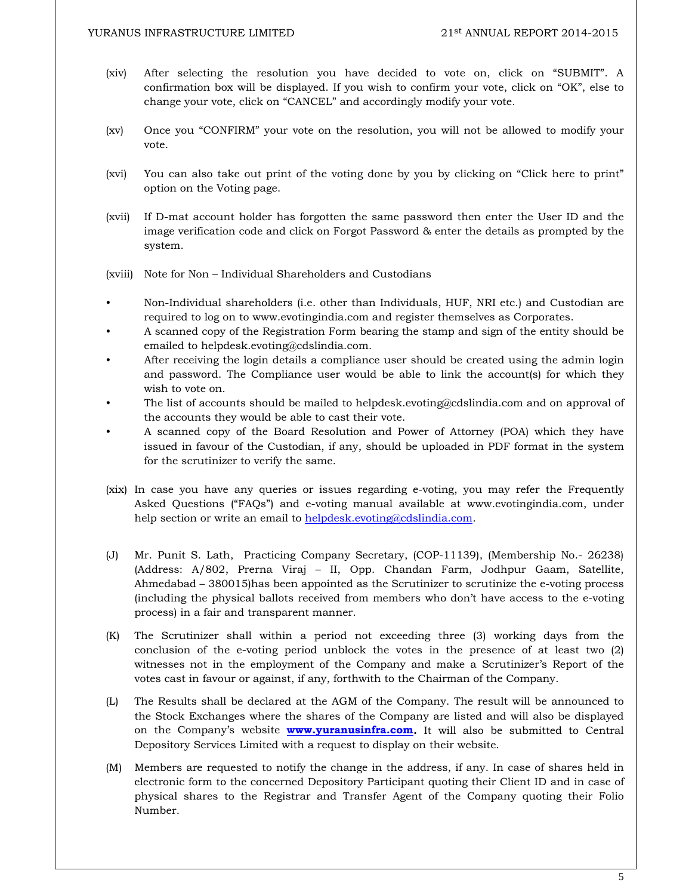- (xiv) After selecting the resolution you have decided to vote on, click on "SUBMIT". A confirmation box will be displayed. If you wish to confirm your vote, click on "OK", else to change your vote, click on "CANCEL" and accordingly modify your vote.
- (xv) Once you "CONFIRM" your vote on the resolution, you will not be allowed to modify your vote.
- (xvi) You can also take out print of the voting done by you by clicking on "Click here to print" option on the Voting page.
- (xvii) If D-mat account holder has forgotten the same password then enter the User ID and the image verification code and click on Forgot Password & enter the details as prompted by the system.
- (xviii) Note for Non Individual Shareholders and Custodians
- Non-Individual shareholders (i.e. other than Individuals, HUF, NRI etc.) and Custodian are required to log on to www.evotingindia.com and register themselves as Corporates.
- A scanned copy of the Registration Form bearing the stamp and sign of the entity should be emailed to helpdesk.evoting@cdslindia.com.
- After receiving the login details a compliance user should be created using the admin login and password. The Compliance user would be able to link the account(s) for which they wish to vote on.
- The list of accounts should be mailed to helpdesk.evoting@cdslindia.com and on approval of the accounts they would be able to cast their vote.
- A scanned copy of the Board Resolution and Power of Attorney (POA) which they have issued in favour of the Custodian, if any, should be uploaded in PDF format in the system for the scrutinizer to verify the same.
- (xix) In case you have any queries or issues regarding e-voting, you may refer the Frequently Asked Questions ("FAQs") and e-voting manual available at www.evotingindia.com, under help section or write an email to helpdesk.evoting@cdslindia.com.
- (J) Mr. Punit S. Lath, Practicing Company Secretary, (COP-11139), (Membership No.- 26238) (Address: A/802, Prerna Viraj – II, Opp. Chandan Farm, Jodhpur Gaam, Satellite, Ahmedabad – 380015)has been appointed as the Scrutinizer to scrutinize the e-voting process (including the physical ballots received from members who don't have access to the e-voting process) in a fair and transparent manner.
- (K) The Scrutinizer shall within a period not exceeding three (3) working days from the conclusion of the e-voting period unblock the votes in the presence of at least two (2) witnesses not in the employment of the Company and make a Scrutinizer's Report of the votes cast in favour or against, if any, forthwith to the Chairman of the Company.
- (L) The Results shall be declared at the AGM of the Company. The result will be announced to the Stock Exchanges where the shares of the Company are listed and will also be displayed on the Company's website **www.yuranusinfra.com.** It will also be submitted to Central Depository Services Limited with a request to display on their website.
- (M) Members are requested to notify the change in the address, if any. In case of shares held in electronic form to the concerned Depository Participant quoting their Client ID and in case of physical shares to the Registrar and Transfer Agent of the Company quoting their Folio Number.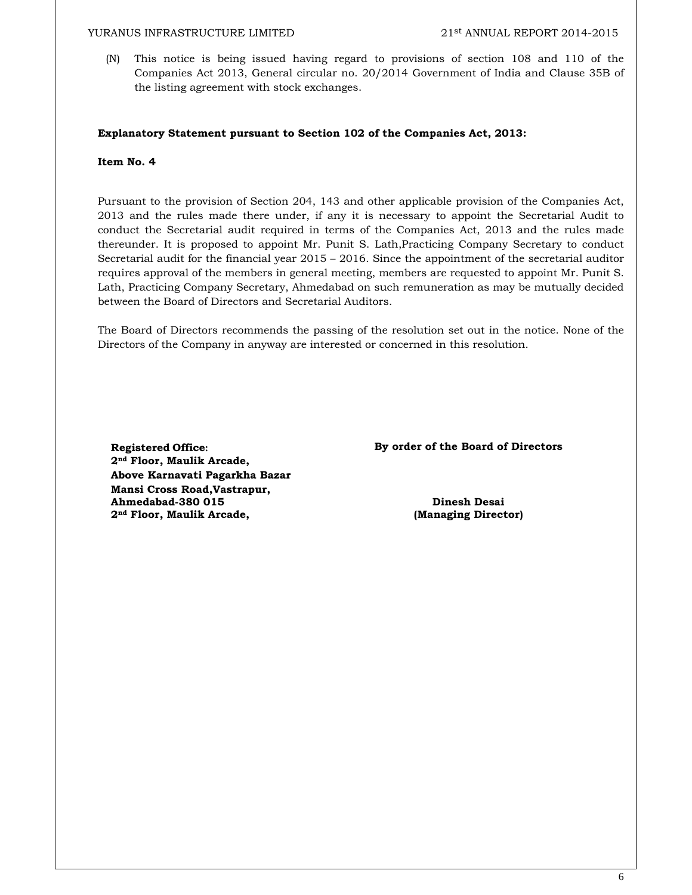#### YURANUS INFRASTRUCTURE LIMITED 21<sup>st</sup> ANNUAL REPORT 2014-2015

(N) This notice is being issued having regard to provisions of section 108 and 110 of the Companies Act 2013, General circular no. 20/2014 Government of India and Clause 35B of the listing agreement with stock exchanges.

# **Explanatory Statement pursuant to Section 102 of the Companies Act, 2013:**

# **Item No. 4**

Pursuant to the provision of Section 204, 143 and other applicable provision of the Companies Act, 2013 and the rules made there under, if any it is necessary to appoint the Secretarial Audit to conduct the Secretarial audit required in terms of the Companies Act, 2013 and the rules made thereunder. It is proposed to appoint Mr. Punit S. Lath,Practicing Company Secretary to conduct Secretarial audit for the financial year 2015 – 2016. Since the appointment of the secretarial auditor requires approval of the members in general meeting, members are requested to appoint Mr. Punit S. Lath, Practicing Company Secretary, Ahmedabad on such remuneration as may be mutually decided between the Board of Directors and Secretarial Auditors.

The Board of Directors recommends the passing of the resolution set out in the notice. None of the Directors of the Company in anyway are interested or concerned in this resolution.

**2nd Floor, Maulik Arcade, Above Karnavati Pagarkha Bazar Mansi Cross Road,Vastrapur, Ahmedabad-380 015 Dinesh Desai 2nd Floor, Maulik Arcade, (Managing Director)** 

**Registered Office: By order of the Board of Directors**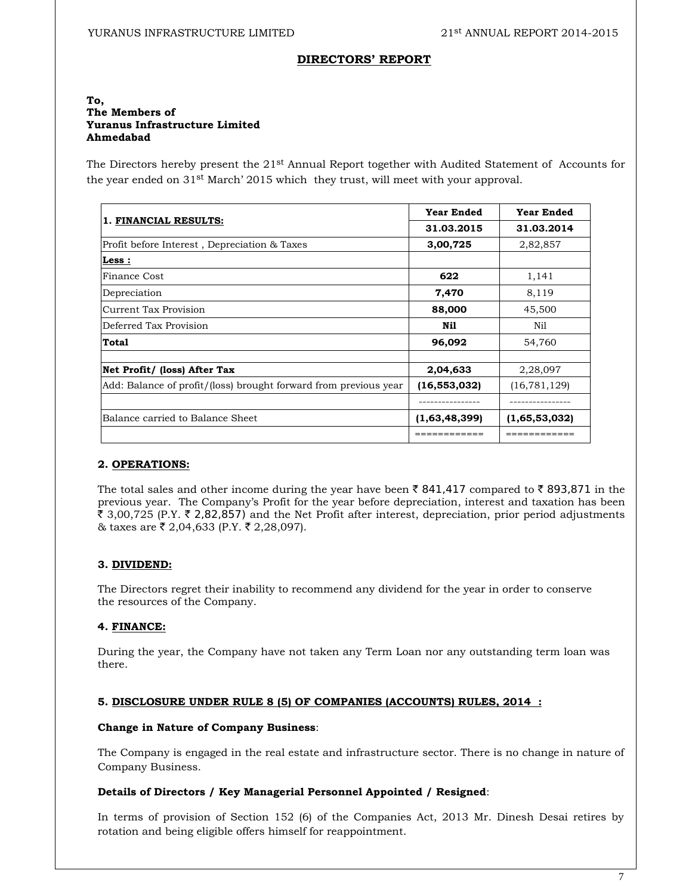#### **DIRECTORS' REPORT**

#### **To, The Members of Yuranus Infrastructure Limited Ahmedabad**

The Directors hereby present the 21<sup>st</sup> Annual Report together with Audited Statement of Accounts for the year ended on 31st March' 2015 which they trust, will meet with your approval.

|                                                                  | <b>Year Ended</b> | <b>Year Ended</b> |
|------------------------------------------------------------------|-------------------|-------------------|
| <b>1. FINANCIAL RESULTS:</b>                                     | 31.03.2015        | 31.03.2014        |
| Profit before Interest, Depreciation & Taxes                     | 3,00,725          | 2,82,857          |
| Less :                                                           |                   |                   |
| <b>Finance Cost</b>                                              | 622               | 1,141             |
| Depreciation                                                     | 7,470             | 8,119             |
| Current Tax Provision                                            | 88,000            | 45,500            |
| Deferred Tax Provision                                           | Nil               | Nil               |
| Total                                                            | 96,092            | 54,760            |
| Net Profit/ (loss) After Tax                                     | 2,04,633          | 2,28,097          |
| Add: Balance of profit/(loss) brought forward from previous year | (16, 553, 032)    | (16, 781, 129)    |
|                                                                  |                   |                   |
| Balance carried to Balance Sheet                                 | (1,63,48,399)     | (1,65,53,032)     |
|                                                                  |                   |                   |

#### **2. OPERATIONS:**

The total sales and other income during the year have been  $\bar{\tau}$  841,417 compared to  $\bar{\tau}$  893,871 in the previous year. The Company's Profit for the year before depreciation, interest and taxation has been ₹ 3,00,725 (P.Y. ₹ 2,82,857) and the Net Profit after interest, depreciation, prior period adjustments & taxes are  $\bar{\mathfrak{e}}$  2,04,633 (P.Y.  $\bar{\mathfrak{e}}$  2,28,097).

#### **3. DIVIDEND:**

The Directors regret their inability to recommend any dividend for the year in order to conserve the resources of the Company.

#### **4. FINANCE:**

During the year, the Company have not taken any Term Loan nor any outstanding term loan was there.

#### **5. DISCLOSURE UNDER RULE 8 (5) OF COMPANIES (ACCOUNTS) RULES, 2014 :**

#### **Change in Nature of Company Business**:

The Company is engaged in the real estate and infrastructure sector. There is no change in nature of Company Business.

#### **Details of Directors / Key Managerial Personnel Appointed / Resigned**:

In terms of provision of Section 152 (6) of the Companies Act, 2013 Mr. Dinesh Desai retires by rotation and being eligible offers himself for reappointment.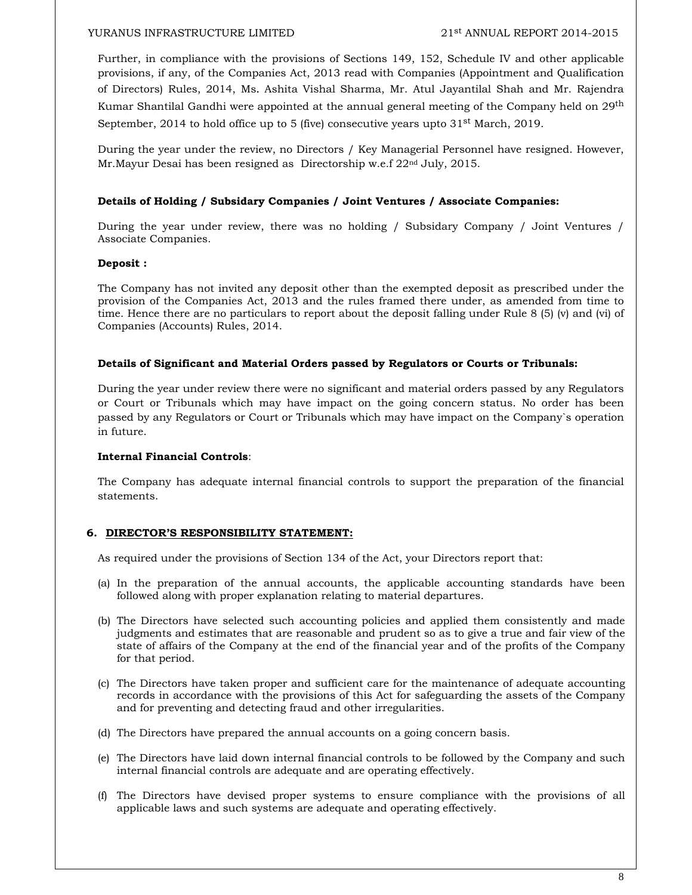Further, in compliance with the provisions of Sections 149, 152, Schedule IV and other applicable provisions, if any, of the Companies Act, 2013 read with Companies (Appointment and Qualification of Directors) Rules, 2014, Ms. Ashita Vishal Sharma, Mr. Atul Jayantilal Shah and Mr. Rajendra Kumar Shantilal Gandhi were appointed at the annual general meeting of the Company held on 29<sup>th</sup> September, 2014 to hold office up to 5 (five) consecutive years upto 31st March, 2019.

During the year under the review, no Directors / Key Managerial Personnel have resigned. However, Mr.Mayur Desai has been resigned as Directorship w.e.f 22nd July, 2015.

#### **Details of Holding / Subsidary Companies / Joint Ventures / Associate Companies:**

During the year under review, there was no holding / Subsidary Company / Joint Ventures / Associate Companies.

#### **Deposit :**

The Company has not invited any deposit other than the exempted deposit as prescribed under the provision of the Companies Act, 2013 and the rules framed there under, as amended from time to time. Hence there are no particulars to report about the deposit falling under Rule 8 (5) (v) and (vi) of Companies (Accounts) Rules, 2014.

#### **Details of Significant and Material Orders passed by Regulators or Courts or Tribunals:**

During the year under review there were no significant and material orders passed by any Regulators or Court or Tribunals which may have impact on the going concern status. No order has been passed by any Regulators or Court or Tribunals which may have impact on the Company`s operation in future.

#### **Internal Financial Controls**:

The Company has adequate internal financial controls to support the preparation of the financial statements.

#### **6. DIRECTOR'S RESPONSIBILITY STATEMENT:**

As required under the provisions of Section 134 of the Act, your Directors report that:

- (a) In the preparation of the annual accounts, the applicable accounting standards have been followed along with proper explanation relating to material departures.
- (b) The Directors have selected such accounting policies and applied them consistently and made judgments and estimates that are reasonable and prudent so as to give a true and fair view of the state of affairs of the Company at the end of the financial year and of the profits of the Company for that period.
- (c) The Directors have taken proper and sufficient care for the maintenance of adequate accounting records in accordance with the provisions of this Act for safeguarding the assets of the Company and for preventing and detecting fraud and other irregularities.
- (d) The Directors have prepared the annual accounts on a going concern basis.
- (e) The Directors have laid down internal financial controls to be followed by the Company and such internal financial controls are adequate and are operating effectively.
- (f) The Directors have devised proper systems to ensure compliance with the provisions of all applicable laws and such systems are adequate and operating effectively.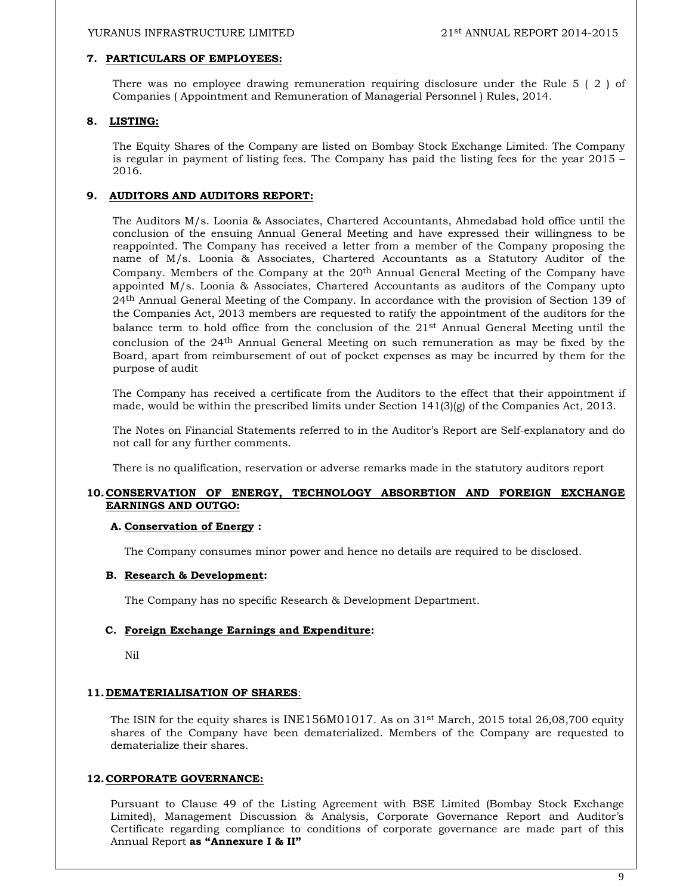#### **7. PARTICULARS OF EMPLOYEES:**

There was no employee drawing remuneration requiring disclosure under the Rule 5 ( 2 ) of Companies ( Appointment and Remuneration of Managerial Personnel ) Rules, 2014.

#### **8. LISTING:**

The Equity Shares of the Company are listed on Bombay Stock Exchange Limited. The Company is regular in payment of listing fees. The Company has paid the listing fees for the year 2015 – 2016.

#### **9. AUDITORS AND AUDITORS REPORT:**

The Auditors M/s. Loonia & Associates, Chartered Accountants, Ahmedabad hold office until the conclusion of the ensuing Annual General Meeting and have expressed their willingness to be reappointed. The Company has received a letter from a member of the Company proposing the name of M/s. Loonia & Associates, Chartered Accountants as a Statutory Auditor of the Company. Members of the Company at the  $20<sup>th</sup>$  Annual General Meeting of the Company have appointed M/s. Loonia & Associates, Chartered Accountants as auditors of the Company upto 24<sup>th</sup> Annual General Meeting of the Company. In accordance with the provision of Section 139 of the Companies Act, 2013 members are requested to ratify the appointment of the auditors for the balance term to hold office from the conclusion of the 21<sup>st</sup> Annual General Meeting until the conclusion of the 24th Annual General Meeting on such remuneration as may be fixed by the Board, apart from reimbursement of out of pocket expenses as may be incurred by them for the purpose of audit

The Company has received a certificate from the Auditors to the effect that their appointment if made, would be within the prescribed limits under Section  $141(3)(g)$  of the Companies Act, 2013.

The Notes on Financial Statements referred to in the Auditor's Report are Self-explanatory and do not call for any further comments.

There is no qualification, reservation or adverse remarks made in the statutory auditors report

#### **10.CONSERVATION OF ENERGY, TECHNOLOGY ABSORBTION AND FOREIGN EXCHANGE EARNINGS AND OUTGO:**

#### **A. Conservation of Energy :**

The Company consumes minor power and hence no details are required to be disclosed.

#### **B. Research & Development:**

The Company has no specific Research & Development Department.

#### **C. Foreign Exchange Earnings and Expenditure:**

Nil

#### **11.DEMATERIALISATION OF SHARES**:

The ISIN for the equity shares is INE156M01017. As on  $31<sup>st</sup>$  March, 2015 total 26,08,700 equity shares of the Company have been dematerialized. Members of the Company are requested to dematerialize their shares.

#### **12.CORPORATE GOVERNANCE:**

 Pursuant to Clause 49 of the Listing Agreement with BSE Limited (Bombay Stock Exchange Limited), Management Discussion & Analysis, Corporate Governance Report and Auditor's Certificate regarding compliance to conditions of corporate governance are made part of this Annual Report **as "Annexure I & II"**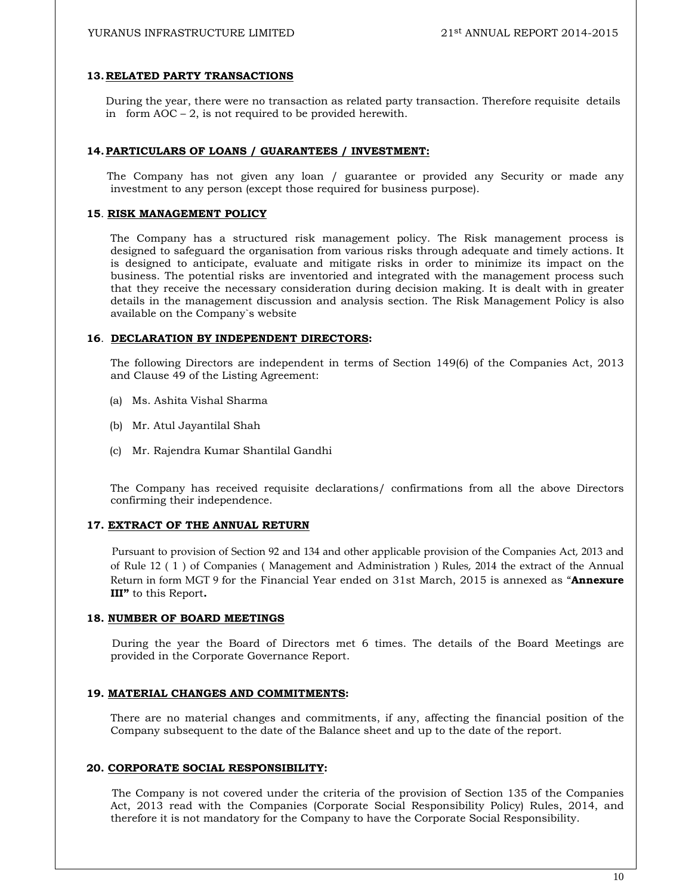#### **13.RELATED PARTY TRANSACTIONS**

During the year, there were no transaction as related party transaction. Therefore requisite details in form  $AOC - 2$ , is not required to be provided herewith.

#### **14.PARTICULARS OF LOANS / GUARANTEES / INVESTMENT:**

 The Company has not given any loan / guarantee or provided any Security or made any investment to any person (except those required for business purpose).

#### **15**. **RISK MANAGEMENT POLICY**

 The Company has a structured risk management policy. The Risk management process is designed to safeguard the organisation from various risks through adequate and timely actions. It is designed to anticipate, evaluate and mitigate risks in order to minimize its impact on the business. The potential risks are inventoried and integrated with the management process such that they receive the necessary consideration during decision making. It is dealt with in greater details in the management discussion and analysis section. The Risk Management Policy is also available on the Company`s website

#### **16**. **DECLARATION BY INDEPENDENT DIRECTORS:**

 The following Directors are independent in terms of Section 149(6) of the Companies Act, 2013 and Clause 49 of the Listing Agreement:

- (a) Ms. Ashita Vishal Sharma
- (b) Mr. Atul Jayantilal Shah
- (c) Mr. Rajendra Kumar Shantilal Gandhi

 The Company has received requisite declarations/ confirmations from all the above Directors confirming their independence.

#### **17. EXTRACT OF THE ANNUAL RETURN**

Pursuant to provision of Section 92 and 134 and other applicable provision of the Companies Act, 2013 and of Rule 12 ( 1 ) of Companies ( Management and Administration ) Rules, 2014 the extract of the Annual Return in form MGT 9 for the Financial Year ended on 31st March, 2015 is annexed as "**Annexure III"** to this Report**.**

#### **18. NUMBER OF BOARD MEETINGS**

During the year the Board of Directors met 6 times. The details of the Board Meetings are provided in the Corporate Governance Report.

#### **19. MATERIAL CHANGES AND COMMITMENTS:**

There are no material changes and commitments, if any, affecting the financial position of the Company subsequent to the date of the Balance sheet and up to the date of the report.

#### **20. CORPORATE SOCIAL RESPONSIBILITY:**

The Company is not covered under the criteria of the provision of Section 135 of the Companies Act, 2013 read with the Companies (Corporate Social Responsibility Policy) Rules, 2014, and therefore it is not mandatory for the Company to have the Corporate Social Responsibility.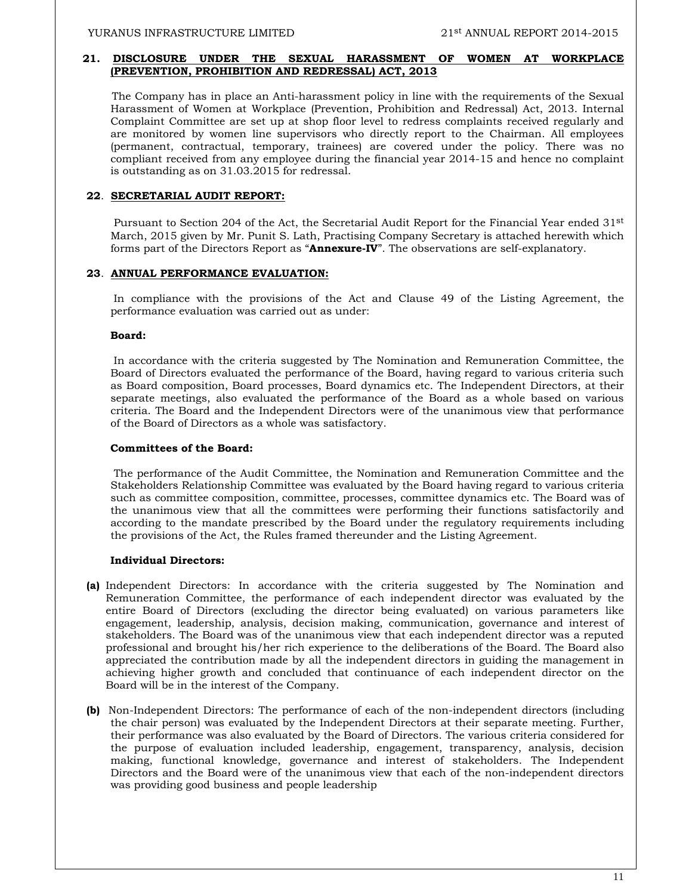#### **21. DISCLOSURE UNDER THE SEXUAL HARASSMENT OF WOMEN AT WORKPLACE (PREVENTION, PROHIBITION AND REDRESSAL) ACT, 2013**

The Company has in place an Anti-harassment policy in line with the requirements of the Sexual Harassment of Women at Workplace (Prevention, Prohibition and Redressal) Act, 2013. Internal Complaint Committee are set up at shop floor level to redress complaints received regularly and are monitored by women line supervisors who directly report to the Chairman. All employees (permanent, contractual, temporary, trainees) are covered under the policy. There was no compliant received from any employee during the financial year 2014-15 and hence no complaint is outstanding as on 31.03.2015 for redressal.

#### **22**. **SECRETARIAL AUDIT REPORT:**

Pursuant to Section 204 of the Act, the Secretarial Audit Report for the Financial Year ended 31st March, 2015 given by Mr. Punit S. Lath, Practising Company Secretary is attached herewith which forms part of the Directors Report as "**Annexure-IV**". The observations are self-explanatory.

#### **23**. **ANNUAL PERFORMANCE EVALUATION:**

 In compliance with the provisions of the Act and Clause 49 of the Listing Agreement, the performance evaluation was carried out as under:

#### **Board:**

 In accordance with the criteria suggested by The Nomination and Remuneration Committee, the Board of Directors evaluated the performance of the Board, having regard to various criteria such as Board composition, Board processes, Board dynamics etc. The Independent Directors, at their separate meetings, also evaluated the performance of the Board as a whole based on various criteria. The Board and the Independent Directors were of the unanimous view that performance of the Board of Directors as a whole was satisfactory.

#### **Committees of the Board:**

 The performance of the Audit Committee, the Nomination and Remuneration Committee and the Stakeholders Relationship Committee was evaluated by the Board having regard to various criteria such as committee composition, committee, processes, committee dynamics etc. The Board was of the unanimous view that all the committees were performing their functions satisfactorily and according to the mandate prescribed by the Board under the regulatory requirements including the provisions of the Act, the Rules framed thereunder and the Listing Agreement.

#### **Individual Directors:**

- **(a)** Independent Directors: In accordance with the criteria suggested by The Nomination and Remuneration Committee, the performance of each independent director was evaluated by the entire Board of Directors (excluding the director being evaluated) on various parameters like engagement, leadership, analysis, decision making, communication, governance and interest of stakeholders. The Board was of the unanimous view that each independent director was a reputed professional and brought his/her rich experience to the deliberations of the Board. The Board also appreciated the contribution made by all the independent directors in guiding the management in achieving higher growth and concluded that continuance of each independent director on the Board will be in the interest of the Company.
- **(b)** Non-Independent Directors: The performance of each of the non-independent directors (including the chair person) was evaluated by the Independent Directors at their separate meeting. Further, their performance was also evaluated by the Board of Directors. The various criteria considered for the purpose of evaluation included leadership, engagement, transparency, analysis, decision making, functional knowledge, governance and interest of stakeholders. The Independent Directors and the Board were of the unanimous view that each of the non-independent directors was providing good business and people leadership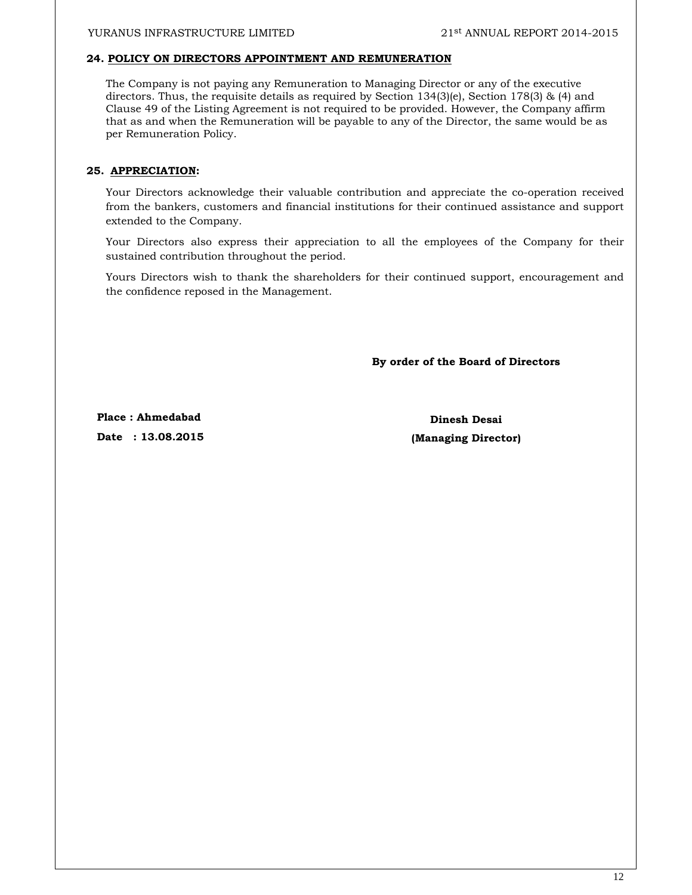#### **24. POLICY ON DIRECTORS APPOINTMENT AND REMUNERATION**

The Company is not paying any Remuneration to Managing Director or any of the executive directors. Thus, the requisite details as required by Section 134(3)(e), Section 178(3) & (4) and Clause 49 of the Listing Agreement is not required to be provided. However, the Company affirm that as and when the Remuneration will be payable to any of the Director, the same would be as per Remuneration Policy.

#### **25. APPRECIATION:**

Your Directors acknowledge their valuable contribution and appreciate the co-operation received from the bankers, customers and financial institutions for their continued assistance and support extended to the Company.

Your Directors also express their appreciation to all the employees of the Company for their sustained contribution throughout the period.

Yours Directors wish to thank the shareholders for their continued support, encouragement and the confidence reposed in the Management.

**By order of the Board of Directors** 

Place : Ahmedabad **Dinesh Desai** 

**Date : 13.08.2015 (Managing Director)**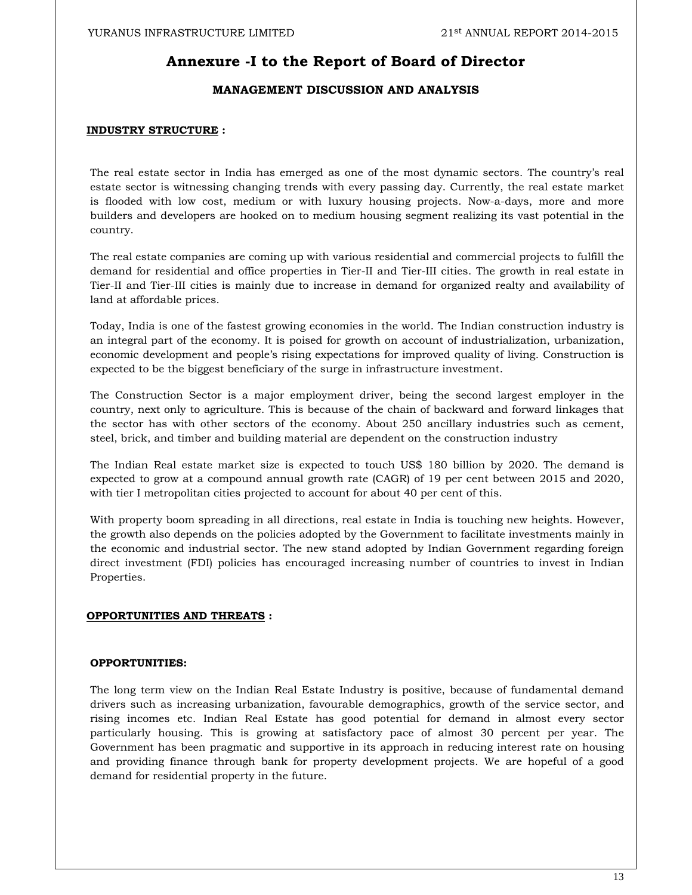# **Annexure -I to the Report of Board of Director**

#### **MANAGEMENT DISCUSSION AND ANALYSIS**

#### **INDUSTRY STRUCTURE :**

The real estate sector in India has emerged as one of the most dynamic sectors. The country's real estate sector is witnessing changing trends with every passing day. Currently, the real estate market is flooded with low cost, medium or with luxury housing projects. Now-a-days, more and more builders and developers are hooked on to medium housing segment realizing its vast potential in the country.

The real estate companies are coming up with various residential and commercial projects to fulfill the demand for residential and office properties in Tier-II and Tier-III cities. The growth in real estate in Tier-II and Tier-III cities is mainly due to increase in demand for organized realty and availability of land at affordable prices.

Today, India is one of the fastest growing economies in the world. The Indian construction industry is an integral part of the economy. It is poised for growth on account of industrialization, urbanization, economic development and people's rising expectations for improved quality of living. Construction is expected to be the biggest beneficiary of the surge in infrastructure investment.

The Construction Sector is a major employment driver, being the second largest employer in the country, next only to agriculture. This is because of the chain of backward and forward linkages that the sector has with other sectors of the economy. About 250 ancillary industries such as cement, steel, brick, and timber and building material are dependent on the construction industry

The Indian Real estate market size is expected to touch US\$ 180 billion by 2020. The demand is expected to grow at a compound annual growth rate (CAGR) of 19 per cent between 2015 and 2020, with tier I metropolitan cities projected to account for about 40 per cent of this.

With property boom spreading in all directions, real estate in India is touching new heights. However, the growth also depends on the policies adopted by the Government to facilitate investments mainly in the economic and industrial sector. The new stand adopted by Indian Government regarding foreign direct investment (FDI) policies has encouraged increasing number of countries to invest in Indian Properties.

#### **OPPORTUNITIES AND THREATS :**

#### **OPPORTUNITIES:**

The long term view on the Indian Real Estate Industry is positive, because of fundamental demand drivers such as increasing urbanization, favourable demographics, growth of the service sector, and rising incomes etc. Indian Real Estate has good potential for demand in almost every sector particularly housing. This is growing at satisfactory pace of almost 30 percent per year. The Government has been pragmatic and supportive in its approach in reducing interest rate on housing and providing finance through bank for property development projects. We are hopeful of a good demand for residential property in the future.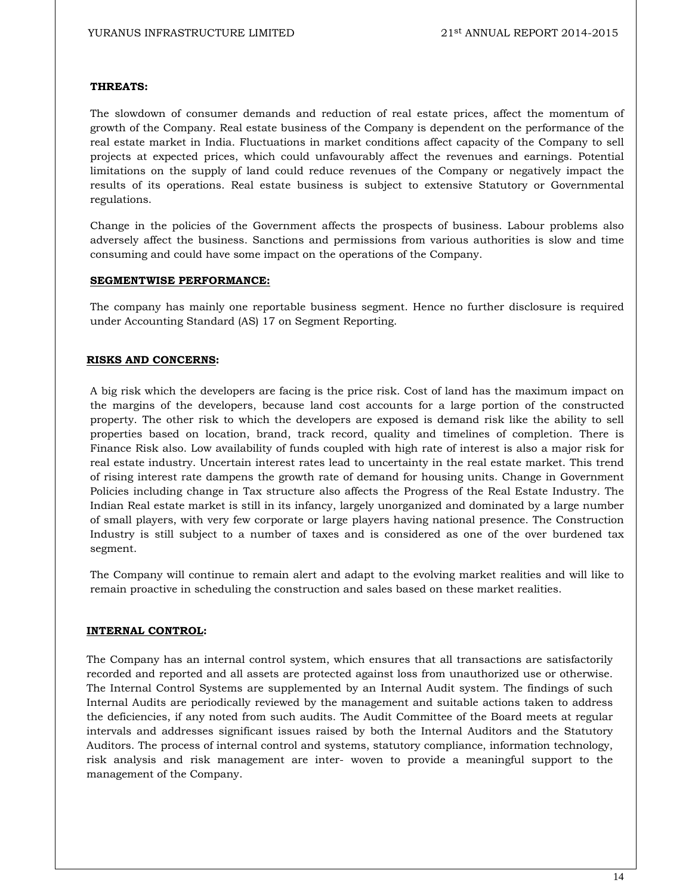#### **THREATS:**

The slowdown of consumer demands and reduction of real estate prices, affect the momentum of growth of the Company. Real estate business of the Company is dependent on the performance of the real estate market in India. Fluctuations in market conditions affect capacity of the Company to sell projects at expected prices, which could unfavourably affect the revenues and earnings. Potential limitations on the supply of land could reduce revenues of the Company or negatively impact the results of its operations. Real estate business is subject to extensive Statutory or Governmental regulations.

Change in the policies of the Government affects the prospects of business. Labour problems also adversely affect the business. Sanctions and permissions from various authorities is slow and time consuming and could have some impact on the operations of the Company.

#### **SEGMENTWISE PERFORMANCE:**

The company has mainly one reportable business segment. Hence no further disclosure is required under Accounting Standard (AS) 17 on Segment Reporting.

#### **RISKS AND CONCERNS:**

A big risk which the developers are facing is the price risk. Cost of land has the maximum impact on the margins of the developers, because land cost accounts for a large portion of the constructed property. The other risk to which the developers are exposed is demand risk like the ability to sell properties based on location, brand, track record, quality and timelines of completion. There is Finance Risk also. Low availability of funds coupled with high rate of interest is also a major risk for real estate industry. Uncertain interest rates lead to uncertainty in the real estate market. This trend of rising interest rate dampens the growth rate of demand for housing units. Change in Government Policies including change in Tax structure also affects the Progress of the Real Estate Industry. The Indian Real estate market is still in its infancy, largely unorganized and dominated by a large number of small players, with very few corporate or large players having national presence. The Construction Industry is still subject to a number of taxes and is considered as one of the over burdened tax segment.

The Company will continue to remain alert and adapt to the evolving market realities and will like to remain proactive in scheduling the construction and sales based on these market realities.

#### **INTERNAL CONTROL:**

The Company has an internal control system, which ensures that all transactions are satisfactorily recorded and reported and all assets are protected against loss from unauthorized use or otherwise. The Internal Control Systems are supplemented by an Internal Audit system. The findings of such Internal Audits are periodically reviewed by the management and suitable actions taken to address the deficiencies, if any noted from such audits. The Audit Committee of the Board meets at regular intervals and addresses significant issues raised by both the Internal Auditors and the Statutory Auditors. The process of internal control and systems, statutory compliance, information technology, risk analysis and risk management are inter- woven to provide a meaningful support to the management of the Company.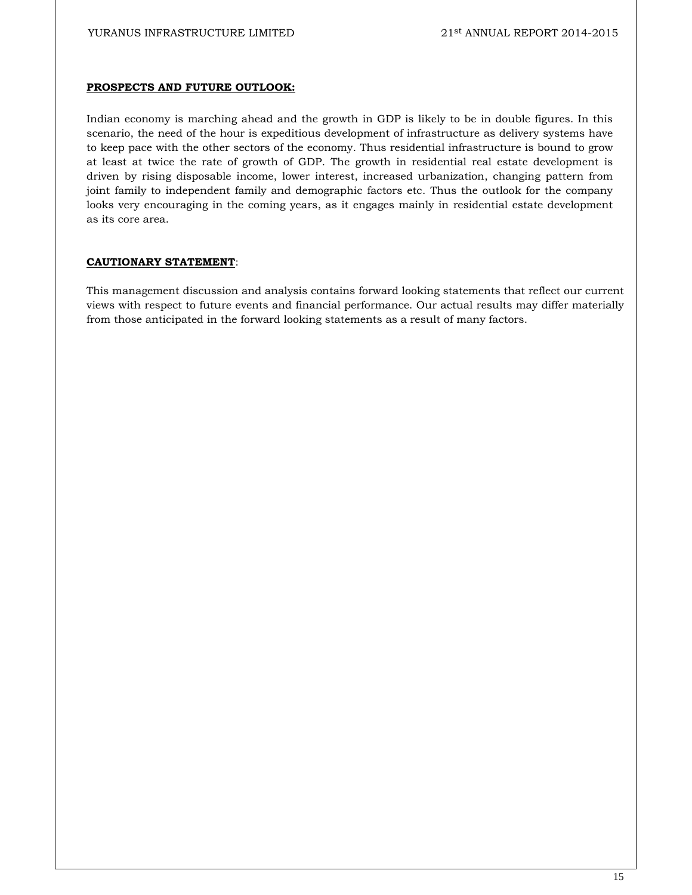#### **PROSPECTS AND FUTURE OUTLOOK:**

Indian economy is marching ahead and the growth in GDP is likely to be in double figures. In this scenario, the need of the hour is expeditious development of infrastructure as delivery systems have to keep pace with the other sectors of the economy. Thus residential infrastructure is bound to grow at least at twice the rate of growth of GDP. The growth in residential real estate development is driven by rising disposable income, lower interest, increased urbanization, changing pattern from joint family to independent family and demographic factors etc. Thus the outlook for the company looks very encouraging in the coming years, as it engages mainly in residential estate development as its core area.

#### **CAUTIONARY STATEMENT**:

This management discussion and analysis contains forward looking statements that reflect our current views with respect to future events and financial performance. Our actual results may differ materially from those anticipated in the forward looking statements as a result of many factors.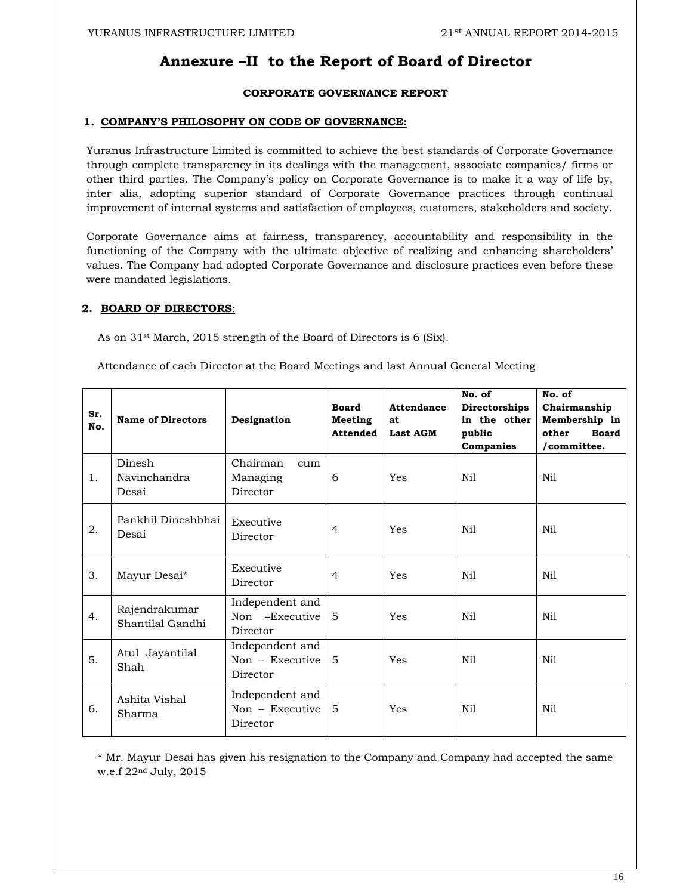# **Annexure –II to the Report of Board of Director**

#### **CORPORATE GOVERNANCE REPORT**

#### **1. COMPANY'S PHILOSOPHY ON CODE OF GOVERNANCE:**

Yuranus Infrastructure Limited is committed to achieve the best standards of Corporate Governance through complete transparency in its dealings with the management, associate companies/ firms or other third parties. The Company's policy on Corporate Governance is to make it a way of life by, inter alia, adopting superior standard of Corporate Governance practices through continual improvement of internal systems and satisfaction of employees, customers, stakeholders and society.

Corporate Governance aims at fairness, transparency, accountability and responsibility in the functioning of the Company with the ultimate objective of realizing and enhancing shareholders' values. The Company had adopted Corporate Governance and disclosure practices even before these were mandated legislations.

#### **2. BOARD OF DIRECTORS**:

As on 31st March, 2015 strength of the Board of Directors is 6 (Six).

Attendance of each Director at the Board Meetings and last Annual General Meeting

| Sr.<br>No.     | <b>Name of Directors</b>          | Designation                                      | <b>Board</b><br><b>Meeting</b><br><b>Attended</b> | <b>Attendance</b><br>at<br><b>Last AGM</b> | No. of<br>Directorships<br>in the other<br>public<br>Companies | No. of<br>Chairmanship<br>Membership in<br>other<br><b>Board</b><br>/committee. |
|----------------|-----------------------------------|--------------------------------------------------|---------------------------------------------------|--------------------------------------------|----------------------------------------------------------------|---------------------------------------------------------------------------------|
| 1 <sub>1</sub> | Dinesh<br>Navinchandra<br>Desai   | Chairman<br>cum<br>Managing<br>Director          | 6                                                 | Yes                                        | N <sub>i</sub>                                                 | N <sub>il</sub>                                                                 |
| 2.             | Pankhil Dineshbhai<br>Desai       | Executive<br>Director                            | $\overline{4}$                                    | Yes                                        | N <sub>i</sub> 1                                               | N <sub>il</sub>                                                                 |
| 3.             | Mayur Desai*                      | Executive<br>Director                            | $\overline{4}$                                    | Yes                                        | N <sub>i</sub> 1                                               | N <sub>il</sub>                                                                 |
| 4.             | Rajendrakumar<br>Shantilal Gandhi | Independent and<br>Non -Executive<br>Director    | $\overline{5}$                                    | Yes                                        | N <sub>i</sub>                                                 | N <sub>il</sub>                                                                 |
| 5.             | Atul Jayantilal<br>Shah           | Independent and<br>Non $-$ Executive<br>Director | $\overline{5}$                                    | Yes                                        | N <sub>i</sub> 1                                               | N <sub>il</sub>                                                                 |
| 6.             | Ashita Vishal<br>Sharma           | Independent and<br>$Non - Exective$<br>Director  | $\overline{5}$                                    | Yes                                        | N <sub>i</sub> 1                                               | N <sub>il</sub>                                                                 |

\* Mr. Mayur Desai has given his resignation to the Company and Company had accepted the same w.e.f 22nd July, 2015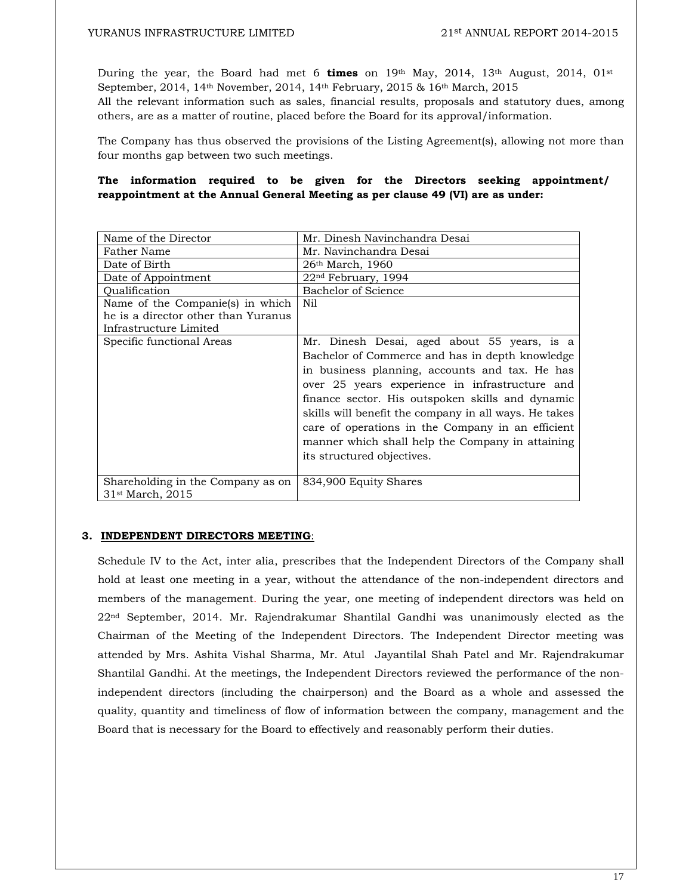During the year, the Board had met 6 **times** on 19<sup>th</sup> May, 2014, 13<sup>th</sup> August, 2014, 01<sup>st</sup> September, 2014, 14th November, 2014, 14th February, 2015 & 16th March, 2015

All the relevant information such as sales, financial results, proposals and statutory dues, among others, are as a matter of routine, placed before the Board for its approval/information.

The Company has thus observed the provisions of the Listing Agreement(s), allowing not more than four months gap between two such meetings.

#### **The information required to be given for the Directors seeking appointment/ reappointment at the Annual General Meeting as per clause 49 (VI) are as under:**

| Name of the Director                                                                              | Mr. Dinesh Navinchandra Desai                                                                                                                                                                                                                                                                                                                                                                                                                          |
|---------------------------------------------------------------------------------------------------|--------------------------------------------------------------------------------------------------------------------------------------------------------------------------------------------------------------------------------------------------------------------------------------------------------------------------------------------------------------------------------------------------------------------------------------------------------|
| Father Name                                                                                       | Mr. Navinchandra Desai                                                                                                                                                                                                                                                                                                                                                                                                                                 |
| Date of Birth                                                                                     | $26th$ March, 1960                                                                                                                                                                                                                                                                                                                                                                                                                                     |
| Date of Appointment                                                                               | $22nd$ February, 1994                                                                                                                                                                                                                                                                                                                                                                                                                                  |
| Oualification                                                                                     | Bachelor of Science                                                                                                                                                                                                                                                                                                                                                                                                                                    |
| Name of the Companie(s) in which<br>he is a director other than Yuranus<br>Infrastructure Limited | Nil                                                                                                                                                                                                                                                                                                                                                                                                                                                    |
| Specific functional Areas                                                                         | Mr. Dinesh Desai, aged about 55 years, is a<br>Bachelor of Commerce and has in depth knowledge<br>in business planning, accounts and tax. He has<br>over 25 years experience in infrastructure and<br>finance sector. His outspoken skills and dynamic<br>skills will benefit the company in all ways. He takes<br>care of operations in the Company in an efficient<br>manner which shall help the Company in attaining<br>its structured objectives. |
| Shareholding in the Company as on<br>31 <sup>st</sup> March, 2015                                 | 834,900 Equity Shares                                                                                                                                                                                                                                                                                                                                                                                                                                  |

#### **3. INDEPENDENT DIRECTORS MEETING**:

Schedule IV to the Act, inter alia, prescribes that the Independent Directors of the Company shall hold at least one meeting in a year, without the attendance of the non-independent directors and members of the management. During the year, one meeting of independent directors was held on  $22<sup>nd</sup>$  September, 2014. Mr. Rajendrakumar Shantilal Gandhi was unanimously elected as the Chairman of the Meeting of the Independent Directors. The Independent Director meeting was attended by Mrs. Ashita Vishal Sharma, Mr. Atul Jayantilal Shah Patel and Mr. Rajendrakumar Shantilal Gandhi. At the meetings, the Independent Directors reviewed the performance of the nonindependent directors (including the chairperson) and the Board as a whole and assessed the quality, quantity and timeliness of flow of information between the company, management and the Board that is necessary for the Board to effectively and reasonably perform their duties.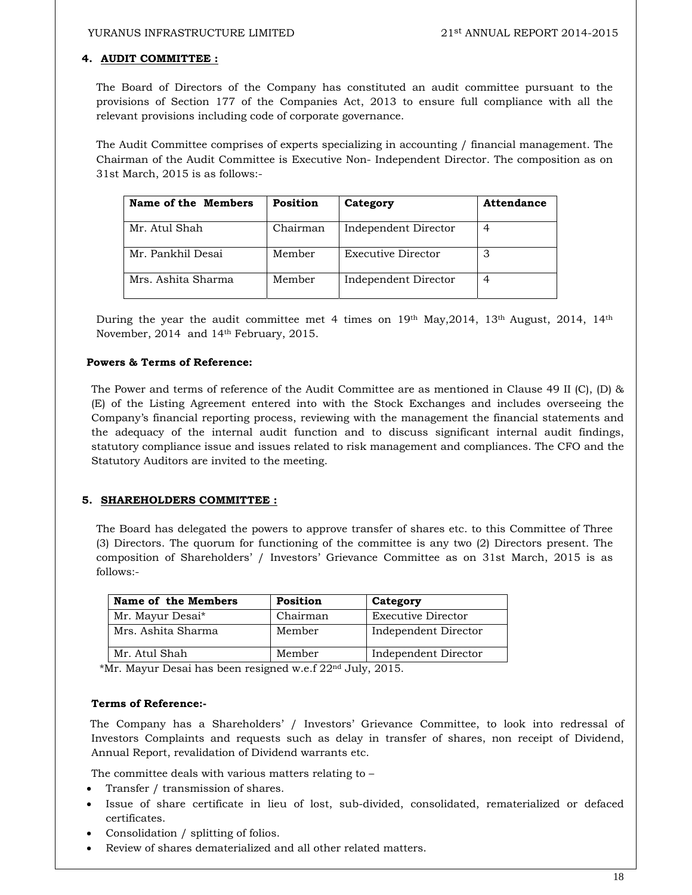#### **4. AUDIT COMMITTEE :**

The Board of Directors of the Company has constituted an audit committee pursuant to the provisions of Section 177 of the Companies Act, 2013 to ensure full compliance with all the relevant provisions including code of corporate governance.

The Audit Committee comprises of experts specializing in accounting / financial management. The Chairman of the Audit Committee is Executive Non- Independent Director. The composition as on 31st March, 2015 is as follows:-

| Name of the Members | Position | Category             | <b>Attendance</b> |
|---------------------|----------|----------------------|-------------------|
| Mr. Atul Shah       | Chairman | Independent Director |                   |
| Mr. Pankhil Desai   | Member   | Executive Director   | З                 |
| Mrs. Ashita Sharma  | Member   | Independent Director |                   |

During the year the audit committee met 4 times on  $19<sup>th</sup>$  May,  $2014$ ,  $13<sup>th</sup>$  August,  $2014$ ,  $14<sup>th</sup>$ November, 2014 and 14th February, 2015.

#### **Powers & Terms of Reference:**

The Power and terms of reference of the Audit Committee are as mentioned in Clause 49 II (C), (D) & (E) of the Listing Agreement entered into with the Stock Exchanges and includes overseeing the Company's financial reporting process, reviewing with the management the financial statements and the adequacy of the internal audit function and to discuss significant internal audit findings, statutory compliance issue and issues related to risk management and compliances. The CFO and the Statutory Auditors are invited to the meeting.

#### **5. SHAREHOLDERS COMMITTEE :**

The Board has delegated the powers to approve transfer of shares etc. to this Committee of Three (3) Directors. The quorum for functioning of the committee is any two (2) Directors present. The composition of Shareholders' / Investors' Grievance Committee as on 31st March, 2015 is as follows:-

| Name of the Members | <b>Position</b> | Category                  |
|---------------------|-----------------|---------------------------|
| Mr. Mayur Desai*    | Chairman        | <b>Executive Director</b> |
| Mrs. Ashita Sharma  | Member          | Independent Director      |
| Mr. Atul Shah       | Member          | Independent Director      |

\*Mr. Mayur Desai has been resigned w.e.f 22nd July, 2015.

#### **Terms of Reference:-**

 The Company has a Shareholders' / Investors' Grievance Committee, to look into redressal of Investors Complaints and requests such as delay in transfer of shares, non receipt of Dividend, Annual Report, revalidation of Dividend warrants etc.

The committee deals with various matters relating to –

- Transfer / transmission of shares.
- Issue of share certificate in lieu of lost, sub-divided, consolidated, rematerialized or defaced certificates.
- Consolidation / splitting of folios.
- Review of shares dematerialized and all other related matters.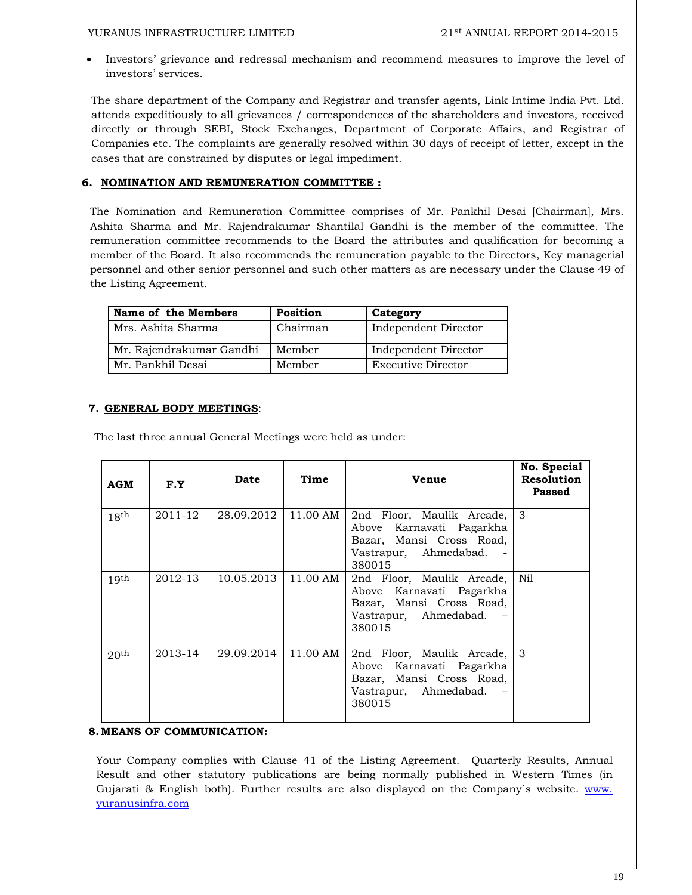• Investors' grievance and redressal mechanism and recommend measures to improve the level of investors' services.

The share department of the Company and Registrar and transfer agents, Link Intime India Pvt. Ltd. attends expeditiously to all grievances / correspondences of the shareholders and investors, received directly or through SEBI, Stock Exchanges, Department of Corporate Affairs, and Registrar of Companies etc. The complaints are generally resolved within 30 days of receipt of letter, except in the cases that are constrained by disputes or legal impediment.

#### **6. NOMINATION AND REMUNERATION COMMITTEE :**

The Nomination and Remuneration Committee comprises of Mr. Pankhil Desai [Chairman], Mrs. Ashita Sharma and Mr. Rajendrakumar Shantilal Gandhi is the member of the committee. The remuneration committee recommends to the Board the attributes and qualification for becoming a member of the Board. It also recommends the remuneration payable to the Directors, Key managerial personnel and other senior personnel and such other matters as are necessary under the Clause 49 of the Listing Agreement.

| Name of the Members      | Position | Category             |
|--------------------------|----------|----------------------|
| Mrs. Ashita Sharma       | Chairman | Independent Director |
| Mr. Rajendrakumar Gandhi | Member   | Independent Director |
| Mr. Pankhil Desai        | Member   | Executive Director   |

## **7. GENERAL BODY MEETINGS**:

The last three annual General Meetings were held as under:

| AGM              | F.Y     | Date       | Time     | Venue                                                                                                                  | No. Special<br><b>Resolution</b><br>Passed |
|------------------|---------|------------|----------|------------------------------------------------------------------------------------------------------------------------|--------------------------------------------|
| 18 <sup>th</sup> | 2011-12 | 28.09.2012 | 11.00 AM | 2nd Floor, Maulik Arcade,<br>Above Karnavati Pagarkha<br>Bazar, Mansi Cross Road,<br>Vastrapur, Ahmedabad.<br>380015   | 3                                          |
| 19 <sup>th</sup> | 2012-13 | 10.05.2013 | 11.00 AM | 2nd Floor, Maulik Arcade,<br>Above Karnavati Pagarkha<br>Bazar, Mansi Cross Road,<br>Vastrapur, Ahmedabad.<br>380015   | Nil                                        |
| 20 <sup>th</sup> | 2013-14 | 29.09.2014 | 11.00 AM | 2nd Floor, Maulik Arcade,<br>Above Karnavati Pagarkha<br>Bazar, Mansi Cross Road,<br>Vastrapur, Ahmedabad. –<br>380015 | 3                                          |

#### **8. MEANS OF COMMUNICATION:**

Your Company complies with Clause 41 of the Listing Agreement. Quarterly Results, Annual Result and other statutory publications are being normally published in Western Times (in Gujarati & English both). Further results are also displayed on the Company's website. www. yuranusinfra.com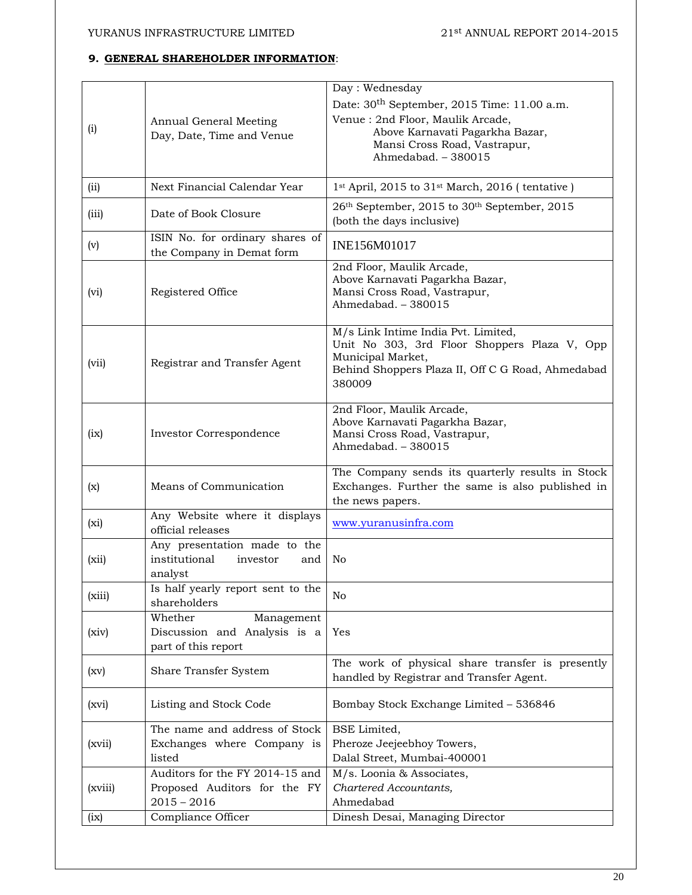#### **9. GENERAL SHAREHOLDER INFORMATION**:

|         |                                                                                  | Day: Wednesday                                                                                                                                                                         |
|---------|----------------------------------------------------------------------------------|----------------------------------------------------------------------------------------------------------------------------------------------------------------------------------------|
| (i)     | Annual General Meeting<br>Day, Date, Time and Venue                              | Date: 30 <sup>th</sup> September, 2015 Time: 11.00 a.m.<br>Venue : 2nd Floor, Maulik Arcade,<br>Above Karnavati Pagarkha Bazar,<br>Mansi Cross Road, Vastrapur,<br>Ahmedabad. - 380015 |
| (i)     | Next Financial Calendar Year                                                     | 1 <sup>st</sup> April, 2015 to 31 <sup>st</sup> March, 2016 (tentative)                                                                                                                |
| (iii)   | Date of Book Closure                                                             | 26th September, 2015 to 30th September, 2015<br>(both the days inclusive)                                                                                                              |
| (v)     | ISIN No. for ordinary shares of<br>the Company in Demat form                     | INE156M01017                                                                                                                                                                           |
| (vi)    | Registered Office                                                                | 2nd Floor, Maulik Arcade,<br>Above Karnavati Pagarkha Bazar,<br>Mansi Cross Road, Vastrapur,<br>Ahmedabad. - 380015                                                                    |
| (vii)   | Registrar and Transfer Agent                                                     | M/s Link Intime India Pvt. Limited,<br>Unit No 303, 3rd Floor Shoppers Plaza V, Opp<br>Municipal Market,<br>Behind Shoppers Plaza II, Off C G Road, Ahmedabad<br>380009                |
| (ix)    | Investor Correspondence                                                          | 2nd Floor, Maulik Arcade,<br>Above Karnavati Pagarkha Bazar,<br>Mansi Cross Road, Vastrapur,<br>Ahmedabad. - 380015                                                                    |
| (x)     | Means of Communication                                                           | The Company sends its quarterly results in Stock<br>Exchanges. Further the same is also published in<br>the news papers.                                                               |
| $(x_i)$ | Any Website where it displays<br>official releases                               | www.yuranusinfra.com                                                                                                                                                                   |
| (xii)   | Any presentation made to the<br>institutional<br>investor<br>and<br>analyst      | No                                                                                                                                                                                     |
| (xiii)  | Is half yearly report sent to the<br>shareholders                                | No                                                                                                                                                                                     |
| (xiv)   | Whether<br>Management<br>Discussion and Analysis is a<br>part of this report     | Yes                                                                                                                                                                                    |
| (xv)    | Share Transfer System                                                            | The work of physical share transfer is presently<br>handled by Registrar and Transfer Agent.                                                                                           |
| (xvi)   | Listing and Stock Code                                                           | Bombay Stock Exchange Limited - 536846                                                                                                                                                 |
| (xvii)  | The name and address of Stock<br>Exchanges where Company is<br>listed            | BSE Limited,<br>Pheroze Jeejeebhoy Towers,<br>Dalal Street, Mumbai-400001                                                                                                              |
| (xviii) | Auditors for the FY 2014-15 and<br>Proposed Auditors for the FY<br>$2015 - 2016$ | M/s. Loonia & Associates,<br>Chartered Accountants,<br>Ahmedabad                                                                                                                       |
| (ix)    | Compliance Officer                                                               | Dinesh Desai, Managing Director                                                                                                                                                        |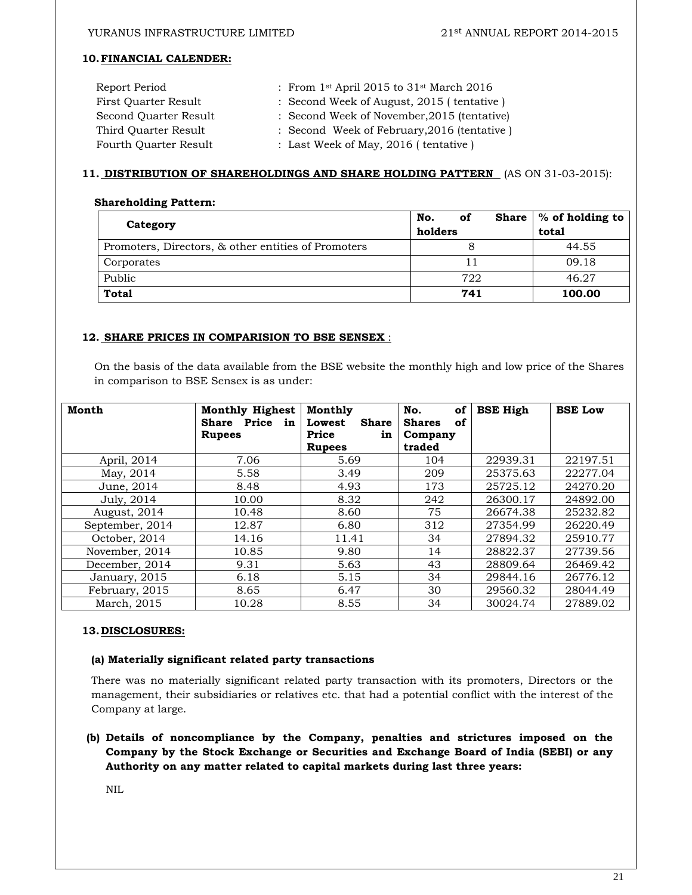#### **10.FINANCIAL CALENDER:**

| Report Period         | : From 1st April 2015 to 31st March 2016    |
|-----------------------|---------------------------------------------|
| First Ouarter Result  | : Second Week of August, 2015 (tentative)   |
| Second Ouarter Result | : Second Week of November, 2015 (tentative) |
| Third Ouarter Result  | : Second Week of February, 2016 (tentative) |
| Fourth Quarter Result | : Last Week of May, 2016 (tentative)        |

#### **11. DISTRIBUTION OF SHAREHOLDINGS AND SHARE HOLDING PATTERN** (AS ON 31-03-2015):

#### **Shareholding Pattern:**

| Category                                            | No.<br>of | Share $\frac{1}{2}$ of holding to |
|-----------------------------------------------------|-----------|-----------------------------------|
|                                                     | holders   | total                             |
| Promoters, Directors, & other entities of Promoters |           | 44.55                             |
| Corporates                                          |           | 09.18                             |
| Public                                              | 722       | 46.27                             |
| <b>Total</b>                                        | 741       | 100.00                            |

#### **12. SHARE PRICES IN COMPARISION TO BSE SENSEX** :

On the basis of the data available from the BSE website the monthly high and low price of the Shares in comparison to BSE Sensex is as under:

| Month           | <b>Monthly Highest</b><br>Share Price in<br><b>Rupees</b> | Monthly<br>Lowest<br><b>Share</b><br>Price<br>in<br><b>Rupees</b> | No.<br>of<br><b>Shares</b><br>of<br>Company<br>traded | <b>BSE High</b> | <b>BSE Low</b> |
|-----------------|-----------------------------------------------------------|-------------------------------------------------------------------|-------------------------------------------------------|-----------------|----------------|
| April, 2014     | 7.06                                                      | 5.69                                                              | 104                                                   | 22939.31        | 22197.51       |
| May, 2014       | 5.58                                                      | 3.49                                                              | 209                                                   | 25375.63        | 22277.04       |
| June, 2014      | 8.48                                                      | 4.93                                                              | 173                                                   | 25725.12        | 24270.20       |
| July, 2014      | 10.00                                                     | 8.32                                                              | 242                                                   | 26300.17        | 24892.00       |
| August, 2014    | 10.48                                                     | 8.60                                                              | 75                                                    | 26674.38        | 25232.82       |
| September, 2014 | 12.87                                                     | 6.80                                                              | 312                                                   | 27354.99        | 26220.49       |
| October, 2014   | 14.16                                                     | 11.41                                                             | 34                                                    | 27894.32        | 25910.77       |
| November, 2014  | 10.85                                                     | 9.80                                                              | 14                                                    | 28822.37        | 27739.56       |
| December, 2014  | 9.31                                                      | 5.63                                                              | 43                                                    | 28809.64        | 26469.42       |
| January, 2015   | 6.18                                                      | 5.15                                                              | 34                                                    | 29844.16        | 26776.12       |
| February, 2015  | 8.65                                                      | 6.47                                                              | 30                                                    | 29560.32        | 28044.49       |
| March, 2015     | 10.28                                                     | 8.55                                                              | 34                                                    | 30024.74        | 27889.02       |

#### **13.DISCLOSURES:**

#### **(a) Materially significant related party transactions**

There was no materially significant related party transaction with its promoters, Directors or the management, their subsidiaries or relatives etc. that had a potential conflict with the interest of the Company at large.

**(b) Details of noncompliance by the Company, penalties and strictures imposed on the Company by the Stock Exchange or Securities and Exchange Board of India (SEBI) or any Authority on any matter related to capital markets during last three years:**

NIL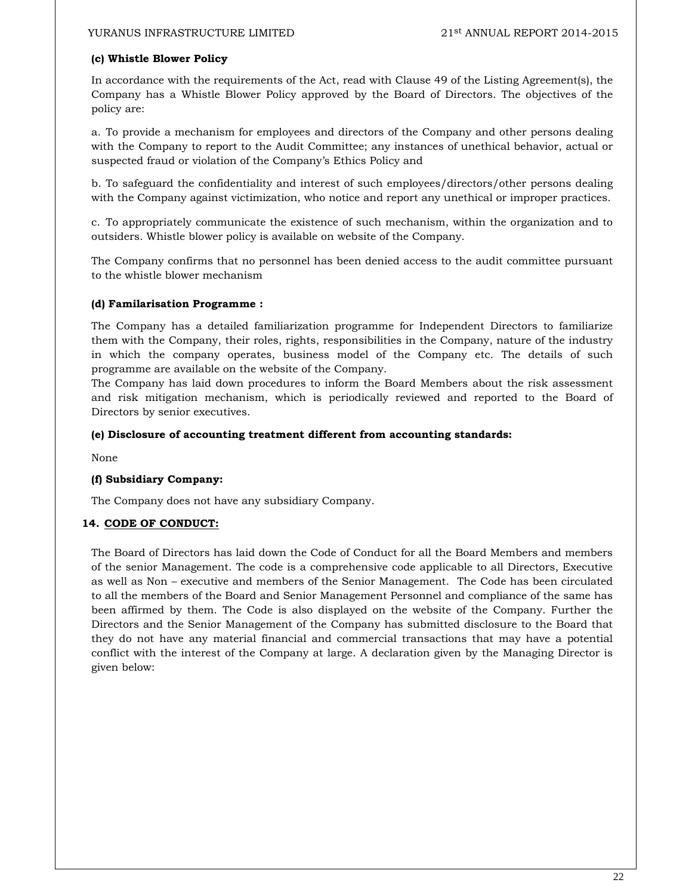#### **(c) Whistle Blower Policy**

In accordance with the requirements of the Act, read with Clause 49 of the Listing Agreement(s), the Company has a Whistle Blower Policy approved by the Board of Directors. The objectives of the policy are:

a. To provide a mechanism for employees and directors of the Company and other persons dealing with the Company to report to the Audit Committee; any instances of unethical behavior, actual or suspected fraud or violation of the Company's Ethics Policy and

b. To safeguard the confidentiality and interest of such employees/directors/other persons dealing with the Company against victimization, who notice and report any unethical or improper practices.

c. To appropriately communicate the existence of such mechanism, within the organization and to outsiders. Whistle blower policy is available on website of the Company.

The Company confirms that no personnel has been denied access to the audit committee pursuant to the whistle blower mechanism

#### **(d) Familarisation Programme :**

The Company has a detailed familiarization programme for Independent Directors to familiarize them with the Company, their roles, rights, responsibilities in the Company, nature of the industry in which the company operates, business model of the Company etc. The details of such programme are available on the website of the Company.

The Company has laid down procedures to inform the Board Members about the risk assessment and risk mitigation mechanism, which is periodically reviewed and reported to the Board of Directors by senior executives.

#### **(e) Disclosure of accounting treatment different from accounting standards:**

None

#### **(f) Subsidiary Company:**

The Company does not have any subsidiary Company.

#### **14. CODE OF CONDUCT:**

The Board of Directors has laid down the Code of Conduct for all the Board Members and members of the senior Management. The code is a comprehensive code applicable to all Directors, Executive as well as Non – executive and members of the Senior Management. The Code has been circulated to all the members of the Board and Senior Management Personnel and compliance of the same has been affirmed by them. The Code is also displayed on the website of the Company. Further the Directors and the Senior Management of the Company has submitted disclosure to the Board that they do not have any material financial and commercial transactions that may have a potential conflict with the interest of the Company at large. A declaration given by the Managing Director is given below: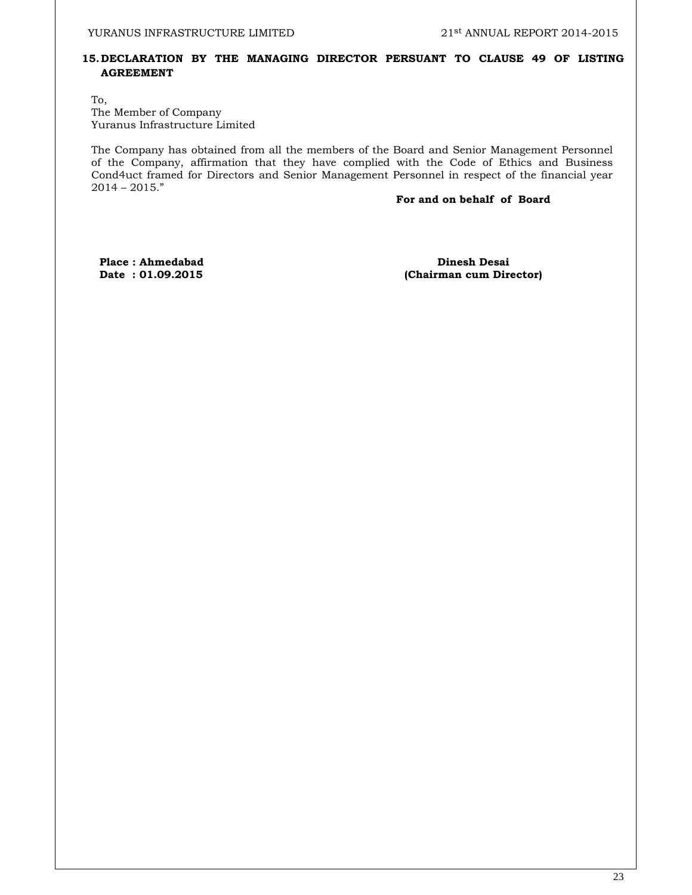#### **15.DECLARATION BY THE MANAGING DIRECTOR PERSUANT TO CLAUSE 49 OF LISTING AGREEMENT**

To, The Member of Company Yuranus Infrastructure Limited

The Company has obtained from all the members of the Board and Senior Management Personnel of the Company, affirmation that they have complied with the Code of Ethics and Business Cond4uct framed for Directors and Senior Management Personnel in respect of the financial year  $2014 - 2015."$ 

#### **For and on behalf of Board**

Place : Ahmedabad **Dinesh Desai <br>Dinesh Desai <br>Chairman cum Director (Chairman cum Director)** 

**(Chairman cum Director)**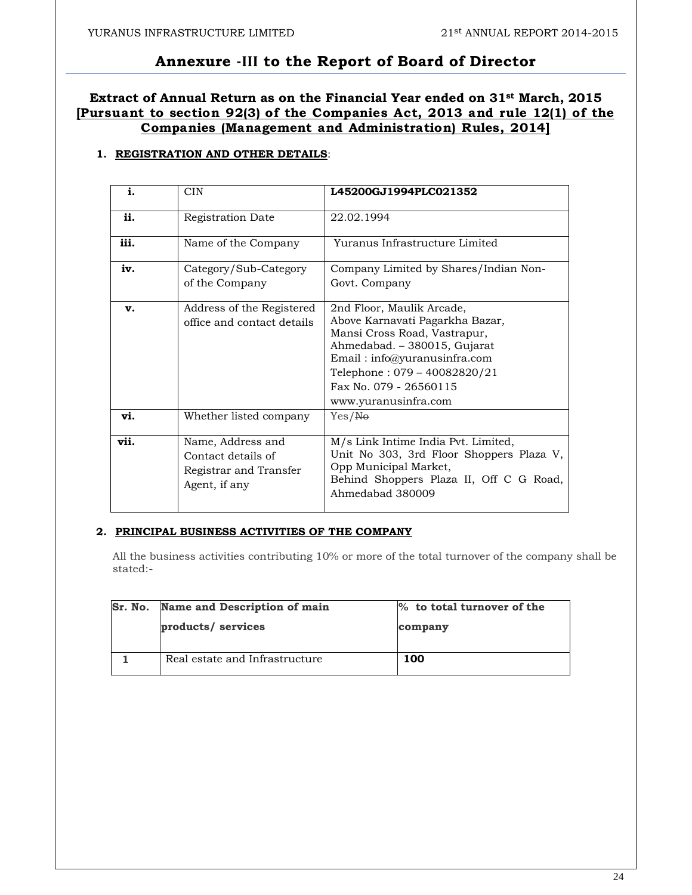# **Annexure ‐III to the Report of Board of Director**

# **Extract of Annual Return as on the Financial Year ended on 31st March, 2015 [Pursuant to section 92(3) of the Companies Act, 2013 and rule 12(1) of the Companies (Management and Administration) Rules, 2014]**

## **1. REGISTRATION AND OTHER DETAILS**:

| i.   | <b>CIN</b>                                                                         | L45200GJ1994PLC021352                                                                                                                                                                                                                          |
|------|------------------------------------------------------------------------------------|------------------------------------------------------------------------------------------------------------------------------------------------------------------------------------------------------------------------------------------------|
| ii.  | Registration Date                                                                  | 22.02.1994                                                                                                                                                                                                                                     |
| iii. | Name of the Company                                                                | Yuranus Infrastructure Limited                                                                                                                                                                                                                 |
| iv.  | Category/Sub-Category<br>of the Company                                            | Company Limited by Shares/Indian Non-<br>Govt. Company                                                                                                                                                                                         |
| v.   | Address of the Registered<br>office and contact details                            | 2nd Floor, Maulik Arcade,<br>Above Karnavati Pagarkha Bazar,<br>Mansi Cross Road, Vastrapur,<br>Ahmedabad. - 380015, Gujarat<br>Email: info@yuranusinfra.com<br>Telephone: 079 - 40082820/21<br>Fax No. 079 - 26560115<br>www.yuranusinfra.com |
| vi.  | Whether listed company                                                             | Yes/He                                                                                                                                                                                                                                         |
| vii. | Name, Address and<br>Contact details of<br>Registrar and Transfer<br>Agent, if any | M/s Link Intime India Pvt. Limited,<br>Unit No 303, 3rd Floor Shoppers Plaza V,<br>Opp Municipal Market,<br>Behind Shoppers Plaza II, Off C G Road,<br>Ahmedabad 380009                                                                        |

## **2. PRINCIPAL BUSINESS ACTIVITIES OF THE COMPANY**

All the business activities contributing 10% or more of the total turnover of the company shall be stated:-

| Sr. No. | Name and Description of main   | % to total turnover of the |  |  |
|---------|--------------------------------|----------------------------|--|--|
|         | products/ services             | company                    |  |  |
|         |                                |                            |  |  |
|         | Real estate and Infrastructure | 100                        |  |  |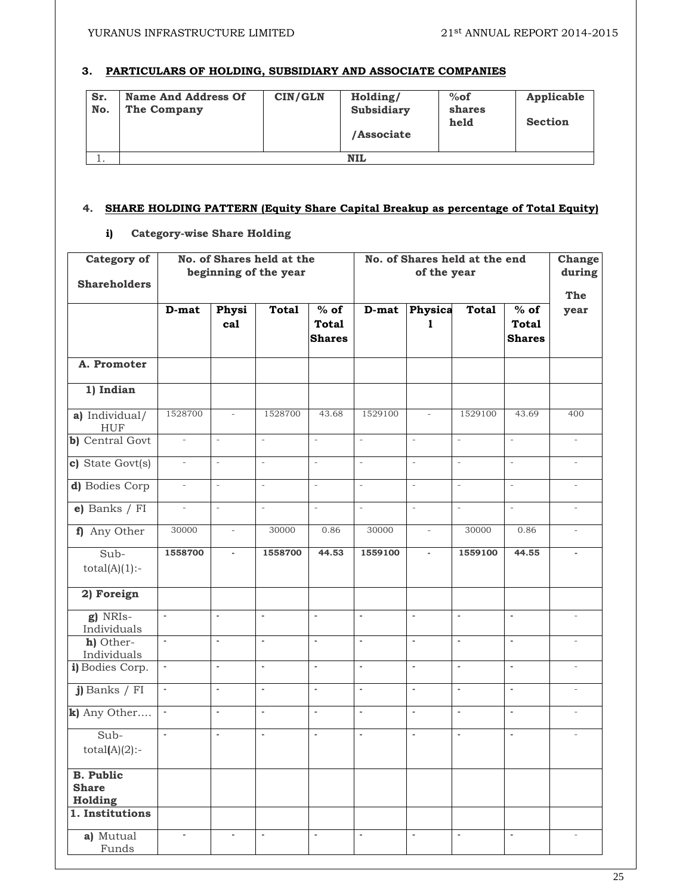#### **3. PARTICULARS OF HOLDING, SUBSIDIARY AND ASSOCIATE COMPANIES**

| Sr.<br>No. | <b>Name And Address Of</b><br>The Company | CIN/GLN | Holding/<br><b>Subsidiary</b><br>/Associate | %of<br>shares<br>held | Applicable<br><b>Section</b> |
|------------|-------------------------------------------|---------|---------------------------------------------|-----------------------|------------------------------|
|            |                                           |         | <b>NIL</b>                                  |                       |                              |

# **4. SHARE HOLDING PATTERN (Equity Share Capital Breakup as percentage of Total Equity)**

#### **i) Category-wise Share Holding**

| <b>Category of</b>                          |                          |                          | No. of Shares held at the<br>beginning of the year |                                                   | No. of Shares held at the end<br>of the year |                          |                          |                                                   |                          |  |  | Change<br>during |  |
|---------------------------------------------|--------------------------|--------------------------|----------------------------------------------------|---------------------------------------------------|----------------------------------------------|--------------------------|--------------------------|---------------------------------------------------|--------------------------|--|--|------------------|--|
| <b>Shareholders</b>                         |                          |                          |                                                    |                                                   |                                              |                          |                          |                                                   | <b>The</b>               |  |  |                  |  |
|                                             | D-mat                    | Physi<br>cal             | <b>Total</b>                                       | $\frac{9}{6}$ of<br><b>Total</b><br><b>Shares</b> | D-mat                                        | Physica<br>1             | <b>Total</b>             | $\frac{1}{6}$ of<br><b>Total</b><br><b>Shares</b> | year                     |  |  |                  |  |
| A. Promoter                                 |                          |                          |                                                    |                                                   |                                              |                          |                          |                                                   |                          |  |  |                  |  |
| 1) Indian                                   |                          |                          |                                                    |                                                   |                                              |                          |                          |                                                   |                          |  |  |                  |  |
| a) Individual/<br><b>HUF</b>                | 1528700                  | $\overline{\phantom{a}}$ | 1528700                                            | 43.68                                             | 1529100                                      | $\overline{\phantom{a}}$ | 1529100                  | 43.69                                             | 400                      |  |  |                  |  |
| <b>b)</b> Central Govt                      | $\overline{\phantom{a}}$ | $\bar{\phantom{a}}$      | $\overline{\phantom{a}}$                           | $\bar{a}$                                         | $\overline{\phantom{a}}$                     | $\overline{\phantom{a}}$ | $\overline{\phantom{a}}$ | $\omega$                                          | $\overline{\phantom{a}}$ |  |  |                  |  |
| c) State Govt(s)                            | $\overline{\phantom{a}}$ | $\overline{\phantom{a}}$ | $\overline{\phantom{a}}$                           | $\bar{ }$                                         | $\overline{\phantom{a}}$                     | ä,                       | $\bar{a}$                | $\omega$                                          | $\overline{\phantom{a}}$ |  |  |                  |  |
| d) Bodies Corp                              | $\overline{\phantom{a}}$ | $\overline{\phantom{a}}$ | $\bar{\phantom{a}}$                                | $\overline{\phantom{a}}$                          | $\overline{\phantom{a}}$                     | $\overline{\phantom{a}}$ | $\overline{\phantom{a}}$ | $\overline{\phantom{a}}$                          | $\overline{\phantom{a}}$ |  |  |                  |  |
| e) Banks / FI                               | $\overline{\phantom{a}}$ | $\overline{\phantom{a}}$ | $\overline{\phantom{a}}$                           | $\bar{\phantom{a}}$                               | $\bar{z}$                                    | ä,                       | $\sim$                   | $\bar{\phantom{a}}$                               | ÷,                       |  |  |                  |  |
| f) Any Other                                | 30000                    | $\overline{\phantom{a}}$ | 30000                                              | 0.86                                              | 30000                                        | $\overline{\phantom{a}}$ | 30000                    | 0.86                                              | $\overline{\phantom{a}}$ |  |  |                  |  |
| Sub-<br>$total(A)(1)$ :-                    | 1558700                  | $\blacksquare$           | 1558700                                            | 44.53                                             | 1559100                                      | $\overline{\phantom{a}}$ | 1559100                  | 44.55                                             | $\blacksquare$           |  |  |                  |  |
| 2) Foreign                                  |                          |                          |                                                    |                                                   |                                              |                          |                          |                                                   |                          |  |  |                  |  |
| g) NRIs-<br>Individuals                     | ä,                       | $\blacksquare$           | $\blacksquare$                                     | ÷,                                                | ÷,                                           | $\blacksquare$           | ÷,                       | $\mathbf{r}$                                      |                          |  |  |                  |  |
| h) Other-<br>Individuals                    | $\blacksquare$           | $\blacksquare$           | $\blacksquare$                                     | $\Box$                                            | $\overline{\phantom{a}}$                     | $\Box$                   | $\overline{\phantom{a}}$ | $\overline{\phantom{a}}$                          | ÷,                       |  |  |                  |  |
| i) Bodies Corp.                             | $\overline{\phantom{a}}$ | $\blacksquare$           | $\blacksquare$                                     | ä,                                                | $\blacksquare$                               | $\blacksquare$           | $\blacksquare$           | $\blacksquare$                                    | $\overline{\phantom{a}}$ |  |  |                  |  |
| j) Banks / FI                               | $\blacksquare$           | ÷.                       | $\overline{\phantom{a}}$                           | $\blacksquare$                                    | $\Box$                                       | $\blacksquare$           | $\Box$                   | $\omega$                                          | $\overline{\phantom{a}}$ |  |  |                  |  |
| k) Any Other                                | $\blacksquare$           | L,                       | ä,                                                 | L,                                                | ÷                                            | ä,                       | ÷,                       | ä,                                                | L,                       |  |  |                  |  |
| Sub-<br>$total(A)(2)$ :-                    | $\blacksquare$           | ÷                        | $\blacksquare$                                     | ä,                                                | $\blacksquare$                               | $\blacksquare$           | $\blacksquare$           | $\omega$                                          | $\overline{\phantom{a}}$ |  |  |                  |  |
| <b>B.</b> Public<br><b>Share</b><br>Holding |                          |                          |                                                    |                                                   |                                              |                          |                          |                                                   |                          |  |  |                  |  |
| 1. Institutions                             |                          |                          |                                                    |                                                   |                                              |                          |                          |                                                   |                          |  |  |                  |  |
| a) Mutual<br>Funds                          | $\blacksquare$           | $\overline{\phantom{a}}$ | $\blacksquare$                                     | $\blacksquare$                                    | $\overline{\phantom{a}}$                     | $\overline{\phantom{a}}$ | $\Box$                   | $\blacksquare$                                    |                          |  |  |                  |  |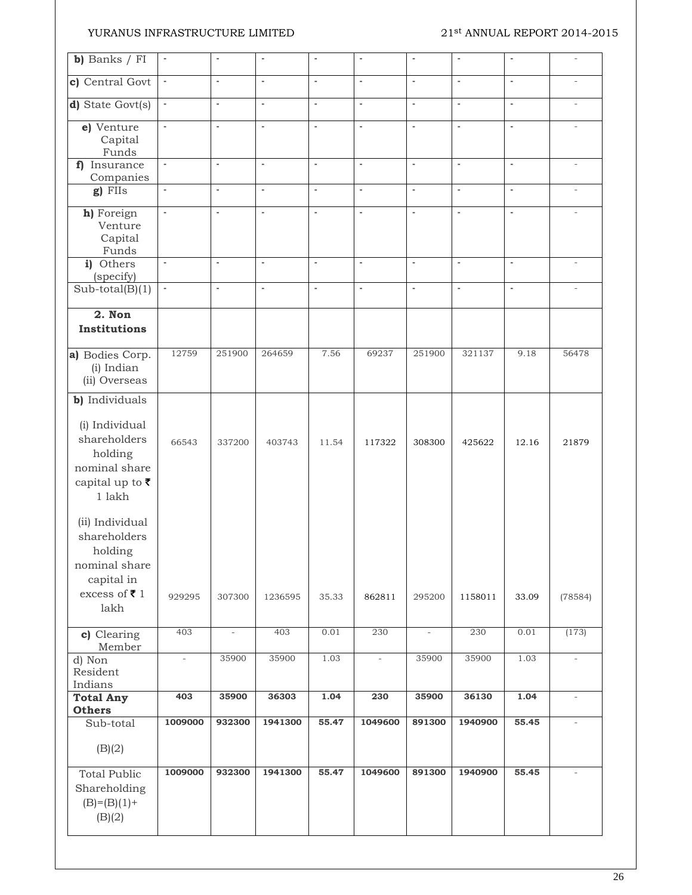| $b)$ Banks / FI                                                                                                          | $\blacksquare$           |                          | $\blacksquare$           | $\blacksquare$           | ٠                        | $\blacksquare$           |                | $\blacksquare$           |                          |
|--------------------------------------------------------------------------------------------------------------------------|--------------------------|--------------------------|--------------------------|--------------------------|--------------------------|--------------------------|----------------|--------------------------|--------------------------|
| c) Central Govt                                                                                                          | $\blacksquare$           | ä,                       | $\overline{\phantom{a}}$ | ä,                       | ä,                       | $\Delta$                 | ä,             | $\blacksquare$           | L,                       |
| d) State Govt(s)                                                                                                         | $\blacksquare$           | ÷,                       | $\overline{\phantom{a}}$ | $\sim$                   | ÷,                       | $\omega$                 | ä,             | ä,                       | $\overline{\phantom{a}}$ |
| e) Venture<br>Capital<br>Funds                                                                                           | $\Box$                   | $\blacksquare$           | $\overline{\phantom{a}}$ | $\Box$                   | $\blacksquare$           | $\blacksquare$           | ä,             | $\overline{\phantom{a}}$ | $\overline{\phantom{a}}$ |
| f) Insurance<br>Companies                                                                                                | $\blacksquare$           | $\blacksquare$           | $\blacksquare$           | $\blacksquare$           | $\overline{\phantom{a}}$ | $\blacksquare$           | $\Box$         | $\blacksquare$           | $\overline{\phantom{a}}$ |
| g) FIIs                                                                                                                  | $\blacksquare$           | $\blacksquare$           | $\overline{\phantom{a}}$ | ÷,                       | ÷,                       | $\blacksquare$           | ä,             | $\overline{\phantom{a}}$ |                          |
| h) Foreign<br>Venture<br>Capital<br>Funds                                                                                | $\blacksquare$           | ÷,                       | $\blacksquare$           | $\blacksquare$           | ÷,                       | ä,                       | $\blacksquare$ | $\blacksquare$           | $\overline{\phantom{a}}$ |
| i) Others<br>(specify)                                                                                                   | $\blacksquare$           | $\blacksquare$           | $\blacksquare$           | $\blacksquare$           | $\overline{\phantom{a}}$ | $\blacksquare$           | ÷.             | $\blacksquare$           | $\overline{\phantom{0}}$ |
| $Sub-total(B)(1)$                                                                                                        | $\overline{\phantom{a}}$ | $\blacksquare$           | $\blacksquare$           | $\overline{\phantom{a}}$ | $\blacksquare$           | $\blacksquare$           | ÷,             | $\blacksquare$           | $\overline{\phantom{0}}$ |
| 2. Non<br><b>Institutions</b>                                                                                            |                          |                          |                          |                          |                          |                          |                |                          |                          |
| a) Bodies Corp.<br>(i) Indian<br>(ii) Overseas                                                                           | 12759                    | 251900                   | 264659                   | 7.56                     | 69237                    | 251900                   | 321137         | 9.18                     | 56478                    |
| b) Individuals                                                                                                           |                          |                          |                          |                          |                          |                          |                |                          |                          |
| (i) Individual<br>shareholders<br>holding<br>nominal share<br>capital up to $\overline{\tau}$<br>$1$ $lakh$              | 66543                    | 337200                   | 403743                   | 11.54                    | 117322                   | 308300                   | 425622         | 12.16                    | 21879                    |
| (ii) Individual<br>shareholders<br>holding<br>nominal share<br>capital in<br>excess of $\overline{\mathbf{z}}$ 1<br>lakh | 929295                   | 307300                   | 1236595                  | 35.33                    | 862811                   | 295200                   | 1158011        | 33.09                    | (78584)                  |
| c) Clearing                                                                                                              | 403                      | $\overline{\phantom{a}}$ | 403                      | 0.01                     | 230                      | $\overline{\phantom{a}}$ | 230            | 0.01                     | (173)                    |
| Member<br>d) Non<br>Resident                                                                                             | $\overline{\phantom{a}}$ | 35900                    | 35900                    | 1.03                     | $\overline{\phantom{a}}$ | 35900                    | 35900          | 1.03                     | $\overline{\phantom{a}}$ |
| Indians<br><b>Total Any</b>                                                                                              | 403                      | 35900                    | 36303                    | 1.04                     | 230                      | 35900                    | 36130          | 1.04                     | $\overline{\phantom{a}}$ |
| Others                                                                                                                   |                          |                          |                          |                          |                          |                          |                |                          |                          |
| Sub-total<br>(B)(2)                                                                                                      | 1009000                  | 932300                   | 1941300                  | 55.47                    | 1049600                  | 891300                   | 1940900        | 55.45                    | $\overline{\phantom{a}}$ |
| <b>Total Public</b><br>Shareholding<br>$(B)= (B)(1) +$<br>(B)(2)                                                         | 1009000                  | 932300                   | 1941300                  | 55.47                    | 1049600                  | 891300                   | 1940900        | 55.45                    |                          |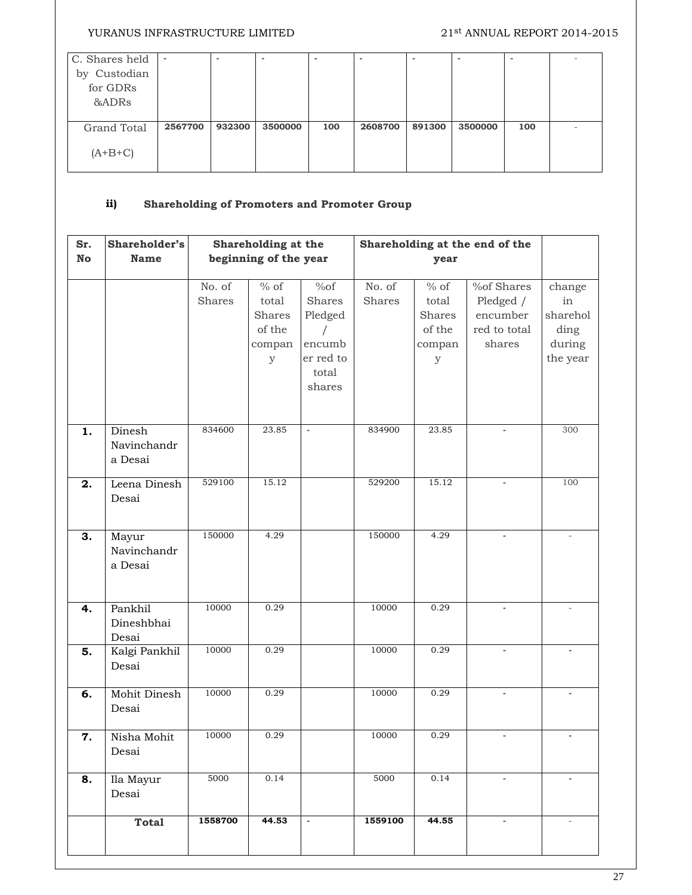# YURANUS INFRASTRUCTURE LIMITED 21st ANNUAL REPORT 2014-2015

| C. Shares held  | $\overline{\phantom{a}}$ |        | $\overline{a}$ | $\overline{\phantom{a}}$ | -       | $\overline{\phantom{0}}$ | $\overline{a}$ | $\overline{a}$ |   |
|-----------------|--------------------------|--------|----------------|--------------------------|---------|--------------------------|----------------|----------------|---|
| Custodian<br>by |                          |        |                |                          |         |                          |                |                |   |
| for GDRs        |                          |        |                |                          |         |                          |                |                |   |
| &ADRs           |                          |        |                |                          |         |                          |                |                |   |
|                 |                          |        |                |                          |         |                          |                |                |   |
| Grand Total     | 2567700                  | 932300 | 3500000        | 100                      | 2608700 | 891300                   | 3500000        | 100            | - |
| $(A+B+C)$       |                          |        |                |                          |         |                          |                |                |   |

# **ii) Shareholding of Promoters and Promoter Group**

| Sr.           | Shareholder's         |         | Shareholding at the   |                | Shareholding at the end of the |                         |                          |                          |
|---------------|-----------------------|---------|-----------------------|----------------|--------------------------------|-------------------------|--------------------------|--------------------------|
| $\mathbf N$ o | <b>Name</b>           |         | beginning of the year |                |                                | year                    |                          |                          |
|               |                       |         |                       |                |                                |                         |                          |                          |
|               |                       | No. of  | $%$ of                | $\%of$         | No. of                         | $\frac{1}{\sqrt{2}}$ of | %of Shares               | change                   |
|               |                       | Shares  | total                 | Shares         | <b>Shares</b>                  | total                   | Pledged /                | in                       |
|               |                       |         | <b>Shares</b>         | Pledged        |                                | Shares                  | encumber                 | sharehol                 |
|               |                       |         | of the                | $\sqrt{2}$     |                                | of the                  | red to total             | ding                     |
|               |                       |         | compan                | encumb         |                                | compan                  | shares                   | during                   |
|               |                       |         | $\mathbf{y}$          | er red to      |                                | $\mathbf y$             |                          | the year                 |
|               |                       |         |                       | total          |                                |                         |                          |                          |
|               |                       |         |                       | shares         |                                |                         |                          |                          |
|               |                       |         |                       |                |                                |                         |                          |                          |
| 1.            | Dinesh<br>Navinchandr | 834600  | 23.85                 | $\blacksquare$ | 834900                         | 23.85                   |                          | 300                      |
|               | a Desai               |         |                       |                |                                |                         |                          |                          |
| 2.            | Leena Dinesh          | 529100  | 15.12                 |                | 529200                         | 15.12                   | $\blacksquare$           | 100                      |
|               | Desai                 |         |                       |                |                                |                         |                          |                          |
|               |                       |         |                       |                |                                |                         |                          |                          |
| 3.            | Mayur                 | 150000  | 4.29                  |                | 150000                         | 4.29                    | $\overline{\phantom{a}}$ | $\overline{\phantom{a}}$ |
|               | Navinchandr           |         |                       |                |                                |                         |                          |                          |
|               | a Desai               |         |                       |                |                                |                         |                          |                          |
|               |                       |         |                       |                |                                |                         |                          |                          |
| 4.            | Pankhil               | 10000   | 0.29                  |                | 10000                          | 0.29                    |                          |                          |
|               | Dineshbhai            |         |                       |                |                                |                         |                          |                          |
|               | Desai                 |         |                       |                |                                |                         |                          |                          |
| 5.            | Kalgi Pankhil         | 10000   | 0.29                  |                | 10000                          | 0.29                    |                          |                          |
|               | Desai                 |         |                       |                |                                |                         |                          |                          |
|               |                       |         |                       |                |                                |                         |                          |                          |
| 6.            | Mohit Dinesh          | 10000   | 0.29                  |                | 10000                          | 0.29                    |                          |                          |
|               | Desai                 |         |                       |                |                                |                         |                          |                          |
| 7.            | Nisha Mohit           | 10000   | 0.29                  |                | 10000                          | 0.29                    | ä,                       |                          |
|               | Desai                 |         |                       |                |                                |                         |                          |                          |
|               |                       |         |                       |                |                                |                         |                          |                          |
| 8.            | Ila Mayur             | 5000    | 0.14                  |                | 5000                           | 0.14                    |                          |                          |
|               | Desai                 |         |                       |                |                                |                         |                          |                          |
|               | <b>Total</b>          | 1558700 | 44.53                 | $\blacksquare$ | 1559100                        | 44.55                   | $\blacksquare$           | $\overline{\phantom{a}}$ |
|               |                       |         |                       |                |                                |                         |                          |                          |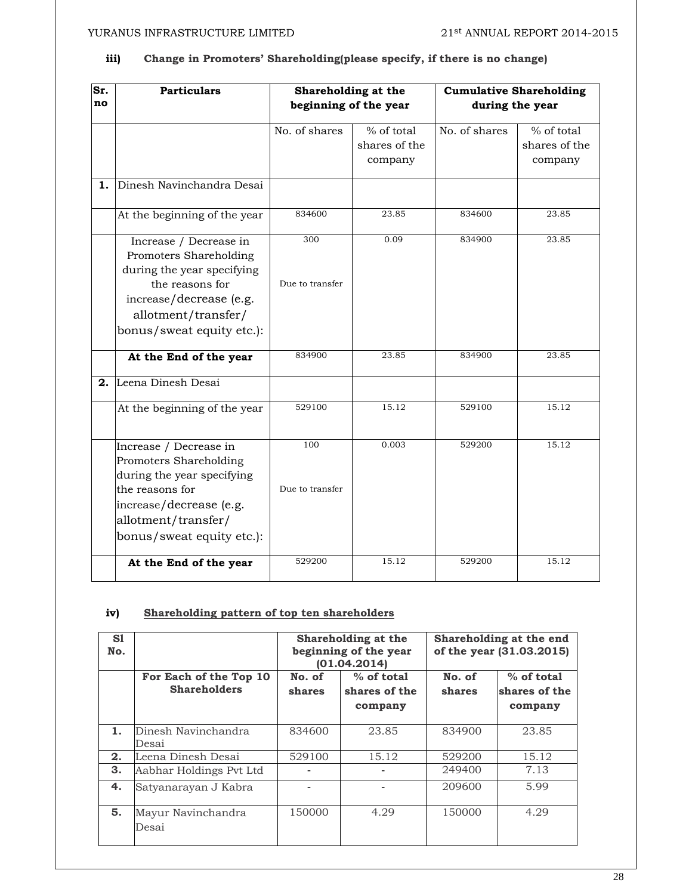| Sr.<br>no | <b>Particulars</b>           | Shareholding at the<br>beginning of the year |               | <b>Cumulative Shareholding</b><br>during the year |               |  |
|-----------|------------------------------|----------------------------------------------|---------------|---------------------------------------------------|---------------|--|
|           |                              |                                              |               |                                                   |               |  |
|           |                              | No. of shares                                | % of total    | No. of shares                                     | % of total    |  |
|           |                              |                                              | shares of the |                                                   | shares of the |  |
|           |                              |                                              | company       |                                                   | company       |  |
| 1.        | Dinesh Navinchandra Desai    |                                              |               |                                                   |               |  |
|           | At the beginning of the year | 834600                                       | 23.85         | 834600                                            | 23.85         |  |
|           | Increase / Decrease in       | 300                                          | 0.09          | 834900                                            | 23.85         |  |
|           | Promoters Shareholding       |                                              |               |                                                   |               |  |
|           | during the year specifying   |                                              |               |                                                   |               |  |
|           | the reasons for              | Due to transfer                              |               |                                                   |               |  |
|           | increase/decrease (e.g.      |                                              |               |                                                   |               |  |
|           | allotment/transfer/          |                                              |               |                                                   |               |  |
|           | bonus/sweat equity etc.):    |                                              |               |                                                   |               |  |
|           | At the End of the year       | 834900                                       | 23.85         | 834900                                            | 23.85         |  |
| 2.        | Leena Dinesh Desai           |                                              |               |                                                   |               |  |
|           | At the beginning of the year | 529100                                       | 15.12         | 529100                                            | 15.12         |  |
|           |                              |                                              |               |                                                   |               |  |
|           | Increase / Decrease in       | 100                                          | 0.003         | 529200                                            | 15.12         |  |
|           | Promoters Shareholding       |                                              |               |                                                   |               |  |
|           | during the year specifying   |                                              |               |                                                   |               |  |
|           | the reasons for              | Due to transfer                              |               |                                                   |               |  |
|           | increase/decrease (e.g.      |                                              |               |                                                   |               |  |
|           | allotment/transfer/          |                                              |               |                                                   |               |  |
|           | bonus/sweat equity etc.):    |                                              |               |                                                   |               |  |
|           | At the End of the year       | 529200                                       | 15.12         | 529200                                            | 15.12         |  |

# **iii) Change in Promoters' Shareholding(please specify, if there is no change)**

# **iv) Shareholding pattern of top ten shareholders**

| S1<br>No. |                                               |                  | Shareholding at the<br>beginning of the year<br>(01.04.2014) | Shareholding at the end<br>of the year (31.03.2015) |                                          |  |
|-----------|-----------------------------------------------|------------------|--------------------------------------------------------------|-----------------------------------------------------|------------------------------------------|--|
|           | For Each of the Top 10<br><b>Shareholders</b> | No. of<br>shares | % of total<br>shares of the<br>company                       | No. of<br>shares                                    | $%$ of total<br>shares of the<br>company |  |
| 1.        | Dinesh Navinchandra<br>Desai                  | 834600           | 23.85                                                        | 834900                                              | 23.85                                    |  |
| 2.        | Leena Dinesh Desai                            | 529100           | 15.12                                                        | 529200                                              | 15.12                                    |  |
| 3.        | Aabhar Holdings Pvt Ltd                       |                  |                                                              | 249400                                              | 7.13                                     |  |
| 4.        | Satyanarayan J Kabra                          |                  |                                                              | 209600                                              | 5.99                                     |  |
| 5.        | Mayur Navinchandra<br>Desai                   | 150000           | 4.29                                                         | 150000                                              | 4.29                                     |  |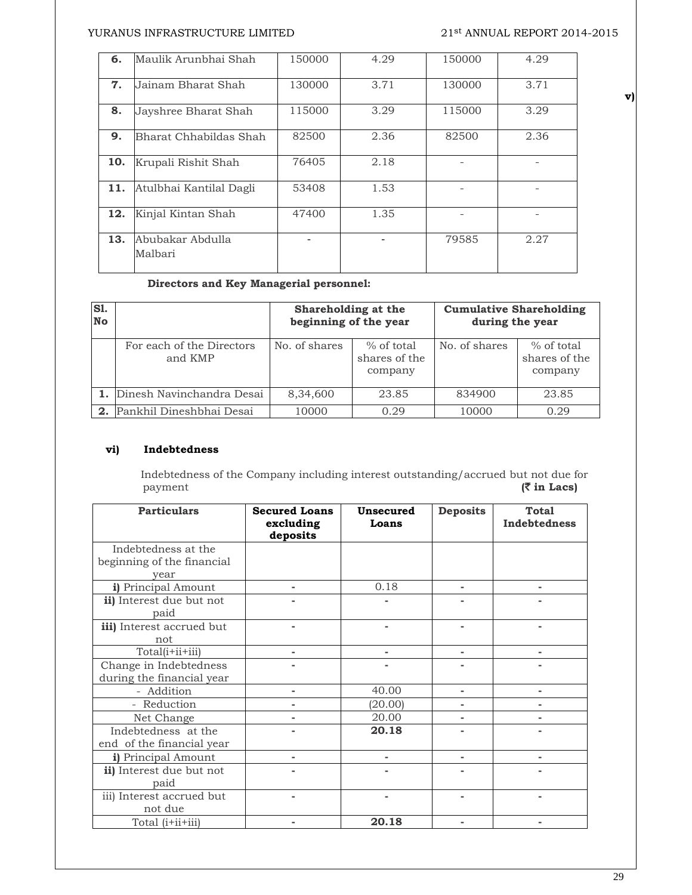#### YURANUS INFRASTRUCTURE LIMITED 21st ANNUAL REPORT 2014-2015

| 6.  | Maulik Arunbhai Shah        | 150000 | 4.29 | 150000 | 4.29 |
|-----|-----------------------------|--------|------|--------|------|
| 7.  | Jainam Bharat Shah          | 130000 | 3.71 | 130000 | 3.71 |
| 8.  | Jayshree Bharat Shah        | 115000 | 3.29 | 115000 | 3.29 |
| 9.  | Bharat Chhabildas Shah      | 82500  | 2.36 | 82500  | 2.36 |
| 10. | Krupali Rishit Shah         | 76405  | 2.18 |        |      |
| 11. | Atulbhai Kantilal Dagli     | 53408  | 1.53 |        |      |
| 12. | Kinjal Kintan Shah          | 47400  | 1.35 |        |      |
| 13. | Abubakar Abdulla<br>Malbari |        |      | 79585  | 2.27 |

#### **Directors and Key Managerial personnel:**

| <b>S1.</b><br><b>No</b> |                                      | Shareholding at the<br>beginning of the year |                                          | <b>Cumulative Shareholding</b><br>during the year         |       |  |
|-------------------------|--------------------------------------|----------------------------------------------|------------------------------------------|-----------------------------------------------------------|-------|--|
|                         | For each of the Directors<br>and KMP | No. of shares                                | $%$ of total<br>shares of the<br>company | No. of shares<br>$%$ of total<br>shares of the<br>company |       |  |
|                         | Dinesh Navinchandra Desai            | 8,34,600                                     | 23.85                                    | 834900                                                    | 23.85 |  |
| 2.                      | Pankhil Dineshbhai Desai             | 10000                                        | 0.29                                     | 10000                                                     | 0.29  |  |

# **vi) Indebtedness**

Indebtedness of the Company including interest outstanding/accrued but not due for payment  $(\vec{\tau} \text{ in } \text{Lacs})$ 

| <b>Particulars</b>                                        | <b>Secured Loans</b><br>excluding<br>deposits | <b>Unsecured</b><br>Loans | <b>Deposits</b> | <b>Total</b><br>Indebtedness |
|-----------------------------------------------------------|-----------------------------------------------|---------------------------|-----------------|------------------------------|
| Indebtedness at the<br>beginning of the financial<br>year |                                               |                           |                 |                              |
| i) Principal Amount                                       |                                               | 0.18                      |                 |                              |
| ii) Interest due but not<br>paid                          |                                               |                           |                 |                              |
| iii) Interest accrued but<br>not                          |                                               |                           |                 |                              |
| Total(i+ii+iii)                                           | -                                             | ٠                         |                 |                              |
| Change in Indebtedness<br>during the financial year       |                                               |                           |                 |                              |
| - Addition                                                |                                               | 40.00                     |                 |                              |
| - Reduction                                               |                                               | (20.00)                   |                 |                              |
| Net Change                                                |                                               | 20.00                     |                 |                              |
| Indebtedness at the<br>end of the financial year          |                                               | 20.18                     |                 |                              |
| i) Principal Amount                                       |                                               | ٠                         | $\blacksquare$  |                              |
| ii) Interest due but not<br>paid                          |                                               |                           |                 |                              |
| iii) Interest accrued but<br>not due                      |                                               |                           |                 |                              |
| Total ( <i>i</i> + <i>ii</i> + <i>iii</i> )               |                                               | 20.18                     |                 |                              |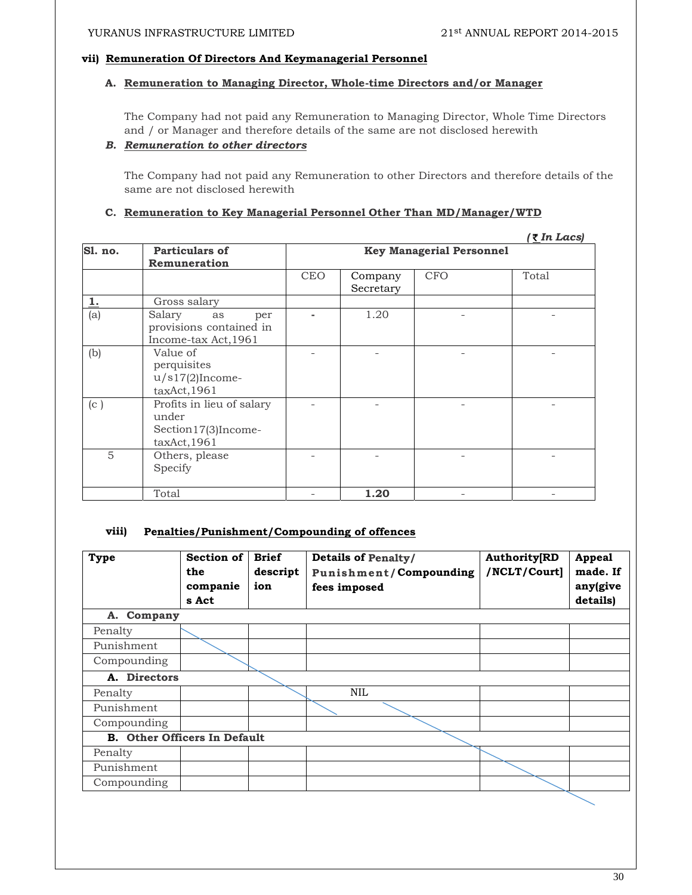#### **vii) Remuneration Of Directors And Keymanagerial Personnel**

#### **A. Remuneration to Managing Director, Whole-time Directors and/or Manager**

The Company had not paid any Remuneration to Managing Director, Whole Time Directors and / or Manager and therefore details of the same are not disclosed herewith

#### *B. Remuneration to other directors*

The Company had not paid any Remuneration to other Directors and therefore details of the same are not disclosed herewith

#### **C. Remuneration to Key Managerial Personnel Other Than MD/Manager/WTD**

| Sl. no. | <b>Particulars of</b><br>Remuneration                                      | <u>(₹ In Lacs)</u><br><b>Key Managerial Personnel</b> |                      |            |       |  |
|---------|----------------------------------------------------------------------------|-------------------------------------------------------|----------------------|------------|-------|--|
|         |                                                                            | <b>CEO</b>                                            | Company<br>Secretary | <b>CFO</b> | Total |  |
|         | Gross salary                                                               |                                                       |                      |            |       |  |
| (a)     | Salary<br>as<br>per<br>provisions contained in<br>Income-tax Act, 1961     |                                                       | 1.20                 |            |       |  |
| (b)     | Value of<br>perquisites<br>$u/s17(2)$ Income-<br>taxAct,1961               |                                                       |                      |            |       |  |
| (c)     | Profits in lieu of salary<br>under<br>Section 17(3) Income-<br>taxAct,1961 |                                                       |                      |            |       |  |
| 5       | Others, please<br>Specify                                                  |                                                       |                      |            |       |  |
|         | Total                                                                      |                                                       | 1.20                 |            |       |  |

#### **viii) Penalties/Punishment/Compounding of offences**

| <b>Type</b>                         | Section of<br>the<br>companie<br>s Act | <b>Brief</b><br>descript<br>ion | <b>Details of Penalty/</b><br>Punishment/Compounding<br>fees imposed | <b>Authority[RD</b><br>/NCLT/Court] | <b>Appeal</b><br>made. If<br>any(give<br>details) |
|-------------------------------------|----------------------------------------|---------------------------------|----------------------------------------------------------------------|-------------------------------------|---------------------------------------------------|
| Company<br>А.                       |                                        |                                 |                                                                      |                                     |                                                   |
| Penalty                             |                                        |                                 |                                                                      |                                     |                                                   |
| Punishment                          |                                        |                                 |                                                                      |                                     |                                                   |
| Compounding                         |                                        |                                 |                                                                      |                                     |                                                   |
| A. Directors                        |                                        |                                 |                                                                      |                                     |                                                   |
| Penalty                             |                                        |                                 | <b>NIL</b>                                                           |                                     |                                                   |
| Punishment                          |                                        |                                 |                                                                      |                                     |                                                   |
| Compounding                         |                                        |                                 |                                                                      |                                     |                                                   |
| <b>B.</b> Other Officers In Default |                                        |                                 |                                                                      |                                     |                                                   |
| Penalty                             |                                        |                                 |                                                                      |                                     |                                                   |
| Punishment                          |                                        |                                 |                                                                      |                                     |                                                   |
| Compounding                         |                                        |                                 |                                                                      |                                     |                                                   |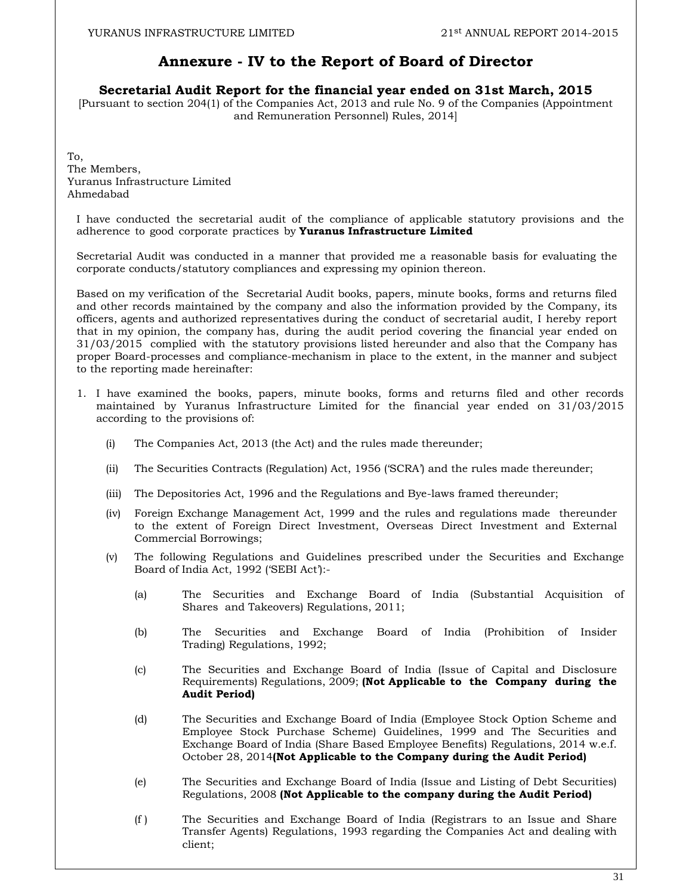# **Annexure - IV to the Report of Board of Director**

## **Secretarial Audit Report for the financial year ended on 31st March, 2015**

[Pursuant to section 204(1) of the Companies Act, 2013 and rule No. 9 of the Companies (Appointment and Remuneration Personnel) Rules, 2014]

To, The Members, Yuranus Infrastructure Limited Ahmedabad

I have conducted the secretarial audit of the compliance of applicable statutory provisions and the adherence to good corporate practices by **Yuranus Infrastructure Limited** 

Secretarial Audit was conducted in a manner that provided me a reasonable basis for evaluating the corporate conducts/statutory compliances and expressing my opinion thereon.

Based on my verification of the Secretarial Audit books, papers, minute books, forms and returns filed and other records maintained by the company and also the information provided by the Company, its officers, agents and authorized representatives during the conduct of secretarial audit, I hereby report that in my opinion, the company has, during the audit period covering the financial year ended on 31/03/2015 complied with the statutory provisions listed hereunder and also that the Company has proper Board-processes and compliance-mechanism in place to the extent, in the manner and subject to the reporting made hereinafter:

- 1. I have examined the books, papers, minute books, forms and returns filed and other records maintained by Yuranus Infrastructure Limited for the financial year ended on 31/03/2015 according to the provisions of:
	- (i) The Companies Act, 2013 (the Act) and the rules made thereunder;
	- (ii) The Securities Contracts (Regulation) Act, 1956 ('SCRA') and the rules made thereunder;
	- (iii) The Depositories Act, 1996 and the Regulations and Bye-laws framed thereunder;
	- (iv) Foreign Exchange Management Act, 1999 and the rules and regulations made thereunder to the extent of Foreign Direct Investment, Overseas Direct Investment and External Commercial Borrowings;
	- (v) The following Regulations and Guidelines prescribed under the Securities and Exchange Board of India Act, 1992 ('SEBI Act'):-
		- (a) The Securities and Exchange Board of India (Substantial Acquisition of Shares and Takeovers) Regulations, 2011;
		- (b) The Securities and Exchange Board of India (Prohibition of Insider Trading) Regulations, 1992;
		- (c) The Securities and Exchange Board of India (Issue of Capital and Disclosure Requirements) Regulations, 2009; **(Not Applicable to the Company during the Audit Period)**
		- (d) The Securities and Exchange Board of India (Employee Stock Option Scheme and Employee Stock Purchase Scheme) Guidelines, 1999 and The Securities and Exchange Board of India (Share Based Employee Benefits) Regulations, 2014 w.e.f. October 28, 2014**(Not Applicable to the Company during the Audit Period)**
		- (e) The Securities and Exchange Board of India (Issue and Listing of Debt Securities) Regulations, 2008 **(Not Applicable to the company during the Audit Period)**
		- (f ) The Securities and Exchange Board of India (Registrars to an Issue and Share Transfer Agents) Regulations, 1993 regarding the Companies Act and dealing with client;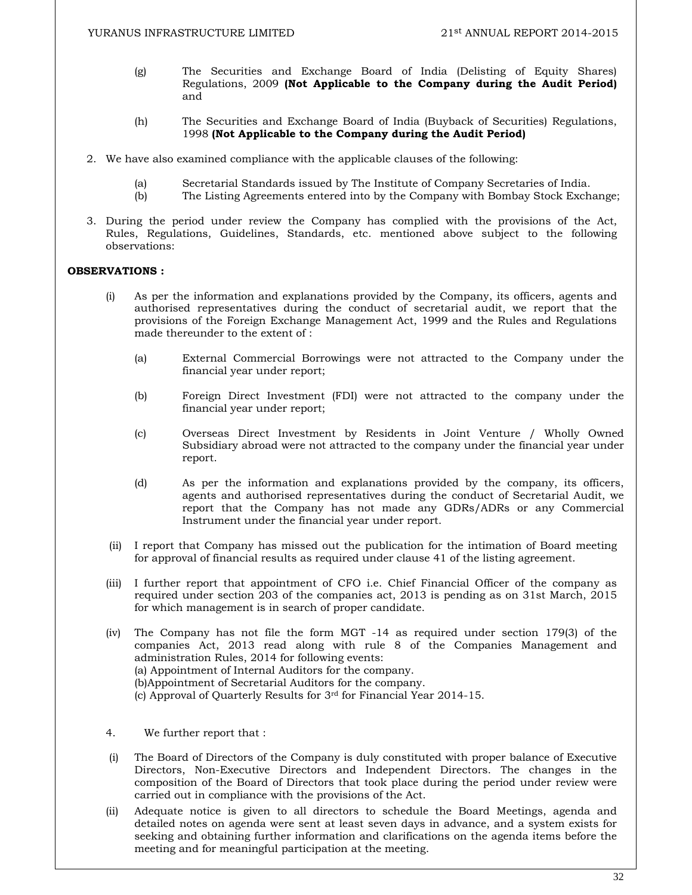- (g) The Securities and Exchange Board of India (Delisting of Equity Shares) Regulations, 2009 **(Not Applicable to the Company during the Audit Period)**  and
- (h) The Securities and Exchange Board of India (Buyback of Securities) Regulations, 1998 **(Not Applicable to the Company during the Audit Period)**
- 2. We have also examined compliance with the applicable clauses of the following:
	- (a) Secretarial Standards issued by The Institute of Company Secretaries of India.
	- (b) The Listing Agreements entered into by the Company with Bombay Stock Exchange;
- 3. During the period under review the Company has complied with the provisions of the Act, Rules, Regulations, Guidelines, Standards, etc. mentioned above subject to the following observations:

#### **OBSERVATIONS :**

- (i) As per the information and explanations provided by the Company, its officers, agents and authorised representatives during the conduct of secretarial audit, we report that the provisions of the Foreign Exchange Management Act, 1999 and the Rules and Regulations made thereunder to the extent of :
	- (a) External Commercial Borrowings were not attracted to the Company under the financial year under report;
	- (b) Foreign Direct Investment (FDI) were not attracted to the company under the financial year under report;
	- (c) Overseas Direct Investment by Residents in Joint Venture / Wholly Owned Subsidiary abroad were not attracted to the company under the financial year under report.
	- (d) As per the information and explanations provided by the company, its officers, agents and authorised representatives during the conduct of Secretarial Audit, we report that the Company has not made any GDRs/ADRs or any Commercial Instrument under the financial year under report.
- (ii) I report that Company has missed out the publication for the intimation of Board meeting for approval of financial results as required under clause 41 of the listing agreement.
- (iii) I further report that appointment of CFO i.e. Chief Financial Officer of the company as required under section 203 of the companies act, 2013 is pending as on 31st March, 2015 for which management is in search of proper candidate.
- (iv) The Company has not file the form MGT -14 as required under section 179(3) of the companies Act, 2013 read along with rule 8 of the Companies Management and administration Rules, 2014 for following events: (a) Appointment of Internal Auditors for the company. (b)Appointment of Secretarial Auditors for the company. (c) Approval of Quarterly Results for 3rd for Financial Year 2014-15.
- 4. We further report that :
- (i) The Board of Directors of the Company is duly constituted with proper balance of Executive Directors, Non-Executive Directors and Independent Directors. The changes in the composition of the Board of Directors that took place during the period under review were carried out in compliance with the provisions of the Act.
- (ii) Adequate notice is given to all directors to schedule the Board Meetings, agenda and detailed notes on agenda were sent at least seven days in advance, and a system exists for seeking and obtaining further information and clarifications on the agenda items before the meeting and for meaningful participation at the meeting.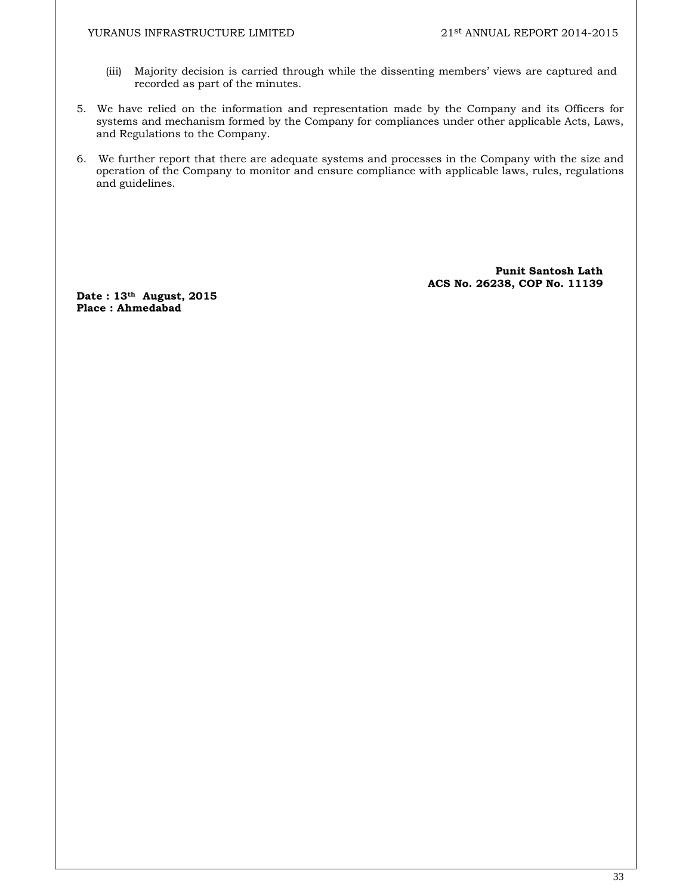#### YURANUS INFRASTRUCTURE LIMITED 21st ANNUAL REPORT 2014-2015

- (iii) Majority decision is carried through while the dissenting members' views are captured and recorded as part of the minutes.
- 5. We have relied on the information and representation made by the Company and its Officers for systems and mechanism formed by the Company for compliances under other applicable Acts, Laws, and Regulations to the Company.
- 6. We further report that there are adequate systems and processes in the Company with the size and operation of the Company to monitor and ensure compliance with applicable laws, rules, regulations and guidelines.

 **Punit Santosh Lath ACS No. 26238, COP No. 11139** 

**Date : 13th August, 2015 Place : Ahmedabad**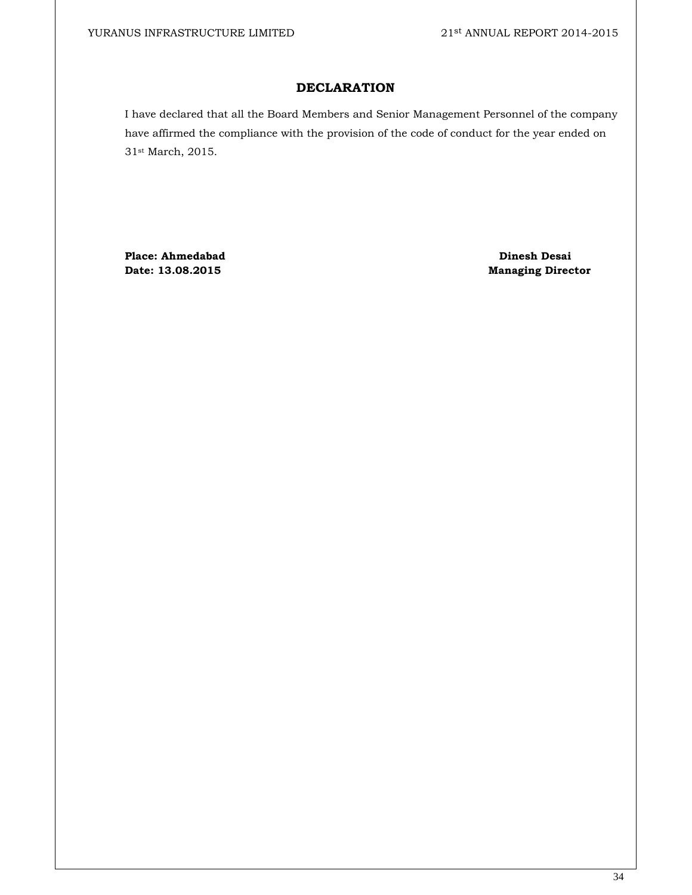# **DECLARATION**

I have declared that all the Board Members and Senior Management Personnel of the company have affirmed the compliance with the provision of the code of conduct for the year ended on 31st March, 2015.

**Place: Ahmedabad Dinesh Desai** 

**Date: 13.08.2015** Managing Director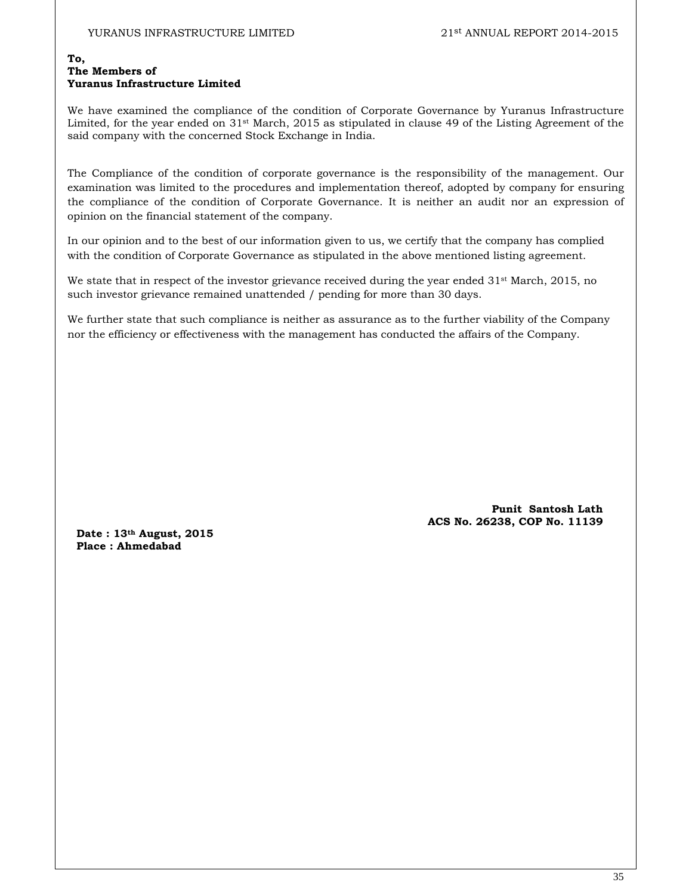#### **To, The Members of Yuranus Infrastructure Limited**

We have examined the compliance of the condition of Corporate Governance by Yuranus Infrastructure Limited, for the year ended on 31<sup>st</sup> March, 2015 as stipulated in clause 49 of the Listing Agreement of the said company with the concerned Stock Exchange in India.

The Compliance of the condition of corporate governance is the responsibility of the management. Our examination was limited to the procedures and implementation thereof, adopted by company for ensuring the compliance of the condition of Corporate Governance. It is neither an audit nor an expression of opinion on the financial statement of the company.

In our opinion and to the best of our information given to us, we certify that the company has complied with the condition of Corporate Governance as stipulated in the above mentioned listing agreement.

We state that in respect of the investor grievance received during the year ended 31<sup>st</sup> March, 2015, no such investor grievance remained unattended / pending for more than 30 days.

We further state that such compliance is neither as assurance as to the further viability of the Company nor the efficiency or effectiveness with the management has conducted the affairs of the Company.

> **Punit Santosh Lath ACS No. 26238, COP No. 11139**

**Date : 13th August, 2015 Place : Ahmedabad**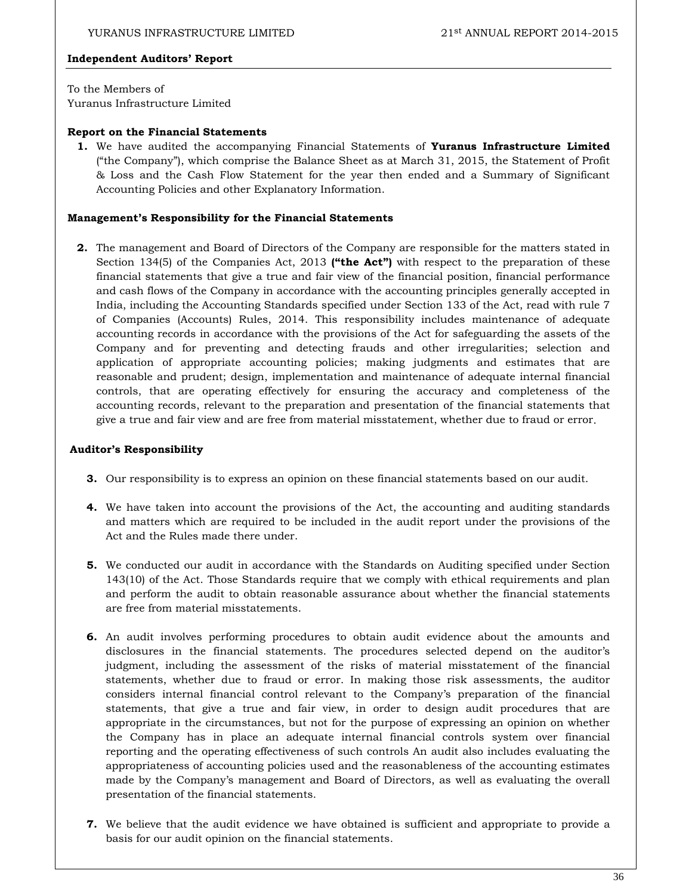#### **Independent Auditors' Report**

To the Members of Yuranus Infrastructure Limited

#### **Report on the Financial Statements**

**1.** We have audited the accompanying Financial Statements of **Yuranus Infrastructure Limited**  ("the Company"), which comprise the Balance Sheet as at March 31, 2015, the Statement of Profit & Loss and the Cash Flow Statement for the year then ended and a Summary of Significant Accounting Policies and other Explanatory Information.

#### **Management's Responsibility for the Financial Statements**

**2.** The management and Board of Directors of the Company are responsible for the matters stated in Section 134(5) of the Companies Act, 2013 **("the Act")** with respect to the preparation of these financial statements that give a true and fair view of the financial position, financial performance and cash flows of the Company in accordance with the accounting principles generally accepted in India, including the Accounting Standards specified under Section 133 of the Act, read with rule 7 of Companies (Accounts) Rules, 2014. This responsibility includes maintenance of adequate accounting records in accordance with the provisions of the Act for safeguarding the assets of the Company and for preventing and detecting frauds and other irregularities; selection and application of appropriate accounting policies; making judgments and estimates that are reasonable and prudent; design, implementation and maintenance of adequate internal financial controls, that are operating effectively for ensuring the accuracy and completeness of the accounting records, relevant to the preparation and presentation of the financial statements that give a true and fair view and are free from material misstatement, whether due to fraud or error.

#### **Auditor's Responsibility**

- **3.** Our responsibility is to express an opinion on these financial statements based on our audit.
- **4.** We have taken into account the provisions of the Act, the accounting and auditing standards and matters which are required to be included in the audit report under the provisions of the Act and the Rules made there under.
- **5.** We conducted our audit in accordance with the Standards on Auditing specified under Section 143(10) of the Act. Those Standards require that we comply with ethical requirements and plan and perform the audit to obtain reasonable assurance about whether the financial statements are free from material misstatements.
- **6.** An audit involves performing procedures to obtain audit evidence about the amounts and disclosures in the financial statements. The procedures selected depend on the auditor's judgment, including the assessment of the risks of material misstatement of the financial statements, whether due to fraud or error. In making those risk assessments, the auditor considers internal financial control relevant to the Company's preparation of the financial statements, that give a true and fair view, in order to design audit procedures that are appropriate in the circumstances, but not for the purpose of expressing an opinion on whether the Company has in place an adequate internal financial controls system over financial reporting and the operating effectiveness of such controls An audit also includes evaluating the appropriateness of accounting policies used and the reasonableness of the accounting estimates made by the Company's management and Board of Directors, as well as evaluating the overall presentation of the financial statements.
- **7.** We believe that the audit evidence we have obtained is sufficient and appropriate to provide a basis for our audit opinion on the financial statements.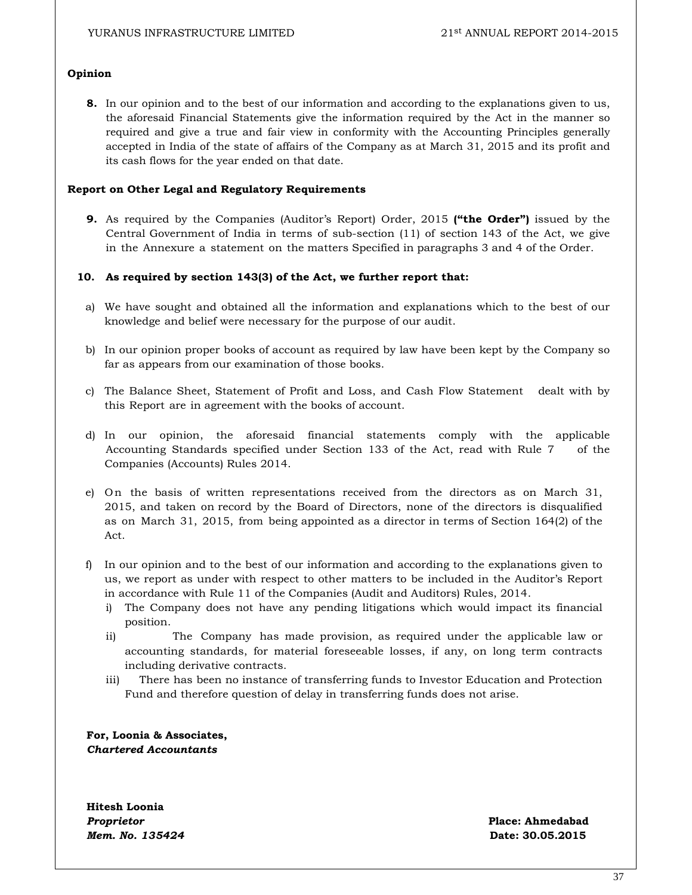#### **Opinion**

**8.** In our opinion and to the best of our information and according to the explanations given to us, the aforesaid Financial Statements give the information required by the Act in the manner so required and give a true and fair view in conformity with the Accounting Principles generally accepted in India of the state of affairs of the Company as at March 31, 2015 and its profit and its cash flows for the year ended on that date.

#### **Report on Other Legal and Regulatory Requirements**

**9.** As required by the Companies (Auditor's Report) Order, 2015 **("the Order")** issued by the Central Government of India in terms of sub-section (11) of section 143 of the Act, we give in the Annexure a statement on the matters Specified in paragraphs 3 and 4 of the Order.

#### **10. As required by section 143(3) of the Act, we further report that:**

- a) We have sought and obtained all the information and explanations which to the best of our knowledge and belief were necessary for the purpose of our audit.
- b) In our opinion proper books of account as required by law have been kept by the Company so far as appears from our examination of those books.
- c) The Balance Sheet, Statement of Profit and Loss, and Cash Flow Statement dealt with by this Report are in agreement with the books of account.
- d) In our opinion, the aforesaid financial statements comply with the applicable Accounting Standards specified under Section 133 of the Act, read with Rule 7 of the Companies (Accounts) Rules 2014.
- e) On the basis of written representations received from the directors as on March 31, 2015, and taken on record by the Board of Directors, none of the directors is disqualified as on March 31, 2015, from being appointed as a director in terms of Section 164(2) of the Act.
- f) In our opinion and to the best of our information and according to the explanations given to us, we report as under with respect to other matters to be included in the Auditor's Report in accordance with Rule 11 of the Companies (Audit and Auditors) Rules, 2014.
	- i) The Company does not have any pending litigations which would impact its financial position.
	- ii) The Company has made provision, as required under the applicable law or accounting standards, for material foreseeable losses, if any, on long term contracts including derivative contracts.
	- iii) There has been no instance of transferring funds to Investor Education and Protection Fund and therefore question of delay in transferring funds does not arise.

**For, Loonia & Associates,**  *Chartered Accountants* 

**Hitesh Loonia**  *Proprietor* **Place: Ahmedabad** 

*Mem. No. 135424* **Date: 30.05.2015**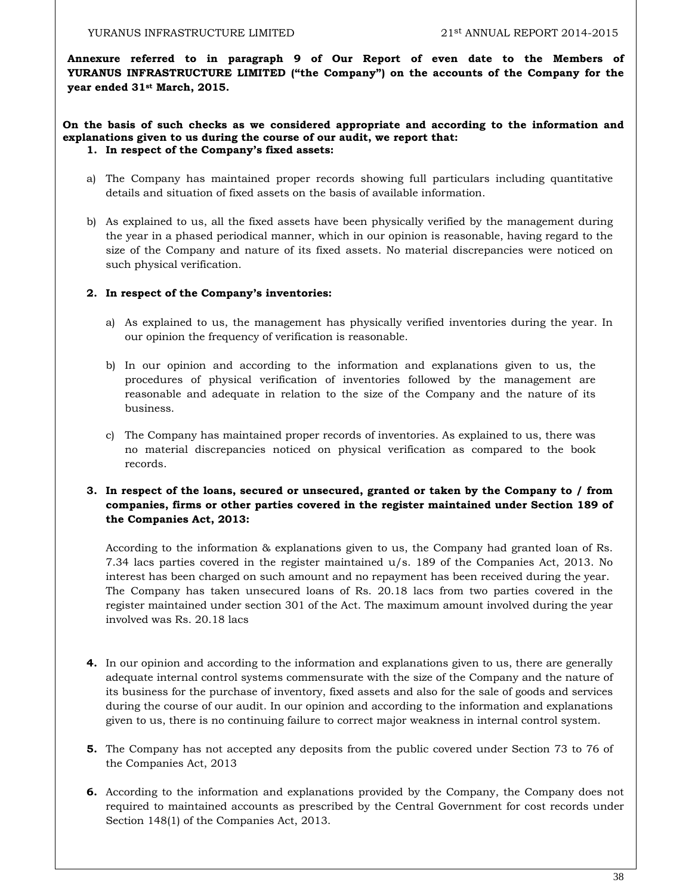**Annexure referred to in paragraph 9 of Our Report of even date to the Members of YURANUS INFRASTRUCTURE LIMITED ("the Company") on the accounts of the Company for the year ended 31st March, 2015.** 

**On the basis of such checks as we considered appropriate and according to the information and explanations given to us during the course of our audit, we report that: 1. In respect of the Company's fixed assets:** 

- a) The Company has maintained proper records showing full particulars including quantitative details and situation of fixed assets on the basis of available information.
- b) As explained to us, all the fixed assets have been physically verified by the management during the year in a phased periodical manner, which in our opinion is reasonable, having regard to the size of the Company and nature of its fixed assets. No material discrepancies were noticed on such physical verification.

#### **2. In respect of the Company's inventories:**

- a) As explained to us, the management has physically verified inventories during the year. In our opinion the frequency of verification is reasonable.
- b) In our opinion and according to the information and explanations given to us, the procedures of physical verification of inventories followed by the management are reasonable and adequate in relation to the size of the Company and the nature of its business.
- c) The Company has maintained proper records of inventories. As explained to us, there was no material discrepancies noticed on physical verification as compared to the book records.
- **3. In respect of the loans, secured or unsecured, granted or taken by the Company to / from companies, firms or other parties covered in the register maintained under Section 189 of the Companies Act, 2013:**

According to the information & explanations given to us, the Company had granted loan of Rs. 7.34 lacs parties covered in the register maintained u/s. 189 of the Companies Act, 2013. No interest has been charged on such amount and no repayment has been received during the year. The Company has taken unsecured loans of Rs. 20.18 lacs from two parties covered in the register maintained under section 301 of the Act. The maximum amount involved during the year involved was Rs. 20.18 lacs

- **4.** In our opinion and according to the information and explanations given to us, there are generally adequate internal control systems commensurate with the size of the Company and the nature of its business for the purchase of inventory, fixed assets and also for the sale of goods and services during the course of our audit. In our opinion and according to the information and explanations given to us, there is no continuing failure to correct major weakness in internal control system.
- **5.** The Company has not accepted any deposits from the public covered under Section 73 to 76 of the Companies Act, 2013
- **6.** According to the information and explanations provided by the Company, the Company does not required to maintained accounts as prescribed by the Central Government for cost records under Section 148(1) of the Companies Act, 2013.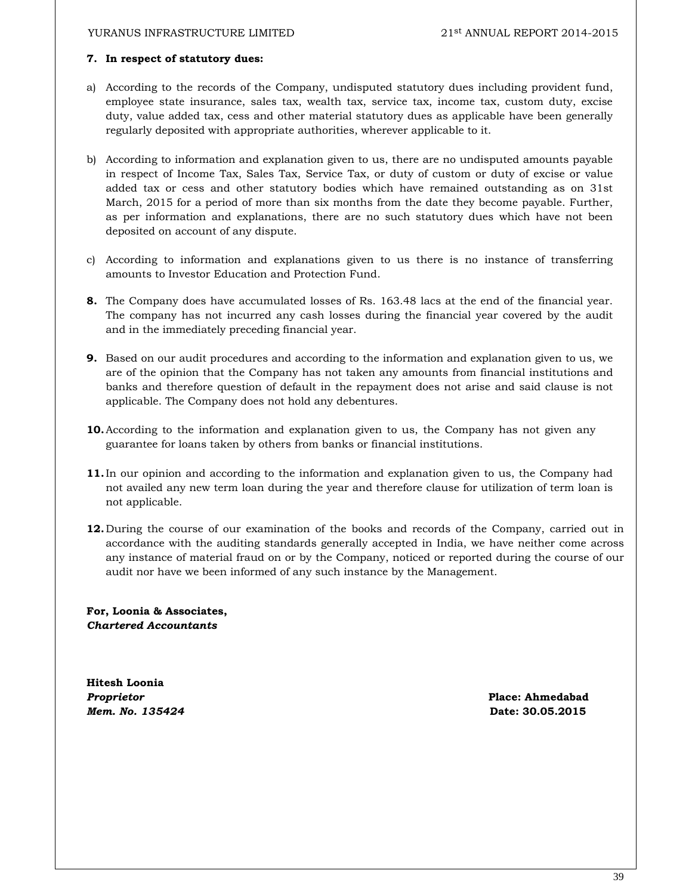#### **7. In respect of statutory dues:**

- a) According to the records of the Company, undisputed statutory dues including provident fund, employee state insurance, sales tax, wealth tax, service tax, income tax, custom duty, excise duty, value added tax, cess and other material statutory dues as applicable have been generally regularly deposited with appropriate authorities, wherever applicable to it.
- b) According to information and explanation given to us, there are no undisputed amounts payable in respect of Income Tax, Sales Tax, Service Tax, or duty of custom or duty of excise or value added tax or cess and other statutory bodies which have remained outstanding as on 31st March, 2015 for a period of more than six months from the date they become payable. Further, as per information and explanations, there are no such statutory dues which have not been deposited on account of any dispute.
- c) According to information and explanations given to us there is no instance of transferring amounts to Investor Education and Protection Fund.
- **8.** The Company does have accumulated losses of Rs. 163.48 lacs at the end of the financial year. The company has not incurred any cash losses during the financial year covered by the audit and in the immediately preceding financial year.
- **9.** Based on our audit procedures and according to the information and explanation given to us, we are of the opinion that the Company has not taken any amounts from financial institutions and banks and therefore question of default in the repayment does not arise and said clause is not applicable. The Company does not hold any debentures.
- **10.**According to the information and explanation given to us, the Company has not given any guarantee for loans taken by others from banks or financial institutions.
- **11.**In our opinion and according to the information and explanation given to us, the Company had not availed any new term loan during the year and therefore clause for utilization of term loan is not applicable.
- **12.**During the course of our examination of the books and records of the Company, carried out in accordance with the auditing standards generally accepted in India, we have neither come across any instance of material fraud on or by the Company, noticed or reported during the course of our audit nor have we been informed of any such instance by the Management.

**For, Loonia & Associates,**  *Chartered Accountants* 

**Hitesh Loonia**  *Proprietor* **Place: Ahmedabad** 

*Mem. No. 135424* **Date: 30.05.2015**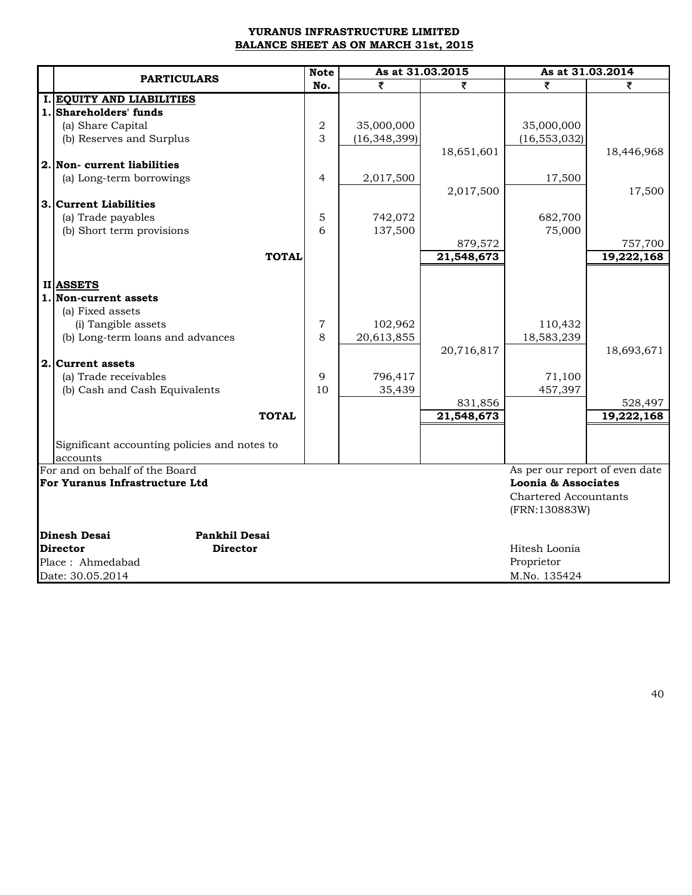## **YURANUS INFRASTRUCTURE LIMITED BALANCE SHEET AS ON MARCH 31st, 2015**

|    |                                              |     |                | As at 31.03.2015      | As at 31.03.2014               |                       |
|----|----------------------------------------------|-----|----------------|-----------------------|--------------------------------|-----------------------|
|    | <b>PARTICULARS</b>                           | No. | ₹              | ₹                     | ₹                              |                       |
|    | <b>EQUITY AND LIABILITIES</b>                |     |                |                       |                                |                       |
|    | 1. Shareholders' funds                       |     |                |                       |                                |                       |
|    | (a) Share Capital                            | 2   | 35,000,000     |                       | 35,000,000                     |                       |
|    | (b) Reserves and Surplus                     | 3   | (16, 348, 399) |                       | (16, 553, 032)                 |                       |
|    |                                              |     |                | 18,651,601            |                                | 18,446,968            |
|    | 2. Non-current liabilities                   |     |                |                       |                                |                       |
|    | (a) Long-term borrowings                     | 4   | 2,017,500      |                       | 17,500                         |                       |
|    |                                              |     |                | 2,017,500             |                                | 17,500                |
|    | 3. Current Liabilities                       |     |                |                       |                                |                       |
|    | (a) Trade payables                           | 5   | 742,072        |                       | 682,700                        |                       |
|    | (b) Short term provisions                    | 6   | 137,500        |                       | 75,000                         |                       |
|    | <b>TOTAL</b>                                 |     |                | 879,572<br>21,548,673 |                                | 757,700<br>19,222,168 |
|    |                                              |     |                |                       |                                |                       |
|    | II ASSETS                                    |     |                |                       |                                |                       |
|    | 1. Non-current assets                        |     |                |                       |                                |                       |
|    | (a) Fixed assets                             |     |                |                       |                                |                       |
|    | (i) Tangible assets                          | 7   | 102,962        |                       | 110,432                        |                       |
|    | (b) Long-term loans and advances             | 8   | 20,613,855     |                       | 18,583,239                     |                       |
|    |                                              |     |                | 20,716,817            |                                | 18,693,671            |
| 2. | <b>Current assets</b>                        |     |                |                       |                                |                       |
|    | (a) Trade receivables                        | 9   | 796,417        |                       | 71,100                         |                       |
|    | (b) Cash and Cash Equivalents                | 10  | 35,439         |                       | 457,397                        |                       |
|    |                                              |     |                | 831,856               |                                | 528,497               |
|    | <b>TOTAL</b>                                 |     |                | 21,548,673            |                                | 19,222,168            |
|    |                                              |     |                |                       |                                |                       |
|    | Significant accounting policies and notes to |     |                |                       |                                |                       |
|    | accounts                                     |     |                |                       |                                |                       |
|    | For and on behalf of the Board               |     |                |                       | As per our report of even date |                       |
|    | For Yuranus Infrastructure Ltd               |     |                |                       | Loonia & Associates            |                       |
|    |                                              |     |                |                       | <b>Chartered Accountants</b>   |                       |
|    |                                              |     |                |                       | (FRN:130883W)                  |                       |
|    | <b>Dinesh Desai</b><br><b>Pankhil Desai</b>  |     |                |                       |                                |                       |
|    | <b>Director</b><br><b>Director</b>           |     |                |                       | Hitesh Loonia                  |                       |
|    | Place: Ahmedabad                             |     |                |                       | Proprietor                     |                       |
|    | Date: 30.05.2014                             |     |                |                       | M.No. 135424                   |                       |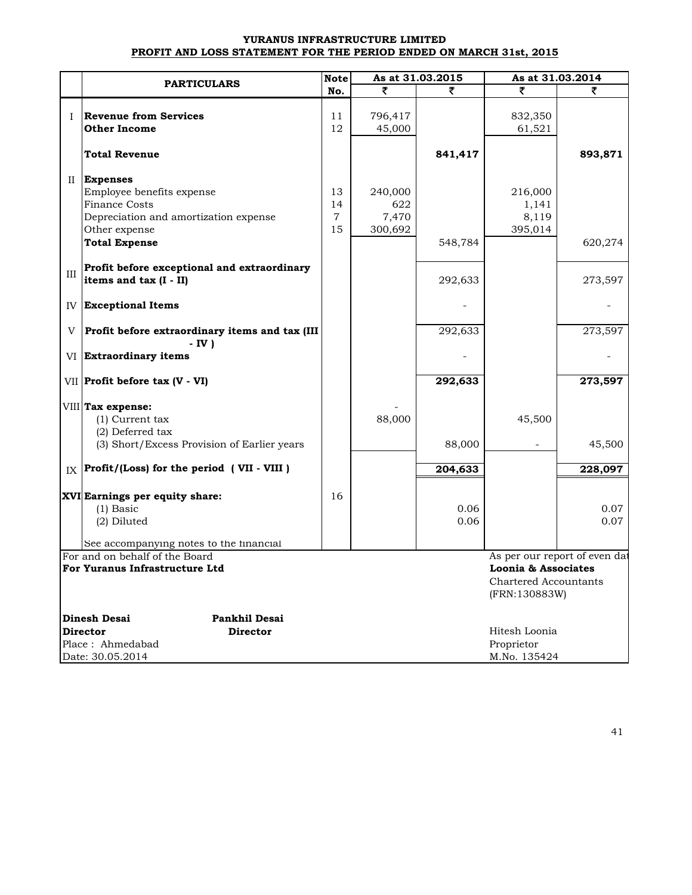#### **YURANUS INFRASTRUCTURE LIMITED PROFIT AND LOSS STATEMENT FOR THE PERIOD ENDED ON MARCH 31st, 2015**

|             |                                                                                                                                                    | <b>Note</b>                      |                                    | As at 31.03.2015 |                                                                      | As at 31.03.2014              |
|-------------|----------------------------------------------------------------------------------------------------------------------------------------------------|----------------------------------|------------------------------------|------------------|----------------------------------------------------------------------|-------------------------------|
|             | <b>PARTICULARS</b>                                                                                                                                 | No.                              | ₹                                  | ₹                | ₹                                                                    | ₹                             |
| $\mathbf I$ | <b>Revenue from Services</b><br><b>Other Income</b>                                                                                                | 11<br>12                         | 796,417<br>45,000                  |                  | 832,350<br>61,521                                                    |                               |
|             | <b>Total Revenue</b>                                                                                                                               |                                  |                                    | 841,417          |                                                                      | 893,871                       |
|             | II Expenses<br>Employee benefits expense<br><b>Finance Costs</b><br>Depreciation and amortization expense<br>Other expense<br><b>Total Expense</b> | 13<br>14<br>$\overline{7}$<br>15 | 240,000<br>622<br>7,470<br>300,692 | 548,784          | 216,000<br>1,141<br>8,119<br>395,014                                 | 620,274                       |
| III         | Profit before exceptional and extraordinary<br>items and tax (I - II)                                                                              |                                  |                                    | 292,633          |                                                                      | 273,597                       |
| IV          | <b>Exceptional Items</b>                                                                                                                           |                                  |                                    |                  |                                                                      |                               |
| V           | Profit before extraordinary items and tax (III<br>- IV )                                                                                           |                                  |                                    | 292,633          |                                                                      | 273,597                       |
|             | VI Extraordinary items                                                                                                                             |                                  |                                    |                  |                                                                      |                               |
|             | VII Profit before tax (V - VI)                                                                                                                     |                                  |                                    | 292,633          |                                                                      | 273,597                       |
|             | VIII Tax expense:<br>(1) Current tax<br>$(2)$ Deferred tax<br>(3) Short/Excess Provision of Earlier years                                          |                                  | 88,000                             | 88,000           | 45,500                                                               | 45,500                        |
|             | $I_X$ Profit/(Loss) for the period (VII - VIII)                                                                                                    |                                  |                                    | 204,633          |                                                                      | 228,097                       |
|             | XVI Earnings per equity share:<br>$(1)$ Basic<br>(2) Diluted<br>See accompanying notes to the financial                                            | 16                               |                                    | 0.06<br>0.06     |                                                                      | 0.07<br>0.07                  |
|             | For and on behalf of the Board<br>For Yuranus Infrastructure Ltd                                                                                   |                                  |                                    |                  | Loonia & Associates<br><b>Chartered Accountants</b><br>(FRN:130883W) | As per our report of even dat |
|             | <b>Dinesh Desai</b><br><b>Pankhil Desai</b><br><b>Director</b><br><b>Director</b><br>Place: Ahmedabad<br>Date: 30.05.2014                          |                                  |                                    |                  | Hitesh Loonia<br>Proprietor<br>M.No. 135424                          |                               |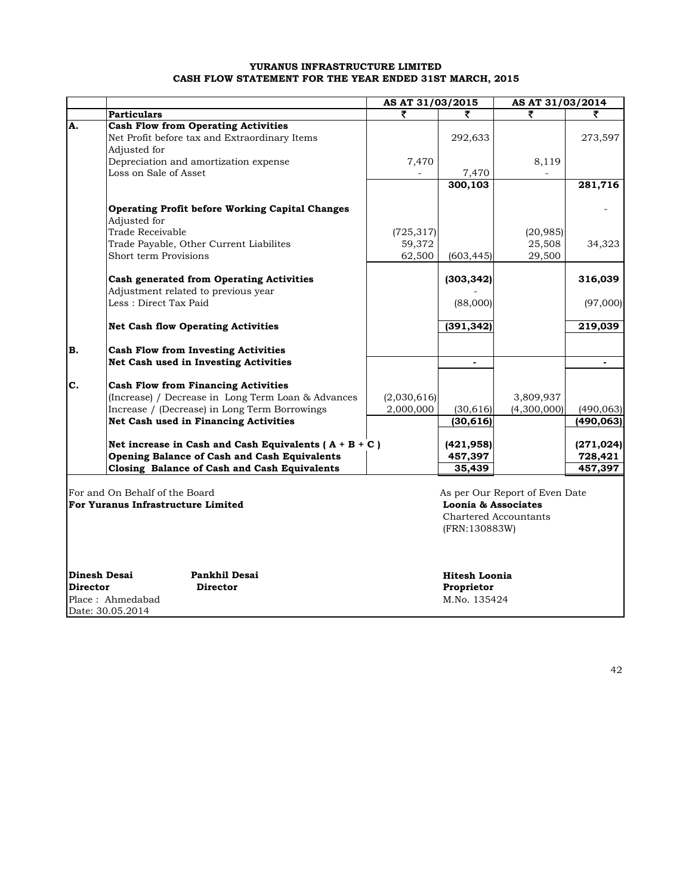#### **YURANUS INFRASTRUCTURE LIMITED CASH FLOW STATEMENT FOR THE YEAR ENDED 31ST MARCH, 2015**

|                     |                                                           | AS AT 31/03/2015 |                      | AS AT 31/03/2014               |            |
|---------------------|-----------------------------------------------------------|------------------|----------------------|--------------------------------|------------|
|                     | <b>Particulars</b>                                        |                  |                      |                                |            |
| A.                  | <b>Cash Flow from Operating Activities</b>                |                  |                      |                                |            |
|                     | Net Profit before tax and Extraordinary Items             |                  | 292,633              |                                | 273,597    |
|                     | Adjusted for                                              |                  |                      |                                |            |
|                     | Depreciation and amortization expense                     | 7,470            |                      | 8,119                          |            |
|                     | Loss on Sale of Asset                                     |                  | 7,470                |                                |            |
|                     |                                                           |                  | 300, 103             |                                | 281,716    |
|                     | <b>Operating Profit before Working Capital Changes</b>    |                  |                      |                                |            |
|                     | Adjusted for                                              |                  |                      |                                |            |
|                     | Trade Receivable                                          | (725, 317)       |                      | (20, 985)                      |            |
|                     | Trade Payable, Other Current Liabilites                   | 59,372           |                      | 25,508                         | 34,323     |
|                     | Short term Provisions                                     | 62,500           | (603, 445)           | 29,500                         |            |
|                     |                                                           |                  |                      |                                |            |
|                     | <b>Cash generated from Operating Activities</b>           |                  | (303, 342)           |                                | 316,039    |
|                     | Adjustment related to previous year                       |                  |                      |                                |            |
|                     | Less: Direct Tax Paid                                     |                  | (88,000)             |                                | (97,000)   |
|                     |                                                           |                  |                      |                                |            |
|                     | <b>Net Cash flow Operating Activities</b>                 |                  | (391, 342)           |                                | 219,039    |
| <b>B.</b>           | Cash Flow from Investing Activities                       |                  |                      |                                |            |
|                     | Net Cash used in Investing Activities                     |                  | $\blacksquare$       |                                |            |
|                     |                                                           |                  |                      |                                |            |
| C.                  | <b>Cash Flow from Financing Activities</b>                |                  |                      |                                |            |
|                     | (Increase) / Decrease in Long Term Loan & Advances        | (2,030,616)      |                      | 3,809,937                      |            |
|                     | Increase / (Decrease) in Long Term Borrowings             | 2,000,000        | (30, 616)            | (4,300,000)                    | (490, 063) |
|                     | Net Cash used in Financing Activities                     |                  | (30, 616)            |                                | (490,063)  |
|                     |                                                           |                  |                      |                                |            |
|                     | Net increase in Cash and Cash Equivalents ( $A + B + C$ ) |                  | (421, 958)           |                                | (271, 024) |
|                     | Opening Balance of Cash and Cash Equivalents              |                  | 457,397              |                                | 728,421    |
|                     | Closing Balance of Cash and Cash Equivalents              |                  | 35,439               |                                | 457,397    |
|                     |                                                           |                  |                      |                                |            |
|                     | For and On Behalf of the Board                            |                  |                      | As per Our Report of Even Date |            |
|                     | For Yuranus Infrastructure Limited                        |                  | Loonia & Associates  |                                |            |
|                     |                                                           |                  |                      | Chartered Accountants          |            |
|                     |                                                           |                  | (FRN:130883W)        |                                |            |
|                     |                                                           |                  |                      |                                |            |
|                     |                                                           |                  |                      |                                |            |
| <b>Dinesh Desai</b> | Pankhil Desai                                             |                  | <b>Hitesh Loonia</b> |                                |            |
| <b>Director</b>     | <b>Director</b>                                           |                  | Proprietor           |                                |            |
|                     | Place: Ahmedabad                                          |                  | M.No. 135424         |                                |            |
|                     | Date: 30.05.2014                                          |                  |                      |                                |            |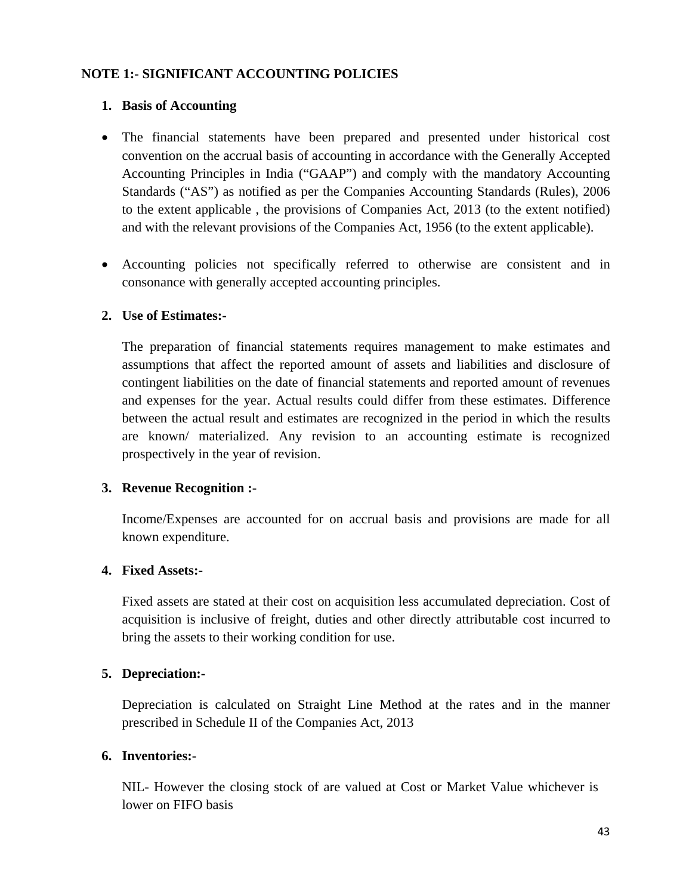# **NOTE 1:- SIGNIFICANT ACCOUNTING POLICIES**

# **1. Basis of Accounting**

- The financial statements have been prepared and presented under historical cost convention on the accrual basis of accounting in accordance with the Generally Accepted Accounting Principles in India ("GAAP") and comply with the mandatory Accounting Standards ("AS") as notified as per the Companies Accounting Standards (Rules), 2006 to the extent applicable , the provisions of Companies Act, 2013 (to the extent notified) and with the relevant provisions of the Companies Act, 1956 (to the extent applicable).
- Accounting policies not specifically referred to otherwise are consistent and in consonance with generally accepted accounting principles.

# **2. Use of Estimates:-**

The preparation of financial statements requires management to make estimates and assumptions that affect the reported amount of assets and liabilities and disclosure of contingent liabilities on the date of financial statements and reported amount of revenues and expenses for the year. Actual results could differ from these estimates. Difference between the actual result and estimates are recognized in the period in which the results are known/ materialized. Any revision to an accounting estimate is recognized prospectively in the year of revision.

# **3. Revenue Recognition :-**

Income/Expenses are accounted for on accrual basis and provisions are made for all known expenditure.

## **4. Fixed Assets:-**

Fixed assets are stated at their cost on acquisition less accumulated depreciation. Cost of acquisition is inclusive of freight, duties and other directly attributable cost incurred to bring the assets to their working condition for use.

# **5. Depreciation:-**

Depreciation is calculated on Straight Line Method at the rates and in the manner prescribed in Schedule II of the Companies Act, 2013

# **6. Inventories:-**

NIL- However the closing stock of are valued at Cost or Market Value whichever is lower on FIFO basis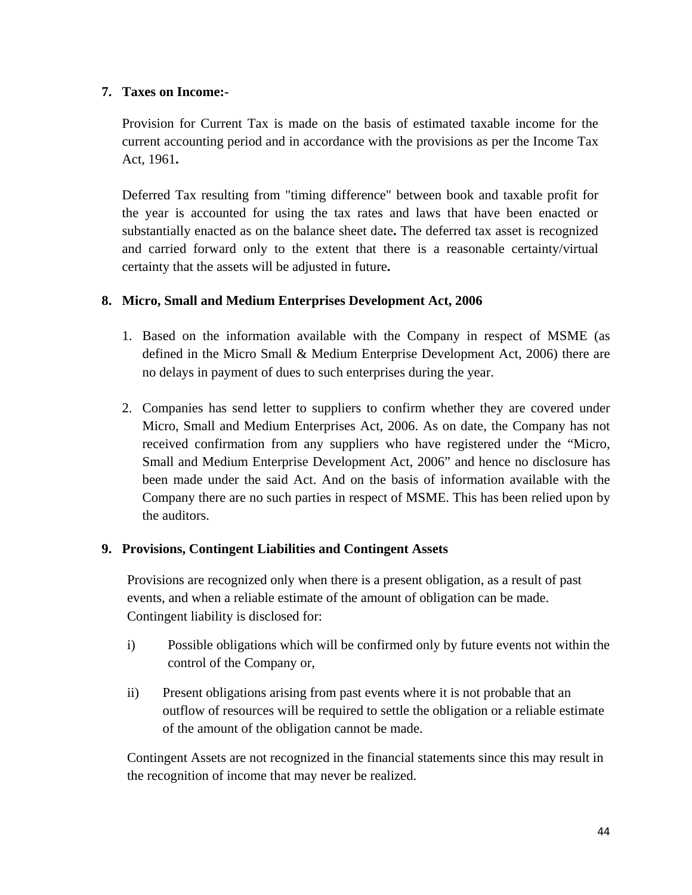# **7. Taxes on Income:-**

Provision for Current Tax is made on the basis of estimated taxable income for the current accounting period and in accordance with the provisions as per the Income Tax Act, 1961**.**

Deferred Tax resulting from "timing difference" between book and taxable profit for the year is accounted for using the tax rates and laws that have been enacted or substantially enacted as on the balance sheet date**.** The deferred tax asset is recognized and carried forward only to the extent that there is a reasonable certainty/virtual certainty that the assets will be adjusted in future**.** 

# **8. Micro, Small and Medium Enterprises Development Act, 2006**

- 1. Based on the information available with the Company in respect of MSME (as defined in the Micro Small & Medium Enterprise Development Act, 2006) there are no delays in payment of dues to such enterprises during the year.
- 2. Companies has send letter to suppliers to confirm whether they are covered under Micro, Small and Medium Enterprises Act, 2006. As on date, the Company has not received confirmation from any suppliers who have registered under the "Micro, Small and Medium Enterprise Development Act, 2006" and hence no disclosure has been made under the said Act. And on the basis of information available with the Company there are no such parties in respect of MSME. This has been relied upon by the auditors.

# **9. Provisions, Contingent Liabilities and Contingent Assets**

Provisions are recognized only when there is a present obligation, as a result of past events, and when a reliable estimate of the amount of obligation can be made. Contingent liability is disclosed for:

- i) Possible obligations which will be confirmed only by future events not within the control of the Company or,
- ii) Present obligations arising from past events where it is not probable that an outflow of resources will be required to settle the obligation or a reliable estimate of the amount of the obligation cannot be made.

Contingent Assets are not recognized in the financial statements since this may result in the recognition of income that may never be realized.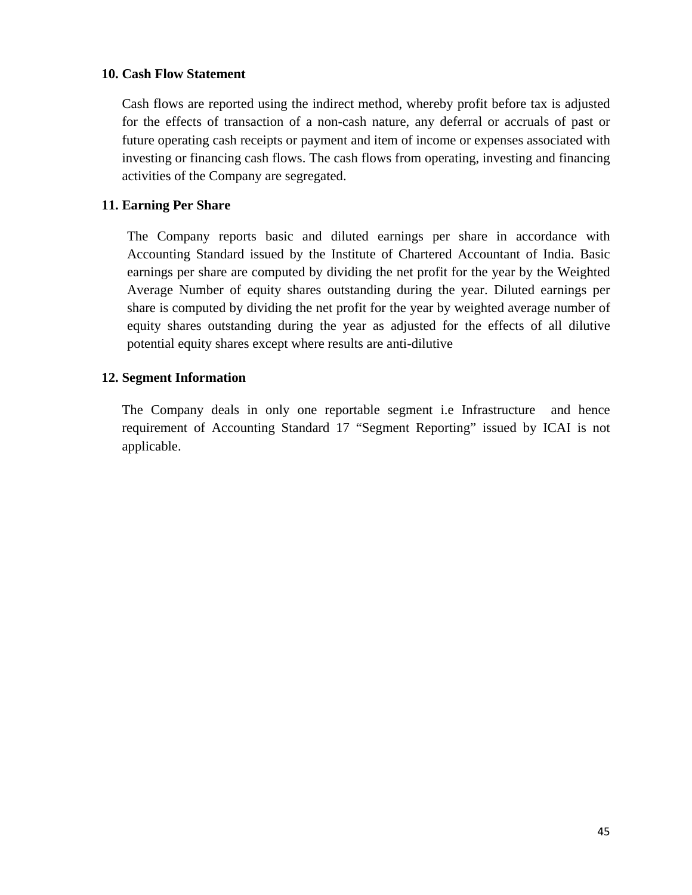# **10. Cash Flow Statement**

Cash flows are reported using the indirect method, whereby profit before tax is adjusted for the effects of transaction of a non-cash nature, any deferral or accruals of past or future operating cash receipts or payment and item of income or expenses associated with investing or financing cash flows. The cash flows from operating, investing and financing activities of the Company are segregated.

# **11. Earning Per Share**

The Company reports basic and diluted earnings per share in accordance with Accounting Standard issued by the Institute of Chartered Accountant of India. Basic earnings per share are computed by dividing the net profit for the year by the Weighted Average Number of equity shares outstanding during the year. Diluted earnings per share is computed by dividing the net profit for the year by weighted average number of equity shares outstanding during the year as adjusted for the effects of all dilutive potential equity shares except where results are anti-dilutive

# **12. Segment Information**

The Company deals in only one reportable segment i.e Infrastructure and hence requirement of Accounting Standard 17 "Segment Reporting" issued by ICAI is not applicable.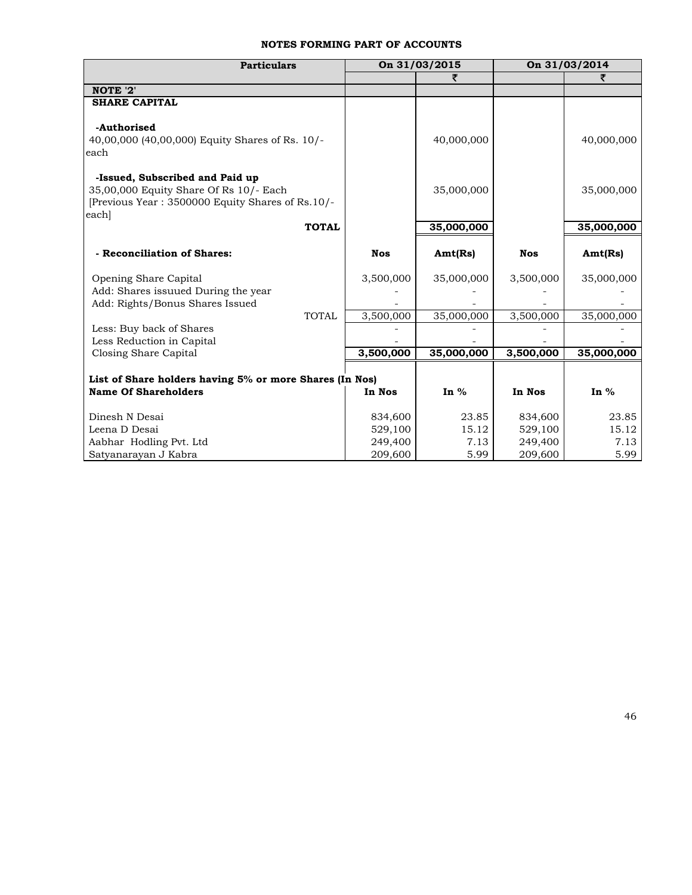#### **NOTES FORMING PART OF ACCOUNTS**

| <b>Particulars</b>                                      |              |            | On 31/03/2015 |            | On 31/03/2014 |
|---------------------------------------------------------|--------------|------------|---------------|------------|---------------|
|                                                         |              |            | ₹             |            | ₹             |
| NOTE '2'                                                |              |            |               |            |               |
| <b>SHARE CAPITAL</b>                                    |              |            |               |            |               |
|                                                         |              |            |               |            |               |
| -Authorised                                             |              |            |               |            |               |
| 40,00,000 (40,00,000) Equity Shares of Rs. 10/-         |              |            | 40,000,000    |            | 40,000,000    |
| each                                                    |              |            |               |            |               |
| -Issued, Subscribed and Paid up                         |              |            |               |            |               |
| 35,00,000 Equity Share Of Rs 10/- Each                  |              |            | 35,000,000    |            | 35,000,000    |
| [Previous Year: 3500000 Equity Shares of Rs.10/-        |              |            |               |            |               |
| each                                                    |              |            |               |            |               |
|                                                         | <b>TOTAL</b> |            | 35,000,000    |            | 35,000,000    |
|                                                         |              |            |               |            |               |
| - Reconciliation of Shares:                             |              | <b>Nos</b> | Ant(Rs)       | <b>Nos</b> | Amt(Rs)       |
|                                                         |              |            |               |            |               |
| Opening Share Capital                                   |              | 3,500,000  | 35,000,000    | 3,500,000  | 35,000,000    |
| Add: Shares issuued During the year                     |              |            |               |            |               |
| Add: Rights/Bonus Shares Issued                         |              |            |               |            |               |
|                                                         | <b>TOTAL</b> | 3,500,000  | 35,000,000    | 3,500,000  | 35,000,000    |
| Less: Buy back of Shares                                |              |            |               |            |               |
| Less Reduction in Capital                               |              |            |               |            |               |
| Closing Share Capital                                   |              | 3,500,000  | 35,000,000    | 3,500,000  | 35,000,000    |
|                                                         |              |            |               |            |               |
| List of Share holders having 5% or more Shares (In Nos) |              |            |               |            |               |
| <b>Name Of Shareholders</b>                             |              | In Nos     | In $%$        | In Nos     | In $%$        |
| Dinesh N Desai                                          |              | 834,600    | 23.85         | 834,600    | 23.85         |
| Leena D Desai                                           |              | 529,100    | 15.12         | 529,100    | 15.12         |
| Aabhar Hodling Pvt. Ltd                                 |              | 249,400    | 7.13          | 249,400    | 7.13          |
| Satyanarayan J Kabra                                    |              | 209,600    | 5.99          | 209,600    | 5.99          |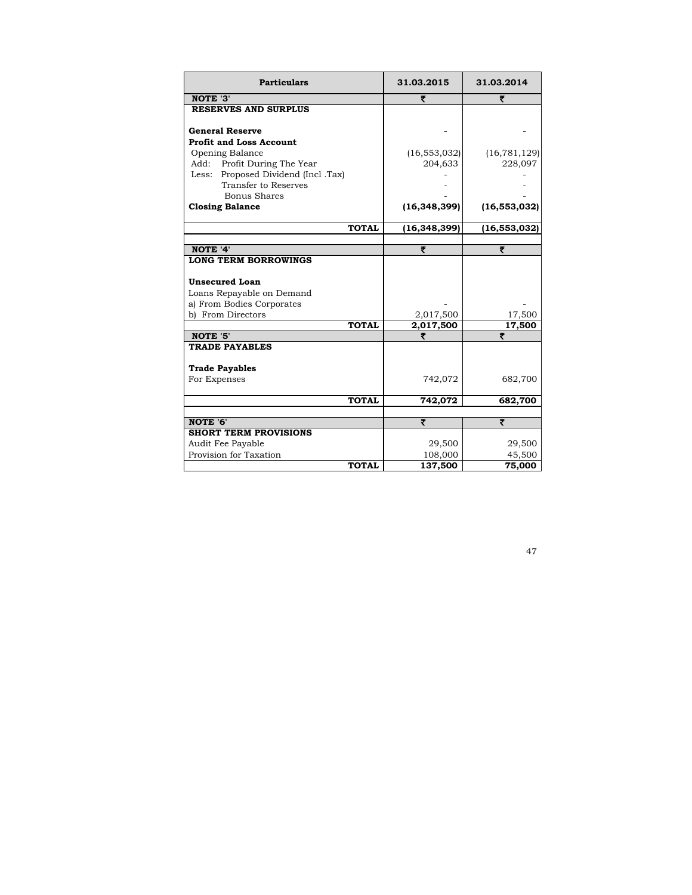| <b>Particulars</b>                                                                                   | 31.03.2015     | 31.03.2014     |
|------------------------------------------------------------------------------------------------------|----------------|----------------|
| NOTE '3'                                                                                             | ₹              | ₹              |
| <b>RESERVES AND SURPLUS</b>                                                                          |                |                |
| <b>General Reserve</b>                                                                               |                |                |
| <b>Profit and Loss Account</b>                                                                       |                |                |
| Opening Balance                                                                                      | (16, 553, 032) | (16, 781, 129) |
| Add: Profit During The Year                                                                          | 204,633        | 228,097        |
| Less: Proposed Dividend (Incl. Tax)                                                                  |                |                |
| Transfer to Reserves                                                                                 |                |                |
| <b>Bonus Shares</b>                                                                                  |                |                |
| <b>Closing Balance</b>                                                                               | (16, 348, 399) | (16, 553, 032) |
| <b>TOTAL</b>                                                                                         | (16, 348, 399) | (16, 553, 032) |
|                                                                                                      |                |                |
| NOTE '4'                                                                                             | ₹              | ₹              |
| <b>Unsecured Loan</b><br>Loans Repayable on Demand<br>a) From Bodies Corporates<br>b) From Directors | 2,017,500      | 17,500         |
| <b>TOTAL</b>                                                                                         | 2,017,500      | 17,500         |
| NOTE '5'                                                                                             | ₹              | ₹              |
| <b>TRADE PAYABLES</b><br><b>Trade Payables</b>                                                       |                |                |
| For Expenses                                                                                         | 742,072        | 682,700        |
| <b>TOTAL</b>                                                                                         | 742,072        | 682,700        |
| NOTE '6'                                                                                             | ₹              | ₹              |
| <b>SHORT TERM PROVISIONS</b>                                                                         |                |                |
| Audit Fee Payable                                                                                    | 29,500         | 29,500         |
| Provision for Taxation                                                                               | 108,000        | 45,500         |
| <b>TOTAL</b>                                                                                         | 137,500        | 75,000         |

47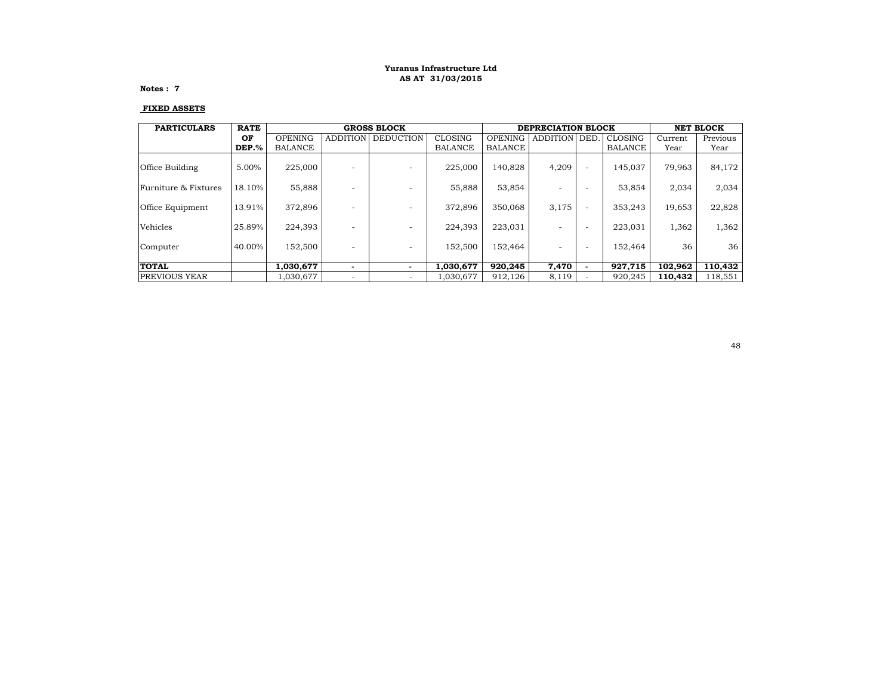#### **AS AT 31/03/2015 Yuranus Infrastructure Ltd**

**Notes : 7**

#### **FIXED ASSETS**

| <b>PARTICULARS</b>     | <b>RATE</b> | <b>GROSS BLOCK</b> |                          |                  | DEPRECIATION BLOCK |                |                              |                              | <b>NET BLOCK</b> |         |          |
|------------------------|-------------|--------------------|--------------------------|------------------|--------------------|----------------|------------------------------|------------------------------|------------------|---------|----------|
|                        | OF          | <b>OPENING</b>     | <b>ADDITION</b>          | <b>DEDUCTION</b> | CLOSING            | <b>OPENING</b> | <b>ADDITION</b>              | DED.                         | CLOSING          | Current | Previous |
|                        | $DEF. \%$   | <b>BALANCE</b>     |                          |                  | <b>BALANCE</b>     | BALANCE        |                              |                              | <b>BALANCE</b>   | Year    | Year     |
| <b>Office Building</b> | 5.00%       | 225,000            |                          |                  | 225,000            | 140,828        | 4,209                        | $\qquad \qquad \blacksquare$ | 145.037          | 79,963  | 84,172   |
| Furniture & Fixtures   | 18.10%      | 55,888             |                          |                  | 55,888             | 53,854         | -                            | $\overline{\phantom{0}}$     | 53,854           | 2,034   | 2,034    |
| Office Equipment       | 13.91%      | 372,896            |                          |                  | 372,896            | 350,068        | 3,175                        | $\overline{\phantom{0}}$     | 353.243          | 19,653  | 22,828   |
| Vehicles               | 25.89%      | 224,393            |                          |                  | 224.393            | 223.031        |                              | $\overline{\phantom{0}}$     | 223,031          | 1,362   | 1,362    |
| Computer               | 40.00%      | 152,500            | $\overline{\phantom{0}}$ |                  | 152,500            | 152.464        | $\qquad \qquad \blacksquare$ | $\qquad \qquad \blacksquare$ | 152.464          | 36      | 36       |
| <b>TOTAL</b>           |             | 1,030,677          | -                        |                  | 1,030,677          | 920,245        | 7,470                        |                              | 927,715          | 102.962 | 110,432  |
| <b>PREVIOUS YEAR</b>   |             | 1,030,677          |                          |                  | 1,030,677          | 912,126        | 8,119                        |                              | 920.245          | 110.432 | 118,551  |

 4848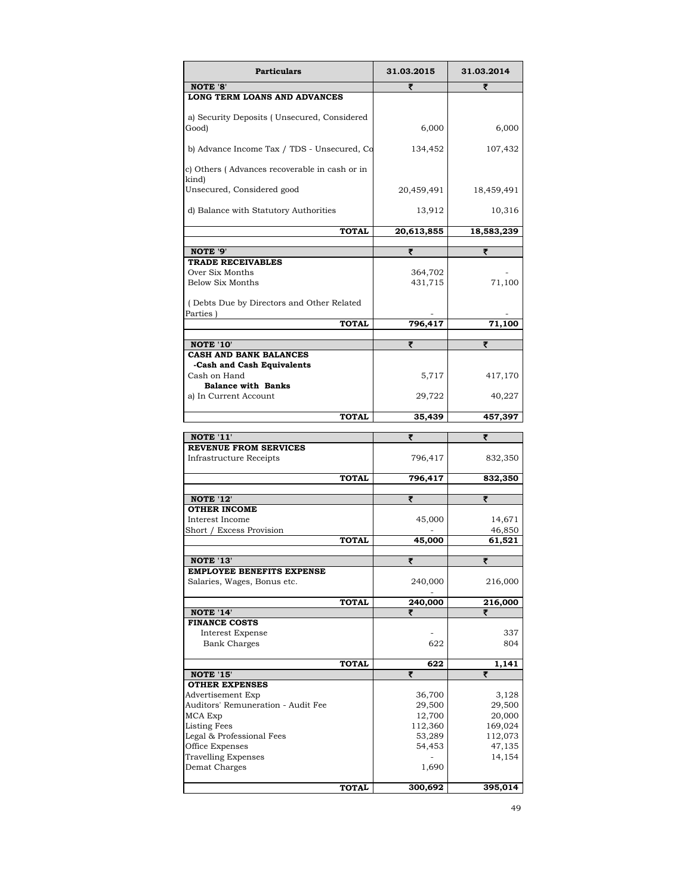| <b>Particulars</b>                                              | 31.03.2015                         | 31.03.2014       |
|-----------------------------------------------------------------|------------------------------------|------------------|
| NOTE '8'                                                        | ₹                                  | ₹                |
| <b>LONG TERM LOANS AND ADVANCES</b>                             |                                    |                  |
|                                                                 |                                    |                  |
| a) Security Deposits (Unsecured, Considered<br>Good)            | 6,000                              | 6,000            |
| b) Advance Income Tax / TDS - Unsecured, Co                     | 134,452                            | 107,432          |
| c) Others (Advances recoverable in cash or in                   |                                    |                  |
| kind)<br>Unsecured, Considered good                             | 20,459,491                         | 18,459,491       |
| d) Balance with Statutory Authorities                           | 13,912                             | 10,316           |
| TOTAL                                                           | 20,613,855                         | 18,583,239       |
|                                                                 |                                    |                  |
| NOTE '9'                                                        | ₹                                  | ₹                |
| TRADE RECEIVABLES<br>Over Six Months                            |                                    |                  |
| Below Six Months                                                | 364,702<br>431,715                 | 71,100           |
| (Debts Due by Directors and Other Related                       |                                    |                  |
| Parties)<br><b>TOTAL</b>                                        | 796,417                            | 71,100           |
| <b>NOTE '10'</b>                                                | ₹                                  | ₹                |
| CASH AND BANK BALANCES                                          |                                    |                  |
| -Cash and Cash Equivalents<br>Cash on Hand                      | 5,717                              | 417,170          |
| <b>Balance with Banks</b><br>a) In Current Account              | 29,722                             | 40,227           |
| <b>TOTAL</b>                                                    | 35,439                             | 457,397          |
|                                                                 |                                    |                  |
|                                                                 |                                    |                  |
| <b>NOTE '11'</b>                                                | ₹                                  | ₹                |
| <b>REVENUE FROM SERVICES</b><br>Infrastructure Receipts         | 796,417                            | 832,350          |
| <b>TOTAL</b>                                                    | 796,417                            | 832,350          |
|                                                                 |                                    |                  |
| <b>NOTE '12'</b>                                                | ₹                                  | ₹                |
| <b>OTHER INCOME</b>                                             |                                    |                  |
| Interest Income                                                 | 45,000                             | 14,671           |
| Short / Excess Provision<br><b>TOTAL</b>                        | 45,000                             | 46,850<br>61,521 |
|                                                                 |                                    |                  |
| <b>NOTE '13'</b>                                                | ₹                                  | ₹                |
| <b>EMPLOYEE BENEFITS EXPENSE</b><br>Salaries, Wages, Bonus etc. | 240,000                            | 216,000          |
|                                                                 |                                    |                  |
| TOTAL<br><b>NOTE '14'</b>                                       | 240,000<br>₹                       | 216,000<br>₹     |
| <b>FINANCE COSTS</b>                                            |                                    |                  |
| <b>Interest Expense</b><br><b>Bank Charges</b>                  | 622                                | 337<br>804       |
|                                                                 |                                    |                  |
| <b>TOTAL</b>                                                    | 622<br>₹                           | 1,141<br>₹       |
| <b>NOTE '15'</b><br><b>OTHER EXPENSES</b>                       |                                    |                  |
| Advertisement Exp                                               | 36,700                             | 3,128            |
| Auditors' Remuneration - Audit Fee                              | 29,500                             | 29,500           |
| MCA Exp                                                         | 12,700                             | 20,000           |
| <b>Listing Fees</b>                                             | 112,360                            | 169,024          |
| Legal & Professional Fees                                       | 53,289                             | 112,073          |
| Office Expenses                                                 | 54,453<br>$\overline{\phantom{0}}$ | 47,135           |
| <b>Travelling Expenses</b><br><b>Demat Charges</b>              | 1,690                              | 14,154           |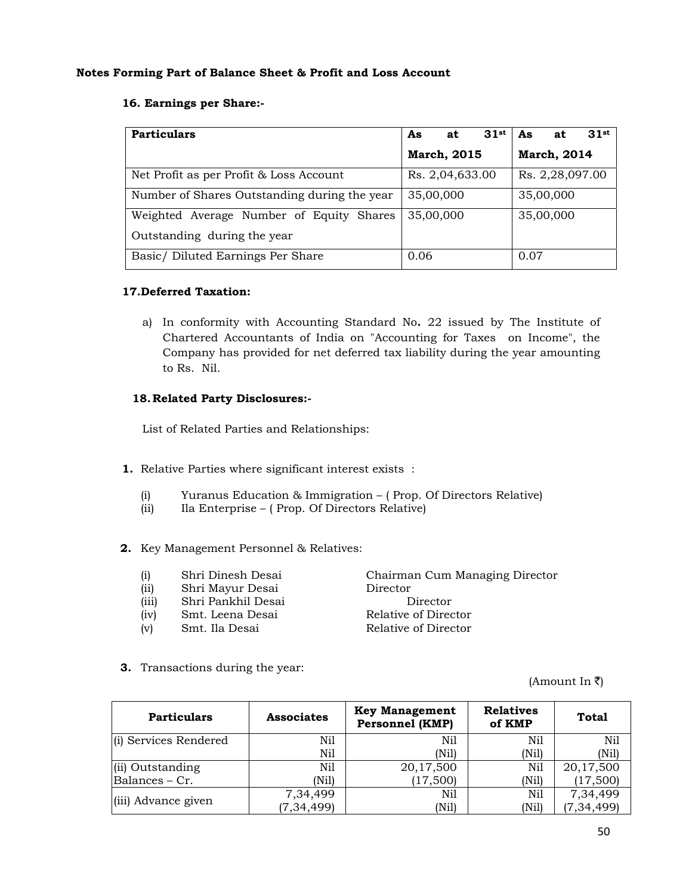#### **Notes Forming Part of Balance Sheet & Profit and Loss Account**

## **16. Earnings per Share:-**

| <b>Particulars</b>                           | 31st<br>As<br>at   | 31st<br>As<br>at   |  |  |
|----------------------------------------------|--------------------|--------------------|--|--|
|                                              | <b>March, 2015</b> | <b>March, 2014</b> |  |  |
| Net Profit as per Profit & Loss Account      | Rs. 2,04,633.00    | Rs. 2,28,097.00    |  |  |
| Number of Shares Outstanding during the year | 35,00,000          | 35,00,000          |  |  |
| Weighted Average Number of Equity Shares     | 35,00,000          | 35,00,000          |  |  |
| Outstanding during the year                  |                    |                    |  |  |
| Basic/ Diluted Earnings Per Share            | 0.06               | 0.07               |  |  |

## **17.Deferred Taxation:**

a) In conformity with Accounting Standard No**.** 22 issued by The Institute of Chartered Accountants of India on "Accounting for Taxes on Income", the Company has provided for net deferred tax liability during the year amounting to Rs. Nil.

## **18.Related Party Disclosures:-**

List of Related Parties and Relationships:

- **1.** Relative Parties where significant interest exists :
	- (i) Yuranus Education & Immigration ( Prop. Of Directors Relative)
	- (ii) Ila Enterprise ( Prop. Of Directors Relative)

## **2.** Key Management Personnel & Relatives:

- 
- (ii) Shri Mayur Desai Director
- (iii) Shri Pankhil Desai Director
- 
- 

(i) Shri Dinesh Desai Chairman Cum Managing Director (iv) Smt. Leena Desai Relative of Director (v) Smt. Ila Desai Relative of Director

**3.** Transactions during the year:

(Amount In ₹)

| <b>Particulars</b>    | <b>Associates</b> | <b>Key Management</b><br><b>Personnel (KMP)</b> | <b>Relatives</b><br>of KMP | <b>Total</b> |
|-----------------------|-------------------|-------------------------------------------------|----------------------------|--------------|
| (i) Services Rendered | Nil               | Nil                                             | Nil                        | Nil          |
|                       | Nil               | (Nil)                                           | (Nil)                      | (Nil)        |
| (ii) Outstanding      | Nil               | 20,17,500                                       | Nil                        | 20,17,500    |
| Balances - Cr.        | (Nil)             | (17,500)                                        | (Nil)                      | (17,500)     |
|                       | 7,34,499          | Nil                                             | Nil                        | 7,34,499     |
| (iii) Advance given   | (7, 34, 499)      | (Nil)                                           | (Nil)                      | (7,34,499)   |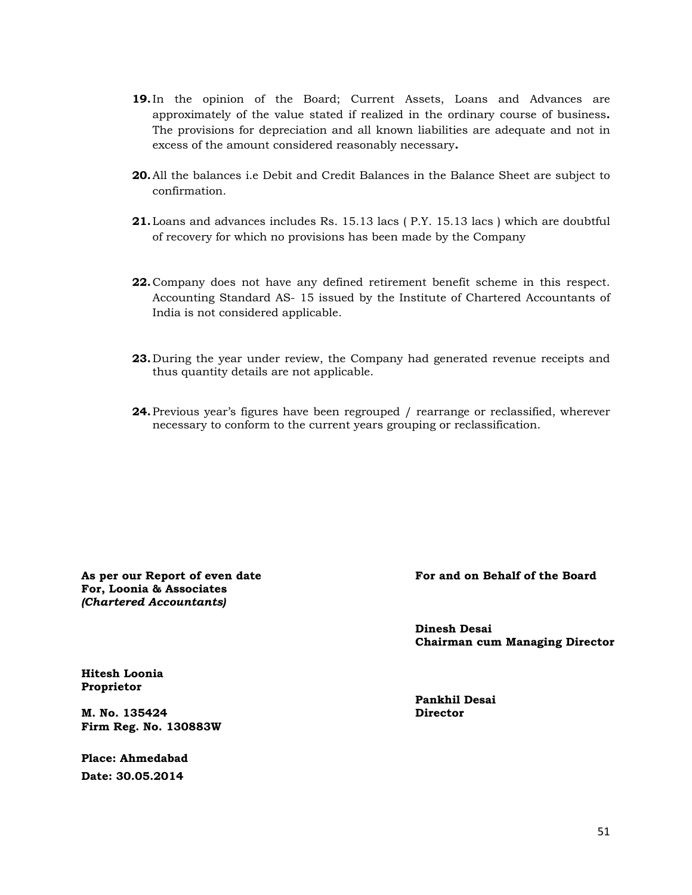- **19.**In the opinion of the Board; Current Assets, Loans and Advances are approximately of the value stated if realized in the ordinary course of business**.** The provisions for depreciation and all known liabilities are adequate and not in excess of the amount considered reasonably necessary**.**
- **20.**All the balances i.e Debit and Credit Balances in the Balance Sheet are subject to confirmation.
- **21.**Loans and advances includes Rs. 15.13 lacs ( P.Y. 15.13 lacs ) which are doubtful of recovery for which no provisions has been made by the Company
- **22.**Company does not have any defined retirement benefit scheme in this respect. Accounting Standard AS- 15 issued by the Institute of Chartered Accountants of India is not considered applicable.
- **23.** During the year under review, the Company had generated revenue receipts and thus quantity details are not applicable.
- **24.**Previous year's figures have been regrouped / rearrange or reclassified, wherever necessary to conform to the current years grouping or reclassification.

**As per our Report of even date For, Loonia & Associates**  *(Chartered Accountants)* 

**For and on Behalf of the Board**

**Dinesh Desai Chairman cum Managing Director** 

**Hitesh Loonia Proprietor** 

**M. No. 135424 Firm Reg. No. 130883W** 

**Place: Ahmedabad Date: 30.05.2014** 

**Pankhil Desai Director**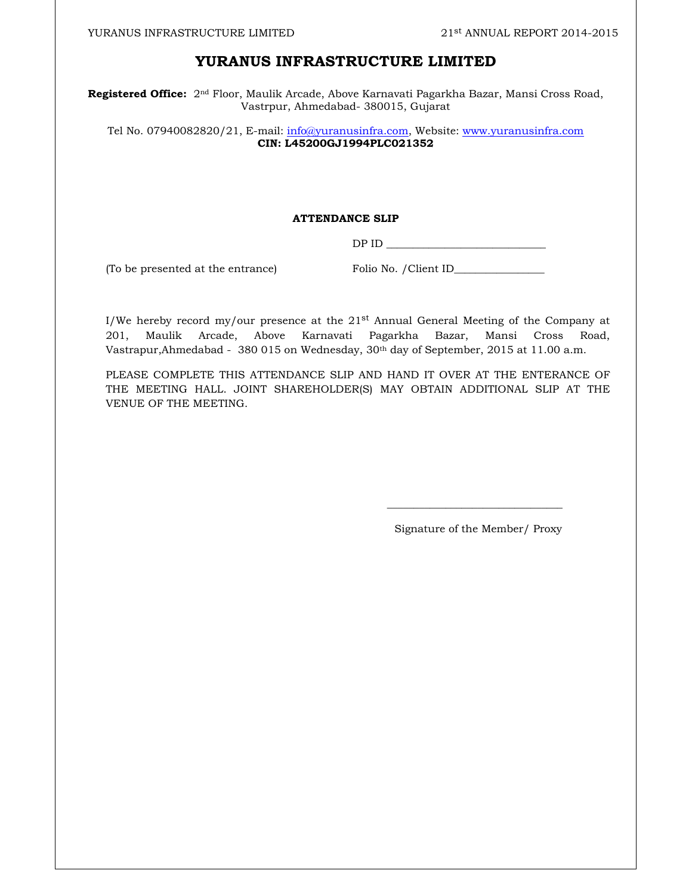# **YURANUS INFRASTRUCTURE LIMITED**

**Registered Office:** 2nd Floor, Maulik Arcade, Above Karnavati Pagarkha Bazar, Mansi Cross Road, Vastrpur, Ahmedabad- 380015, Gujarat

Tel No. 07940082820/21, E-mail: info@yuranusinfra.com, Website: www.yuranusinfra.com **CIN: L45200GJ1994PLC021352** 

#### **ATTENDANCE SLIP**

DP ID \_\_\_\_\_\_\_\_\_\_\_\_\_\_\_\_\_\_\_\_\_\_\_\_\_\_\_\_\_\_

(To be presented at the entrance) Folio No. / Client ID\_\_\_\_\_\_\_\_\_\_\_\_\_\_\_\_\_\_\_\_\_\_\_\_\_

I/We hereby record my/our presence at the 21st Annual General Meeting of the Company at 201, Maulik Arcade, Above Karnavati Pagarkha Bazar, Mansi Cross Road, Vastrapur,Ahmedabad - 380 015 on Wednesday, 30th day of September, 2015 at 11.00 a.m.

PLEASE COMPLETE THIS ATTENDANCE SLIP AND HAND IT OVER AT THE ENTERANCE OF THE MEETING HALL. JOINT SHAREHOLDER(S) MAY OBTAIN ADDITIONAL SLIP AT THE VENUE OF THE MEETING.

 $\overline{\phantom{a}}$  , and the contract of the contract of the contract of the contract of the contract of the contract of the contract of the contract of the contract of the contract of the contract of the contract of the contrac

Signature of the Member/ Proxy